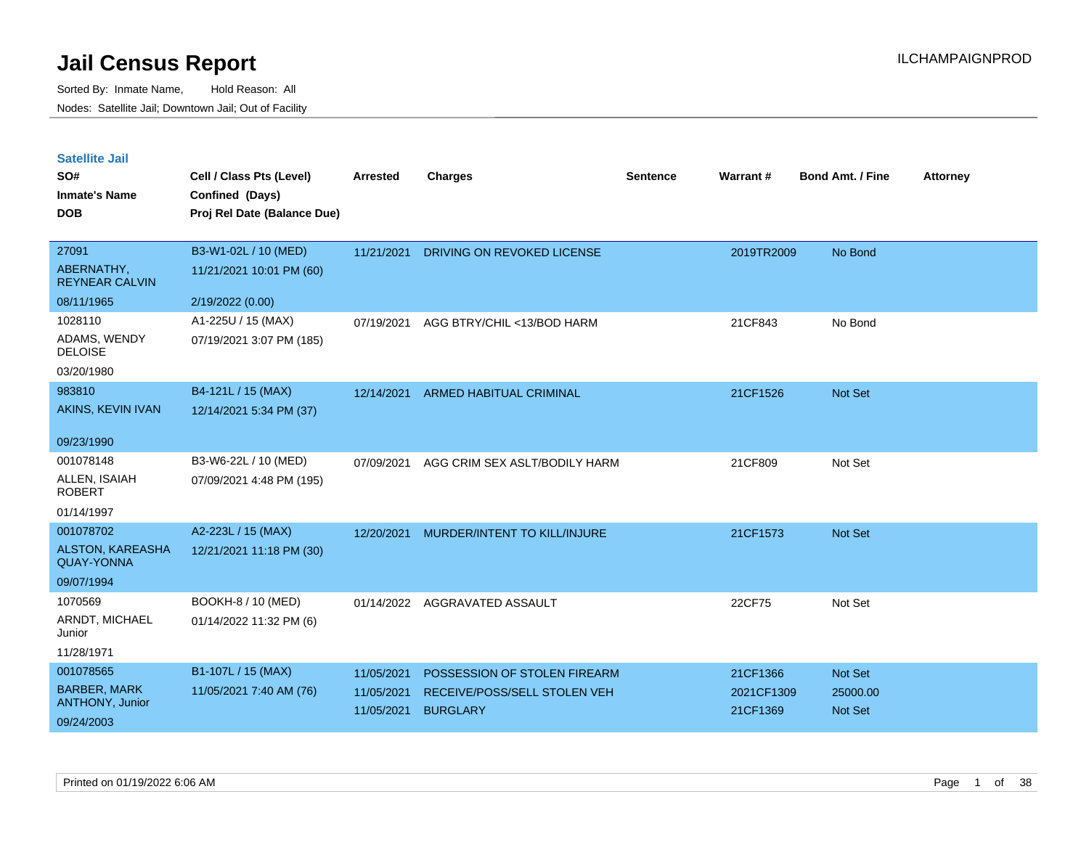| <b>Satellite Jail</b> |  |
|-----------------------|--|
|                       |  |

| SO#<br><b>Inmate's Name</b><br><b>DOB</b>    | Cell / Class Pts (Level)<br>Confined (Days)<br>Proj Rel Date (Balance Due) | Arrested   | <b>Charges</b>                 | Sentence | Warrant#   | <b>Bond Amt. / Fine</b> | <b>Attorney</b> |
|----------------------------------------------|----------------------------------------------------------------------------|------------|--------------------------------|----------|------------|-------------------------|-----------------|
| 27091                                        |                                                                            |            |                                |          |            |                         |                 |
| ABERNATHY,<br><b>REYNEAR CALVIN</b>          | B3-W1-02L / 10 (MED)<br>11/21/2021 10:01 PM (60)                           | 11/21/2021 | DRIVING ON REVOKED LICENSE     |          | 2019TR2009 | No Bond                 |                 |
| 08/11/1965                                   | 2/19/2022 (0.00)                                                           |            |                                |          |            |                         |                 |
| 1028110                                      | A1-225U / 15 (MAX)                                                         | 07/19/2021 | AGG BTRY/CHIL <13/BOD HARM     |          | 21CF843    | No Bond                 |                 |
| ADAMS, WENDY<br><b>DELOISE</b>               | 07/19/2021 3:07 PM (185)                                                   |            |                                |          |            |                         |                 |
| 03/20/1980                                   |                                                                            |            |                                |          |            |                         |                 |
| 983810                                       | B4-121L / 15 (MAX)                                                         | 12/14/2021 | <b>ARMED HABITUAL CRIMINAL</b> |          | 21CF1526   | Not Set                 |                 |
| AKINS, KEVIN IVAN                            | 12/14/2021 5:34 PM (37)                                                    |            |                                |          |            |                         |                 |
| 09/23/1990                                   |                                                                            |            |                                |          |            |                         |                 |
| 001078148                                    | B3-W6-22L / 10 (MED)                                                       | 07/09/2021 | AGG CRIM SEX ASLT/BODILY HARM  |          | 21CF809    | Not Set                 |                 |
| ALLEN, ISAIAH<br><b>ROBERT</b>               | 07/09/2021 4:48 PM (195)                                                   |            |                                |          |            |                         |                 |
| 01/14/1997                                   |                                                                            |            |                                |          |            |                         |                 |
| 001078702                                    | A2-223L / 15 (MAX)                                                         | 12/20/2021 | MURDER/INTENT TO KILL/INJURE   |          | 21CF1573   | <b>Not Set</b>          |                 |
| <b>ALSTON, KAREASHA</b><br><b>QUAY-YONNA</b> | 12/21/2021 11:18 PM (30)                                                   |            |                                |          |            |                         |                 |
| 09/07/1994                                   |                                                                            |            |                                |          |            |                         |                 |
| 1070569                                      | BOOKH-8 / 10 (MED)                                                         | 01/14/2022 | AGGRAVATED ASSAULT             |          | 22CF75     | Not Set                 |                 |
| ARNDT, MICHAEL<br>Junior                     | 01/14/2022 11:32 PM (6)                                                    |            |                                |          |            |                         |                 |
| 11/28/1971                                   |                                                                            |            |                                |          |            |                         |                 |
| 001078565                                    | B1-107L / 15 (MAX)                                                         | 11/05/2021 | POSSESSION OF STOLEN FIREARM   |          | 21CF1366   | <b>Not Set</b>          |                 |
| <b>BARBER, MARK</b>                          | 11/05/2021 7:40 AM (76)                                                    | 11/05/2021 | RECEIVE/POSS/SELL STOLEN VEH   |          | 2021CF1309 | 25000.00                |                 |
| ANTHONY, Junior<br>09/24/2003                |                                                                            | 11/05/2021 | <b>BURGLARY</b>                |          | 21CF1369   | <b>Not Set</b>          |                 |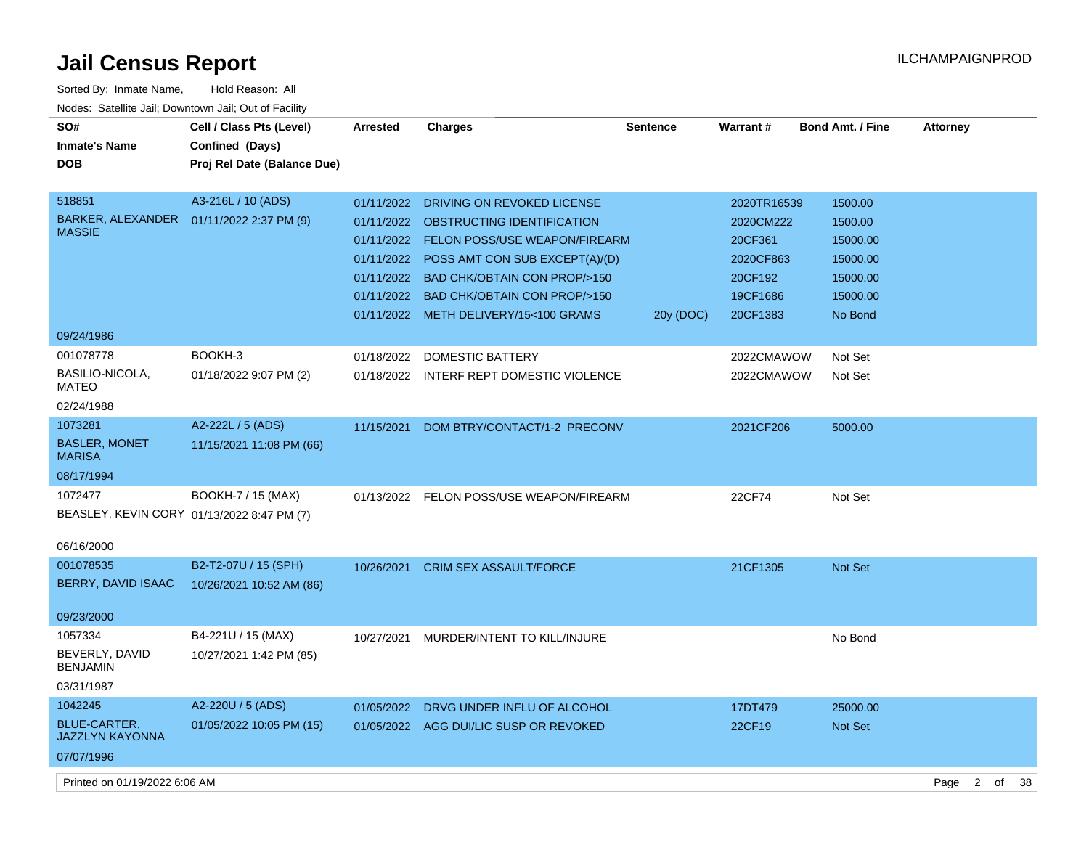| SO#<br><b>Inmate's Name</b><br><b>DOB</b>                              | Cell / Class Pts (Level)<br><b>Confined (Days)</b><br>Proj Rel Date (Balance Due) | <b>Arrested</b> | <b>Charges</b>                                                                                                                                                                                                                                                                                         | <b>Sentence</b> | Warrant#                                                                            | <b>Bond Amt. / Fine</b>                                                       | <b>Attorney</b>                   |
|------------------------------------------------------------------------|-----------------------------------------------------------------------------------|-----------------|--------------------------------------------------------------------------------------------------------------------------------------------------------------------------------------------------------------------------------------------------------------------------------------------------------|-----------------|-------------------------------------------------------------------------------------|-------------------------------------------------------------------------------|-----------------------------------|
| 518851<br>BARKER, ALEXANDER  01/11/2022 2:37 PM (9)<br><b>MASSIE</b>   | A3-216L / 10 (ADS)                                                                |                 | 01/11/2022 DRIVING ON REVOKED LICENSE<br>01/11/2022 OBSTRUCTING IDENTIFICATION<br>01/11/2022 FELON POSS/USE WEAPON/FIREARM<br>01/11/2022 POSS AMT CON SUB EXCEPT(A)/(D)<br>01/11/2022 BAD CHK/OBTAIN CON PROP/>150<br>01/11/2022 BAD CHK/OBTAIN CON PROP/>150<br>01/11/2022 METH DELIVERY/15<100 GRAMS | 20y (DOC)       | 2020TR16539<br>2020CM222<br>20CF361<br>2020CF863<br>20CF192<br>19CF1686<br>20CF1383 | 1500.00<br>1500.00<br>15000.00<br>15000.00<br>15000.00<br>15000.00<br>No Bond |                                   |
| 09/24/1986                                                             |                                                                                   |                 |                                                                                                                                                                                                                                                                                                        |                 |                                                                                     |                                                                               |                                   |
| 001078778<br>BASILIO-NICOLA,<br>MATEO<br>02/24/1988                    | BOOKH-3<br>01/18/2022 9:07 PM (2)                                                 |                 | 01/18/2022 DOMESTIC BATTERY<br>01/18/2022 INTERF REPT DOMESTIC VIOLENCE                                                                                                                                                                                                                                |                 | 2022CMAWOW<br>2022CMAWOW                                                            | Not Set<br>Not Set                                                            |                                   |
| 1073281<br><b>BASLER, MONET</b><br><b>MARISA</b><br>08/17/1994         | A2-222L / 5 (ADS)<br>11/15/2021 11:08 PM (66)                                     | 11/15/2021      | DOM BTRY/CONTACT/1-2 PRECONV                                                                                                                                                                                                                                                                           |                 | 2021CF206                                                                           | 5000.00                                                                       |                                   |
| 1072477<br>BEASLEY, KEVIN CORY 01/13/2022 8:47 PM (7)                  | BOOKH-7 / 15 (MAX)                                                                |                 | 01/13/2022 FELON POSS/USE WEAPON/FIREARM                                                                                                                                                                                                                                                               |                 | 22CF74                                                                              | Not Set                                                                       |                                   |
| 06/16/2000                                                             |                                                                                   |                 |                                                                                                                                                                                                                                                                                                        |                 |                                                                                     |                                                                               |                                   |
| 001078535<br>BERRY, DAVID ISAAC                                        | B2-T2-07U / 15 (SPH)<br>10/26/2021 10:52 AM (86)                                  |                 | 10/26/2021 CRIM SEX ASSAULT/FORCE                                                                                                                                                                                                                                                                      |                 | 21CF1305                                                                            | Not Set                                                                       |                                   |
| 09/23/2000                                                             |                                                                                   |                 |                                                                                                                                                                                                                                                                                                        |                 |                                                                                     |                                                                               |                                   |
| 1057334<br>BEVERLY, DAVID<br><b>BENJAMIN</b>                           | B4-221U / 15 (MAX)<br>10/27/2021 1:42 PM (85)                                     | 10/27/2021      | MURDER/INTENT TO KILL/INJURE                                                                                                                                                                                                                                                                           |                 |                                                                                     | No Bond                                                                       |                                   |
| 03/31/1987                                                             |                                                                                   |                 |                                                                                                                                                                                                                                                                                                        |                 |                                                                                     |                                                                               |                                   |
| 1042245<br><b>BLUE-CARTER,</b><br><b>JAZZLYN KAYONNA</b><br>07/07/1996 | A2-220U / 5 (ADS)<br>01/05/2022 10:05 PM (15)                                     | 01/05/2022      | DRVG UNDER INFLU OF ALCOHOL<br>01/05/2022 AGG DUI/LIC SUSP OR REVOKED                                                                                                                                                                                                                                  |                 | 17DT479<br>22CF19                                                                   | 25000.00<br>Not Set                                                           |                                   |
| Printed on 01/19/2022 6:06 AM                                          |                                                                                   |                 |                                                                                                                                                                                                                                                                                                        |                 |                                                                                     |                                                                               | Page<br>$2^{\circ}$<br>- 38<br>of |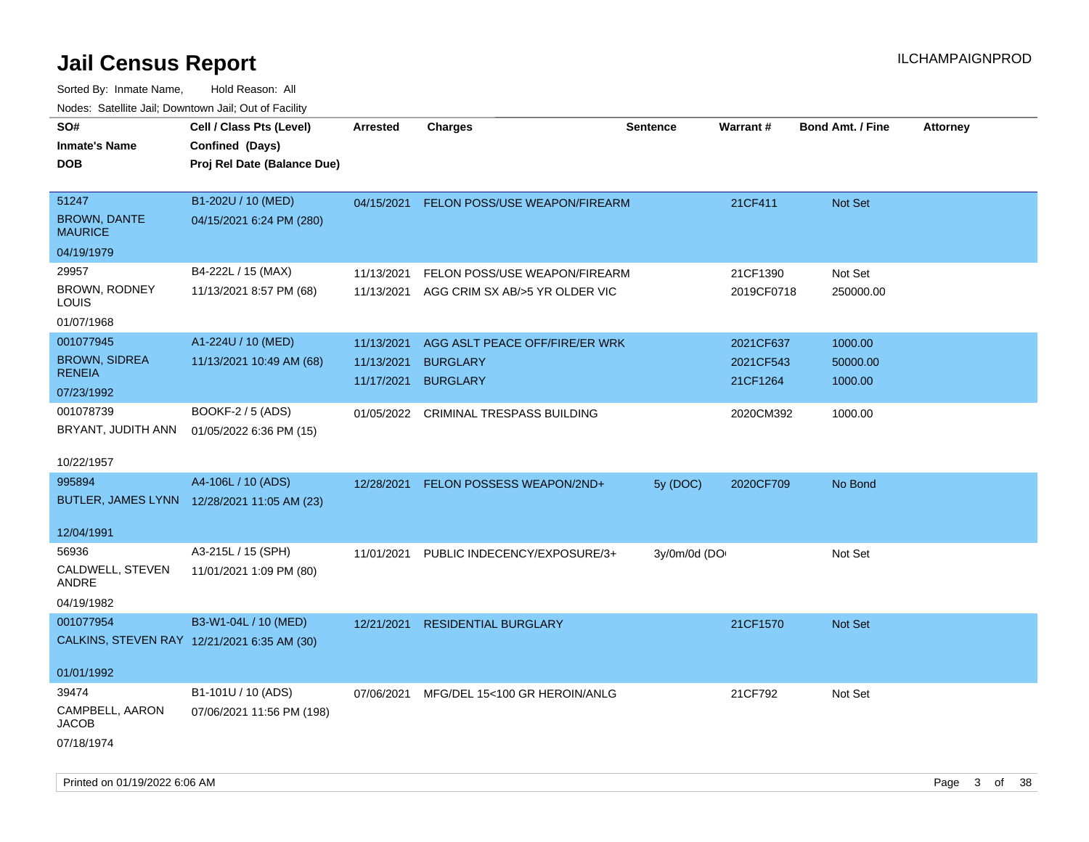| ivodes. Satellite Jali, Downtown Jali, Out of Facility |                                             |                 |                                       |                 |            |                         |                 |
|--------------------------------------------------------|---------------------------------------------|-----------------|---------------------------------------|-----------------|------------|-------------------------|-----------------|
| SO#                                                    | Cell / Class Pts (Level)                    | <b>Arrested</b> | <b>Charges</b>                        | <b>Sentence</b> | Warrant#   | <b>Bond Amt. / Fine</b> | <b>Attorney</b> |
| <b>Inmate's Name</b>                                   | Confined (Days)                             |                 |                                       |                 |            |                         |                 |
| DOB                                                    | Proj Rel Date (Balance Due)                 |                 |                                       |                 |            |                         |                 |
|                                                        |                                             |                 |                                       |                 |            |                         |                 |
| 51247                                                  | B1-202U / 10 (MED)                          | 04/15/2021      | FELON POSS/USE WEAPON/FIREARM         |                 | 21CF411    | Not Set                 |                 |
| <b>BROWN, DANTE</b><br><b>MAURICE</b>                  | 04/15/2021 6:24 PM (280)                    |                 |                                       |                 |            |                         |                 |
| 04/19/1979                                             |                                             |                 |                                       |                 |            |                         |                 |
| 29957                                                  | B4-222L / 15 (MAX)                          | 11/13/2021      | FELON POSS/USE WEAPON/FIREARM         |                 | 21CF1390   | Not Set                 |                 |
| BROWN, RODNEY<br>LOUIS                                 | 11/13/2021 8:57 PM (68)                     | 11/13/2021      | AGG CRIM SX AB/>5 YR OLDER VIC        |                 | 2019CF0718 | 250000.00               |                 |
| 01/07/1968                                             |                                             |                 |                                       |                 |            |                         |                 |
| 001077945                                              | A1-224U / 10 (MED)                          | 11/13/2021      | AGG ASLT PEACE OFF/FIRE/ER WRK        |                 | 2021CF637  | 1000.00                 |                 |
| <b>BROWN, SIDREA</b>                                   | 11/13/2021 10:49 AM (68)                    | 11/13/2021      | <b>BURGLARY</b>                       |                 | 2021CF543  | 50000.00                |                 |
| <b>RENEIA</b>                                          |                                             | 11/17/2021      | <b>BURGLARY</b>                       |                 | 21CF1264   | 1000.00                 |                 |
| 07/23/1992                                             |                                             |                 |                                       |                 |            |                         |                 |
| 001078739                                              | BOOKF-2 / 5 (ADS)                           |                 | 01/05/2022 CRIMINAL TRESPASS BUILDING |                 | 2020CM392  | 1000.00                 |                 |
| BRYANT, JUDITH ANN                                     | 01/05/2022 6:36 PM (15)                     |                 |                                       |                 |            |                         |                 |
| 10/22/1957                                             |                                             |                 |                                       |                 |            |                         |                 |
| 995894                                                 | A4-106L / 10 (ADS)                          | 12/28/2021      | FELON POSSESS WEAPON/2ND+             | 5y (DOC)        | 2020CF709  | No Bond                 |                 |
|                                                        | BUTLER, JAMES LYNN 12/28/2021 11:05 AM (23) |                 |                                       |                 |            |                         |                 |
| 12/04/1991                                             |                                             |                 |                                       |                 |            |                         |                 |
| 56936                                                  | A3-215L / 15 (SPH)                          | 11/01/2021      | PUBLIC INDECENCY/EXPOSURE/3+          | 3y/0m/0d (DO    |            | Not Set                 |                 |
| CALDWELL, STEVEN<br>ANDRE                              | 11/01/2021 1:09 PM (80)                     |                 |                                       |                 |            |                         |                 |
| 04/19/1982                                             |                                             |                 |                                       |                 |            |                         |                 |
| 001077954                                              | B3-W1-04L / 10 (MED)                        | 12/21/2021      | <b>RESIDENTIAL BURGLARY</b>           |                 | 21CF1570   | <b>Not Set</b>          |                 |
|                                                        | CALKINS, STEVEN RAY 12/21/2021 6:35 AM (30) |                 |                                       |                 |            |                         |                 |
|                                                        |                                             |                 |                                       |                 |            |                         |                 |
| 01/01/1992                                             |                                             |                 |                                       |                 |            |                         |                 |
| 39474                                                  | B1-101U / 10 (ADS)                          | 07/06/2021      | MFG/DEL 15<100 GR HEROIN/ANLG         |                 | 21CF792    | Not Set                 |                 |
| CAMPBELL, AARON<br>JACOB                               | 07/06/2021 11:56 PM (198)                   |                 |                                       |                 |            |                         |                 |
| 07/18/1974                                             |                                             |                 |                                       |                 |            |                         |                 |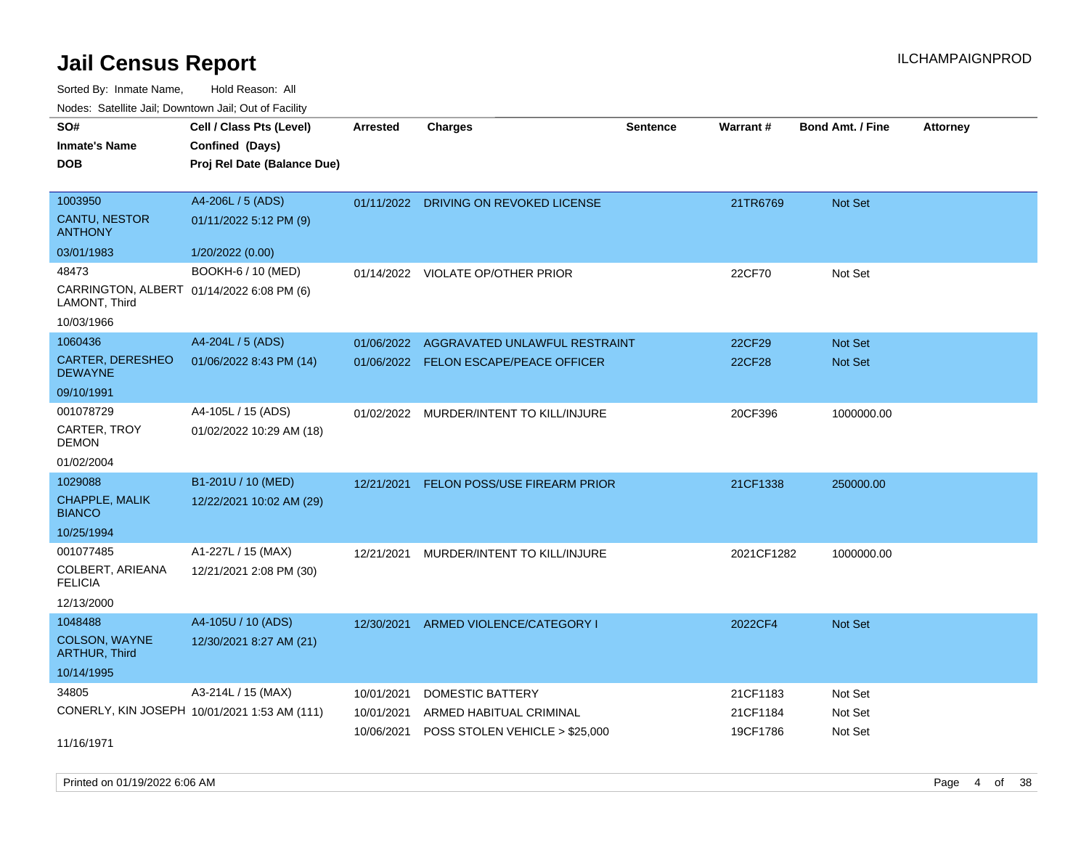Sorted By: Inmate Name, Hold Reason: All Nodes: Satellite Jail; Downtown Jail; Out of Facility

| SO#<br><b>Inmate's Name</b><br><b>DOB</b>                                         | Cell / Class Pts (Level)<br>Confined (Days)<br>Proj Rel Date (Balance Due) | <b>Arrested</b>                        | <b>Charges</b>                                                                       | <b>Sentence</b> | <b>Warrant#</b>                  | <b>Bond Amt. / Fine</b>       | <b>Attorney</b> |
|-----------------------------------------------------------------------------------|----------------------------------------------------------------------------|----------------------------------------|--------------------------------------------------------------------------------------|-----------------|----------------------------------|-------------------------------|-----------------|
| 1003950<br><b>CANTU, NESTOR</b><br><b>ANTHONY</b><br>03/01/1983                   | A4-206L / 5 (ADS)<br>01/11/2022 5:12 PM (9)<br>1/20/2022 (0.00)            |                                        | 01/11/2022 DRIVING ON REVOKED LICENSE                                                |                 | 21TR6769                         | Not Set                       |                 |
| 48473<br>CARRINGTON, ALBERT 01/14/2022 6:08 PM (6)<br>LAMONT, Third<br>10/03/1966 | BOOKH-6 / 10 (MED)                                                         | 01/14/2022                             | VIOLATE OP/OTHER PRIOR                                                               |                 | 22CF70                           | Not Set                       |                 |
| 1060436<br>CARTER, DERESHEO<br><b>DEWAYNE</b><br>09/10/1991                       | A4-204L / 5 (ADS)<br>01/06/2022 8:43 PM (14)                               | 01/06/2022                             | AGGRAVATED UNLAWFUL RESTRAINT<br>01/06/2022 FELON ESCAPE/PEACE OFFICER               |                 | 22CF29<br>22CF28                 | Not Set<br><b>Not Set</b>     |                 |
| 001078729<br>CARTER, TROY<br><b>DEMON</b><br>01/02/2004                           | A4-105L / 15 (ADS)<br>01/02/2022 10:29 AM (18)                             | 01/02/2022                             | MURDER/INTENT TO KILL/INJURE                                                         |                 | 20CF396                          | 1000000.00                    |                 |
| 1029088<br>CHAPPLE, MALIK<br><b>BIANCO</b><br>10/25/1994                          | B1-201U / 10 (MED)<br>12/22/2021 10:02 AM (29)                             | 12/21/2021                             | FELON POSS/USE FIREARM PRIOR                                                         |                 | 21CF1338                         | 250000.00                     |                 |
| 001077485<br>COLBERT, ARIEANA<br><b>FELICIA</b><br>12/13/2000                     | A1-227L / 15 (MAX)<br>12/21/2021 2:08 PM (30)                              | 12/21/2021                             | MURDER/INTENT TO KILL/INJURE                                                         |                 | 2021CF1282                       | 1000000.00                    |                 |
| 1048488<br>COLSON, WAYNE<br><b>ARTHUR, Third</b><br>10/14/1995                    | A4-105U / 10 (ADS)<br>12/30/2021 8:27 AM (21)                              | 12/30/2021                             | ARMED VIOLENCE/CATEGORY I                                                            |                 | 2022CF4                          | <b>Not Set</b>                |                 |
| 34805<br>11/16/1971                                                               | A3-214L / 15 (MAX)<br>CONERLY, KIN JOSEPH 10/01/2021 1:53 AM (111)         | 10/01/2021<br>10/01/2021<br>10/06/2021 | <b>DOMESTIC BATTERY</b><br>ARMED HABITUAL CRIMINAL<br>POSS STOLEN VEHICLE > \$25,000 |                 | 21CF1183<br>21CF1184<br>19CF1786 | Not Set<br>Not Set<br>Not Set |                 |

Printed on 01/19/2022 6:06 AM Page 4 of 38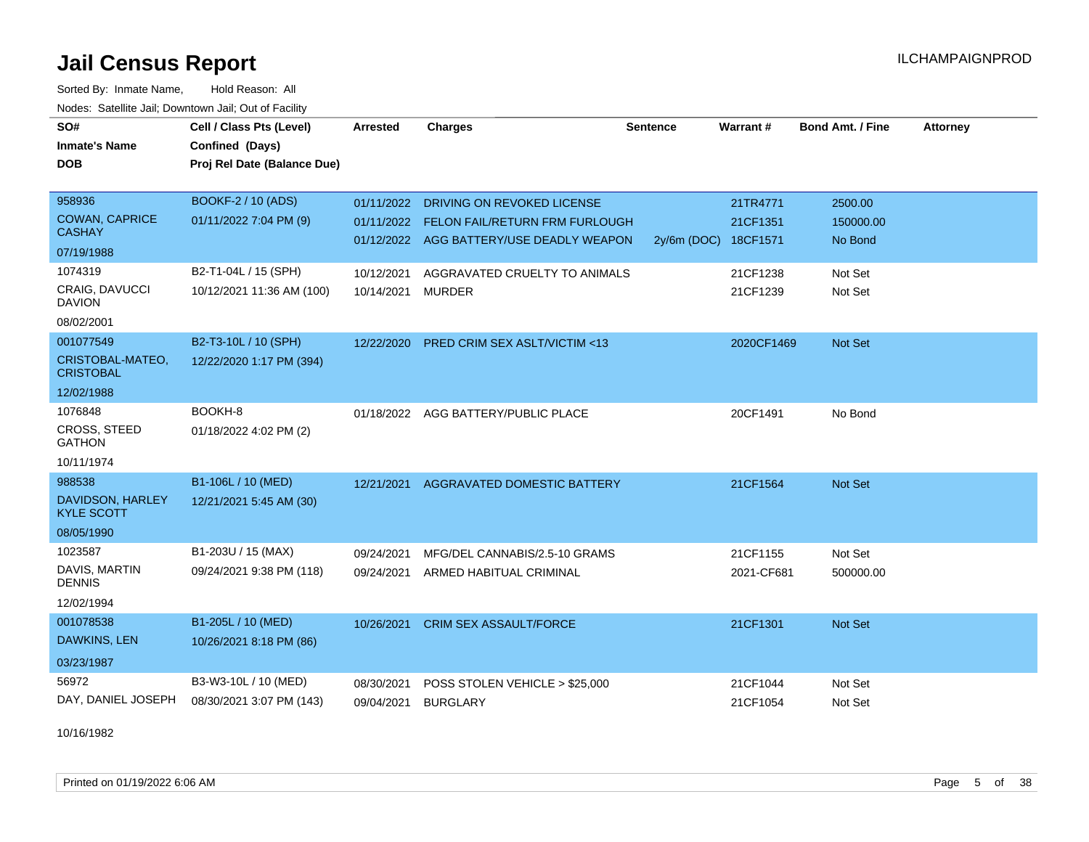Sorted By: Inmate Name, Hold Reason: All Nodes: Satellite Jail; Downtown Jail; Out of Facility

| SO#<br><b>Inmate's Name</b>                                     | Cell / Class Pts (Level)<br>Confined (Days)       | <b>Arrested</b>          | <b>Charges</b>                                                                                                  | <b>Sentence</b> | <b>Warrant#</b>                              | <b>Bond Amt. / Fine</b>         | <b>Attorney</b> |
|-----------------------------------------------------------------|---------------------------------------------------|--------------------------|-----------------------------------------------------------------------------------------------------------------|-----------------|----------------------------------------------|---------------------------------|-----------------|
| <b>DOB</b>                                                      | Proj Rel Date (Balance Due)                       |                          |                                                                                                                 |                 |                                              |                                 |                 |
| 958936<br><b>COWAN, CAPRICE</b><br><b>CASHAY</b><br>07/19/1988  | BOOKF-2 / 10 (ADS)<br>01/11/2022 7:04 PM (9)      | 01/11/2022<br>01/11/2022 | <b>DRIVING ON REVOKED LICENSE</b><br>FELON FAIL/RETURN FRM FURLOUGH<br>01/12/2022 AGG BATTERY/USE DEADLY WEAPON |                 | 21TR4771<br>21CF1351<br>2y/6m (DOC) 18CF1571 | 2500.00<br>150000.00<br>No Bond |                 |
| 1074319<br>CRAIG, DAVUCCI<br><b>DAVION</b><br>08/02/2001        | B2-T1-04L / 15 (SPH)<br>10/12/2021 11:36 AM (100) | 10/12/2021<br>10/14/2021 | AGGRAVATED CRUELTY TO ANIMALS<br><b>MURDER</b>                                                                  |                 | 21CF1238<br>21CF1239                         | Not Set<br>Not Set              |                 |
| 001077549<br>CRISTOBAL-MATEO,<br><b>CRISTOBAL</b><br>12/02/1988 | B2-T3-10L / 10 (SPH)<br>12/22/2020 1:17 PM (394)  | 12/22/2020               | PRED CRIM SEX ASLT/VICTIM <13                                                                                   |                 | 2020CF1469                                   | Not Set                         |                 |
| 1076848<br>CROSS, STEED<br><b>GATHON</b><br>10/11/1974          | BOOKH-8<br>01/18/2022 4:02 PM (2)                 |                          | 01/18/2022 AGG BATTERY/PUBLIC PLACE                                                                             |                 | 20CF1491                                     | No Bond                         |                 |
| 988538<br>DAVIDSON, HARLEY<br><b>KYLE SCOTT</b><br>08/05/1990   | B1-106L / 10 (MED)<br>12/21/2021 5:45 AM (30)     | 12/21/2021               | <b>AGGRAVATED DOMESTIC BATTERY</b>                                                                              |                 | 21CF1564                                     | Not Set                         |                 |
| 1023587<br>DAVIS, MARTIN<br><b>DENNIS</b><br>12/02/1994         | B1-203U / 15 (MAX)<br>09/24/2021 9:38 PM (118)    | 09/24/2021<br>09/24/2021 | MFG/DEL CANNABIS/2.5-10 GRAMS<br>ARMED HABITUAL CRIMINAL                                                        |                 | 21CF1155<br>2021-CF681                       | Not Set<br>500000.00            |                 |
| 001078538<br>DAWKINS, LEN<br>03/23/1987                         | B1-205L / 10 (MED)<br>10/26/2021 8:18 PM (86)     | 10/26/2021               | <b>CRIM SEX ASSAULT/FORCE</b>                                                                                   |                 | 21CF1301                                     | Not Set                         |                 |
| 56972<br>DAY, DANIEL JOSEPH                                     | B3-W3-10L / 10 (MED)<br>08/30/2021 3:07 PM (143)  | 08/30/2021<br>09/04/2021 | POSS STOLEN VEHICLE > \$25,000<br><b>BURGLARY</b>                                                               |                 | 21CF1044<br>21CF1054                         | Not Set<br>Not Set              |                 |

10/16/1982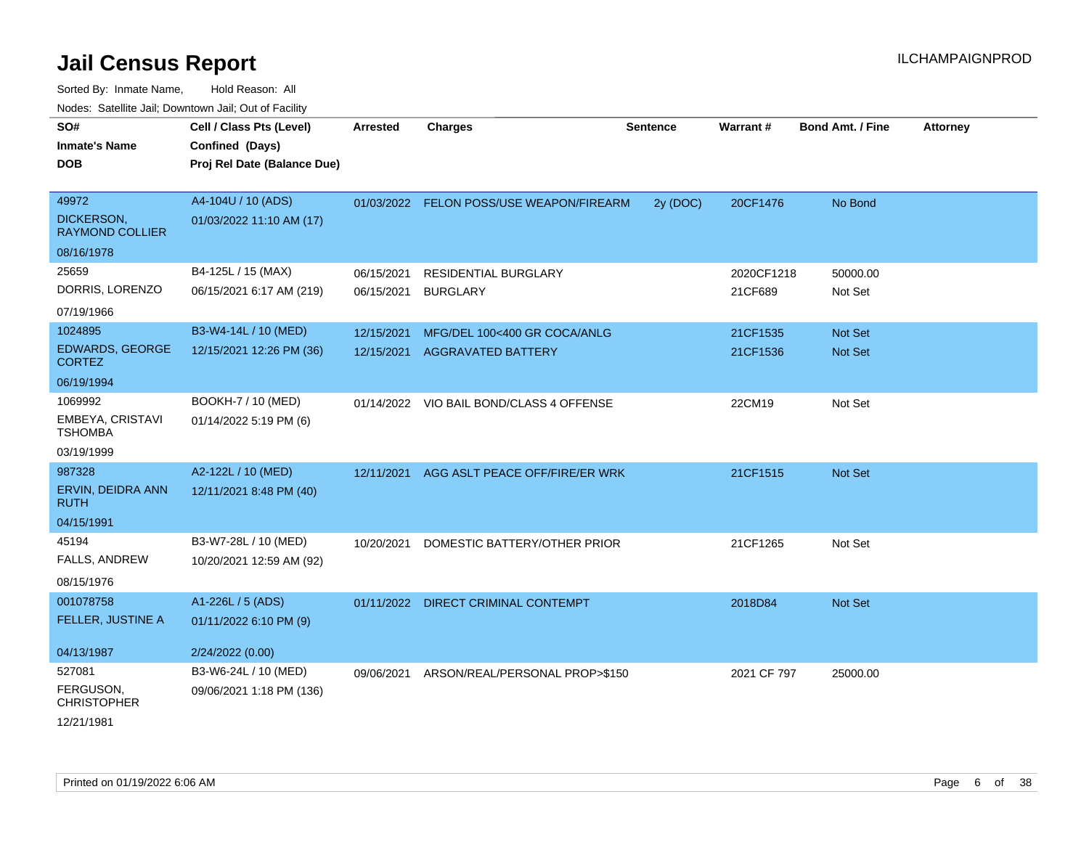| SO#<br><b>Inmate's Name</b><br><b>DOB</b> | Cell / Class Pts (Level)<br>Confined (Days)<br>Proj Rel Date (Balance Due) | Arrested   | <b>Charges</b>                            | <b>Sentence</b> | Warrant#    | Bond Amt. / Fine | <b>Attorney</b> |
|-------------------------------------------|----------------------------------------------------------------------------|------------|-------------------------------------------|-----------------|-------------|------------------|-----------------|
| 49972                                     | A4-104U / 10 (ADS)                                                         |            | 01/03/2022 FELON POSS/USE WEAPON/FIREARM  | 2y (DOC)        | 20CF1476    | No Bond          |                 |
| DICKERSON,<br><b>RAYMOND COLLIER</b>      | 01/03/2022 11:10 AM (17)                                                   |            |                                           |                 |             |                  |                 |
| 08/16/1978                                |                                                                            |            |                                           |                 |             |                  |                 |
| 25659                                     | B4-125L / 15 (MAX)                                                         | 06/15/2021 | <b>RESIDENTIAL BURGLARY</b>               |                 | 2020CF1218  | 50000.00         |                 |
| DORRIS, LORENZO                           | 06/15/2021 6:17 AM (219)                                                   | 06/15/2021 | <b>BURGLARY</b>                           |                 | 21CF689     | Not Set          |                 |
| 07/19/1966                                |                                                                            |            |                                           |                 |             |                  |                 |
| 1024895                                   | B3-W4-14L / 10 (MED)                                                       | 12/15/2021 | MFG/DEL 100<400 GR COCA/ANLG              |                 | 21CF1535    | Not Set          |                 |
| <b>EDWARDS, GEORGE</b><br><b>CORTEZ</b>   | 12/15/2021 12:26 PM (36)                                                   |            | 12/15/2021 AGGRAVATED BATTERY             |                 | 21CF1536    | Not Set          |                 |
| 06/19/1994                                |                                                                            |            |                                           |                 |             |                  |                 |
| 1069992                                   | BOOKH-7 / 10 (MED)                                                         |            | 01/14/2022 VIO BAIL BOND/CLASS 4 OFFENSE  |                 | 22CM19      | Not Set          |                 |
| EMBEYA, CRISTAVI<br><b>TSHOMBA</b>        | 01/14/2022 5:19 PM (6)                                                     |            |                                           |                 |             |                  |                 |
| 03/19/1999                                |                                                                            |            |                                           |                 |             |                  |                 |
| 987328                                    | A2-122L / 10 (MED)                                                         |            | 12/11/2021 AGG ASLT PEACE OFF/FIRE/ER WRK |                 | 21CF1515    | Not Set          |                 |
| ERVIN, DEIDRA ANN<br><b>RUTH</b>          | 12/11/2021 8:48 PM (40)                                                    |            |                                           |                 |             |                  |                 |
| 04/15/1991                                |                                                                            |            |                                           |                 |             |                  |                 |
| 45194                                     | B3-W7-28L / 10 (MED)                                                       | 10/20/2021 | DOMESTIC BATTERY/OTHER PRIOR              |                 | 21CF1265    | Not Set          |                 |
| FALLS, ANDREW                             | 10/20/2021 12:59 AM (92)                                                   |            |                                           |                 |             |                  |                 |
| 08/15/1976                                |                                                                            |            |                                           |                 |             |                  |                 |
| 001078758                                 | A1-226L / 5 (ADS)                                                          |            | 01/11/2022 DIRECT CRIMINAL CONTEMPT       |                 | 2018D84     | Not Set          |                 |
| FELLER, JUSTINE A                         | 01/11/2022 6:10 PM (9)                                                     |            |                                           |                 |             |                  |                 |
| 04/13/1987                                | 2/24/2022 (0.00)                                                           |            |                                           |                 |             |                  |                 |
| 527081                                    | B3-W6-24L / 10 (MED)                                                       |            | 09/06/2021 ARSON/REAL/PERSONAL PROP>\$150 |                 | 2021 CF 797 | 25000.00         |                 |
| FERGUSON,<br><b>CHRISTOPHER</b>           | 09/06/2021 1:18 PM (136)                                                   |            |                                           |                 |             |                  |                 |
| 12/21/1981                                |                                                                            |            |                                           |                 |             |                  |                 |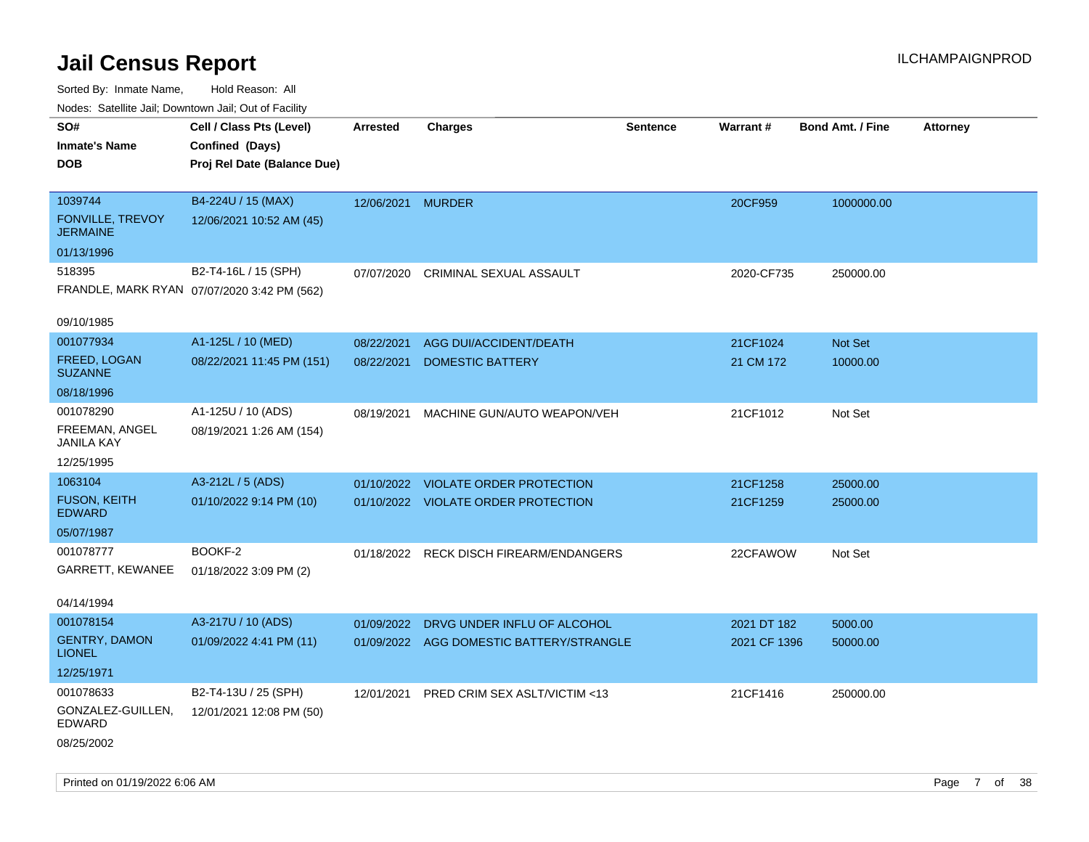| ivuutos. Saltiilit Jall, Duwilluwii Jall, Oul of Facility |                                             |                   |                                          |                 |              |                         |                 |
|-----------------------------------------------------------|---------------------------------------------|-------------------|------------------------------------------|-----------------|--------------|-------------------------|-----------------|
| SO#                                                       | Cell / Class Pts (Level)                    | Arrested          | <b>Charges</b>                           | <b>Sentence</b> | Warrant#     | <b>Bond Amt. / Fine</b> | <b>Attorney</b> |
| <b>Inmate's Name</b>                                      | Confined (Days)                             |                   |                                          |                 |              |                         |                 |
| <b>DOB</b>                                                | Proj Rel Date (Balance Due)                 |                   |                                          |                 |              |                         |                 |
|                                                           |                                             |                   |                                          |                 |              |                         |                 |
| 1039744                                                   | B4-224U / 15 (MAX)                          | 12/06/2021 MURDER |                                          |                 | 20CF959      | 1000000.00              |                 |
| FONVILLE, TREVOY<br><b>JERMAINE</b>                       | 12/06/2021 10:52 AM (45)                    |                   |                                          |                 |              |                         |                 |
| 01/13/1996                                                |                                             |                   |                                          |                 |              |                         |                 |
| 518395                                                    | B2-T4-16L / 15 (SPH)                        | 07/07/2020        | CRIMINAL SEXUAL ASSAULT                  |                 | 2020-CF735   | 250000.00               |                 |
|                                                           | FRANDLE, MARK RYAN 07/07/2020 3:42 PM (562) |                   |                                          |                 |              |                         |                 |
|                                                           |                                             |                   |                                          |                 |              |                         |                 |
| 09/10/1985                                                |                                             |                   |                                          |                 |              |                         |                 |
| 001077934                                                 | A1-125L / 10 (MED)                          | 08/22/2021        | AGG DUI/ACCIDENT/DEATH                   |                 | 21CF1024     | Not Set                 |                 |
| FREED, LOGAN<br><b>SUZANNE</b>                            | 08/22/2021 11:45 PM (151)                   | 08/22/2021        | <b>DOMESTIC BATTERY</b>                  |                 | 21 CM 172    | 10000.00                |                 |
| 08/18/1996                                                |                                             |                   |                                          |                 |              |                         |                 |
| 001078290                                                 | A1-125U / 10 (ADS)                          | 08/19/2021        | MACHINE GUN/AUTO WEAPON/VEH              |                 | 21CF1012     | Not Set                 |                 |
| FREEMAN, ANGEL<br>JANILA KAY                              | 08/19/2021 1:26 AM (154)                    |                   |                                          |                 |              |                         |                 |
| 12/25/1995                                                |                                             |                   |                                          |                 |              |                         |                 |
| 1063104                                                   | A3-212L / 5 (ADS)                           | 01/10/2022        | <b>VIOLATE ORDER PROTECTION</b>          |                 | 21CF1258     | 25000.00                |                 |
| <b>FUSON, KEITH</b>                                       | 01/10/2022 9:14 PM (10)                     |                   | 01/10/2022 VIOLATE ORDER PROTECTION      |                 | 21CF1259     | 25000.00                |                 |
| <b>EDWARD</b>                                             |                                             |                   |                                          |                 |              |                         |                 |
| 05/07/1987                                                |                                             |                   |                                          |                 |              |                         |                 |
| 001078777                                                 | BOOKF-2                                     | 01/18/2022        | <b>RECK DISCH FIREARM/ENDANGERS</b>      |                 | 22CFAWOW     | Not Set                 |                 |
| GARRETT, KEWANEE                                          | 01/18/2022 3:09 PM (2)                      |                   |                                          |                 |              |                         |                 |
|                                                           |                                             |                   |                                          |                 |              |                         |                 |
| 04/14/1994                                                |                                             |                   |                                          |                 |              |                         |                 |
| 001078154                                                 | A3-217U / 10 (ADS)                          | 01/09/2022        | DRVG UNDER INFLU OF ALCOHOL              |                 | 2021 DT 182  | 5000.00                 |                 |
| <b>GENTRY, DAMON</b><br><b>LIONEL</b>                     | 01/09/2022 4:41 PM (11)                     |                   | 01/09/2022 AGG DOMESTIC BATTERY/STRANGLE |                 | 2021 CF 1396 | 50000.00                |                 |
| 12/25/1971                                                |                                             |                   |                                          |                 |              |                         |                 |
| 001078633                                                 | B2-T4-13U / 25 (SPH)                        |                   |                                          |                 |              |                         |                 |
| GONZALEZ-GUILLEN,                                         |                                             | 12/01/2021        | PRED CRIM SEX ASLT/VICTIM <13            |                 | 21CF1416     | 250000.00               |                 |
| <b>EDWARD</b>                                             | 12/01/2021 12:08 PM (50)                    |                   |                                          |                 |              |                         |                 |
| 08/25/2002                                                |                                             |                   |                                          |                 |              |                         |                 |
|                                                           |                                             |                   |                                          |                 |              |                         |                 |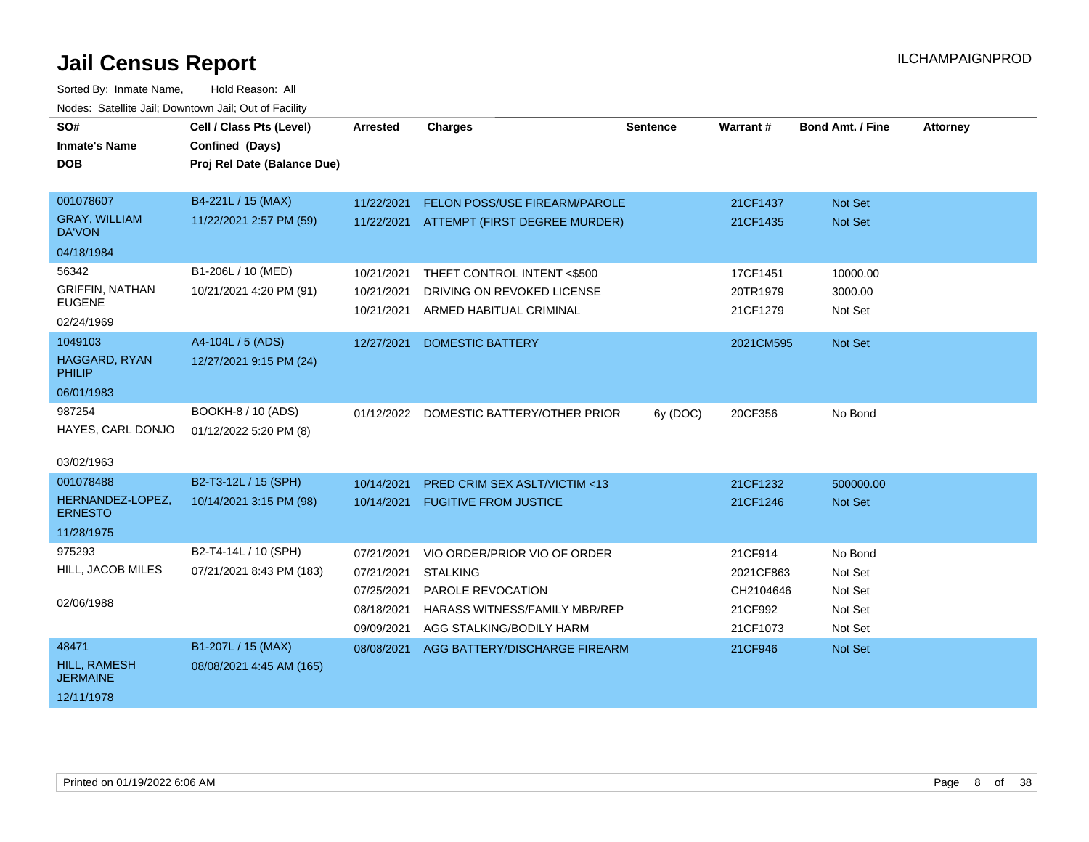| SO#<br><b>Inmate's Name</b><br><b>DOB</b> | Cell / Class Pts (Level)<br>Confined (Days)<br>Proj Rel Date (Balance Due) | <b>Arrested</b> | <b>Charges</b>                           | <b>Sentence</b> | Warrant#  | <b>Bond Amt. / Fine</b> | <b>Attorney</b> |
|-------------------------------------------|----------------------------------------------------------------------------|-----------------|------------------------------------------|-----------------|-----------|-------------------------|-----------------|
| 001078607                                 | B4-221L / 15 (MAX)                                                         | 11/22/2021      | FELON POSS/USE FIREARM/PAROLE            |                 | 21CF1437  | <b>Not Set</b>          |                 |
| <b>GRAY, WILLIAM</b><br><b>DA'VON</b>     | 11/22/2021 2:57 PM (59)                                                    |                 | 11/22/2021 ATTEMPT (FIRST DEGREE MURDER) |                 | 21CF1435  | <b>Not Set</b>          |                 |
| 04/18/1984                                |                                                                            |                 |                                          |                 |           |                         |                 |
| 56342                                     | B1-206L / 10 (MED)                                                         | 10/21/2021      | THEFT CONTROL INTENT <\$500              |                 | 17CF1451  | 10000.00                |                 |
| <b>GRIFFIN, NATHAN</b>                    | 10/21/2021 4:20 PM (91)                                                    | 10/21/2021      | DRIVING ON REVOKED LICENSE               |                 | 20TR1979  | 3000.00                 |                 |
| <b>EUGENE</b><br>02/24/1969               |                                                                            | 10/21/2021      | ARMED HABITUAL CRIMINAL                  |                 | 21CF1279  | Not Set                 |                 |
| 1049103                                   | A4-104L / 5 (ADS)                                                          | 12/27/2021      | <b>DOMESTIC BATTERY</b>                  |                 | 2021CM595 | Not Set                 |                 |
| HAGGARD, RYAN<br><b>PHILIP</b>            | 12/27/2021 9:15 PM (24)                                                    |                 |                                          |                 |           |                         |                 |
| 06/01/1983                                |                                                                            |                 |                                          |                 |           |                         |                 |
| 987254                                    | BOOKH-8 / 10 (ADS)                                                         | 01/12/2022      | DOMESTIC BATTERY/OTHER PRIOR             | 6y (DOC)        | 20CF356   | No Bond                 |                 |
| HAYES, CARL DONJO                         | 01/12/2022 5:20 PM (8)                                                     |                 |                                          |                 |           |                         |                 |
| 03/02/1963                                |                                                                            |                 |                                          |                 |           |                         |                 |
| 001078488                                 | B2-T3-12L / 15 (SPH)                                                       | 10/14/2021      | <b>PRED CRIM SEX ASLT/VICTIM &lt;13</b>  |                 | 21CF1232  | 500000.00               |                 |
| HERNANDEZ-LOPEZ,<br><b>ERNESTO</b>        | 10/14/2021 3:15 PM (98)                                                    | 10/14/2021      | <b>FUGITIVE FROM JUSTICE</b>             |                 | 21CF1246  | Not Set                 |                 |
| 11/28/1975                                |                                                                            |                 |                                          |                 |           |                         |                 |
| 975293                                    | B2-T4-14L / 10 (SPH)                                                       | 07/21/2021      | VIO ORDER/PRIOR VIO OF ORDER             |                 | 21CF914   | No Bond                 |                 |
| HILL, JACOB MILES                         | 07/21/2021 8:43 PM (183)                                                   | 07/21/2021      | <b>STALKING</b>                          |                 | 2021CF863 | Not Set                 |                 |
|                                           |                                                                            | 07/25/2021      | PAROLE REVOCATION                        |                 | CH2104646 | Not Set                 |                 |
| 02/06/1988                                |                                                                            | 08/18/2021      | <b>HARASS WITNESS/FAMILY MBR/REP</b>     |                 | 21CF992   | Not Set                 |                 |
|                                           |                                                                            | 09/09/2021      | AGG STALKING/BODILY HARM                 |                 | 21CF1073  | Not Set                 |                 |
| 48471                                     | B1-207L / 15 (MAX)                                                         | 08/08/2021      | AGG BATTERY/DISCHARGE FIREARM            |                 | 21CF946   | <b>Not Set</b>          |                 |
| <b>HILL, RAMESH</b><br><b>JERMAINE</b>    | 08/08/2021 4:45 AM (165)                                                   |                 |                                          |                 |           |                         |                 |
| 12/11/1978                                |                                                                            |                 |                                          |                 |           |                         |                 |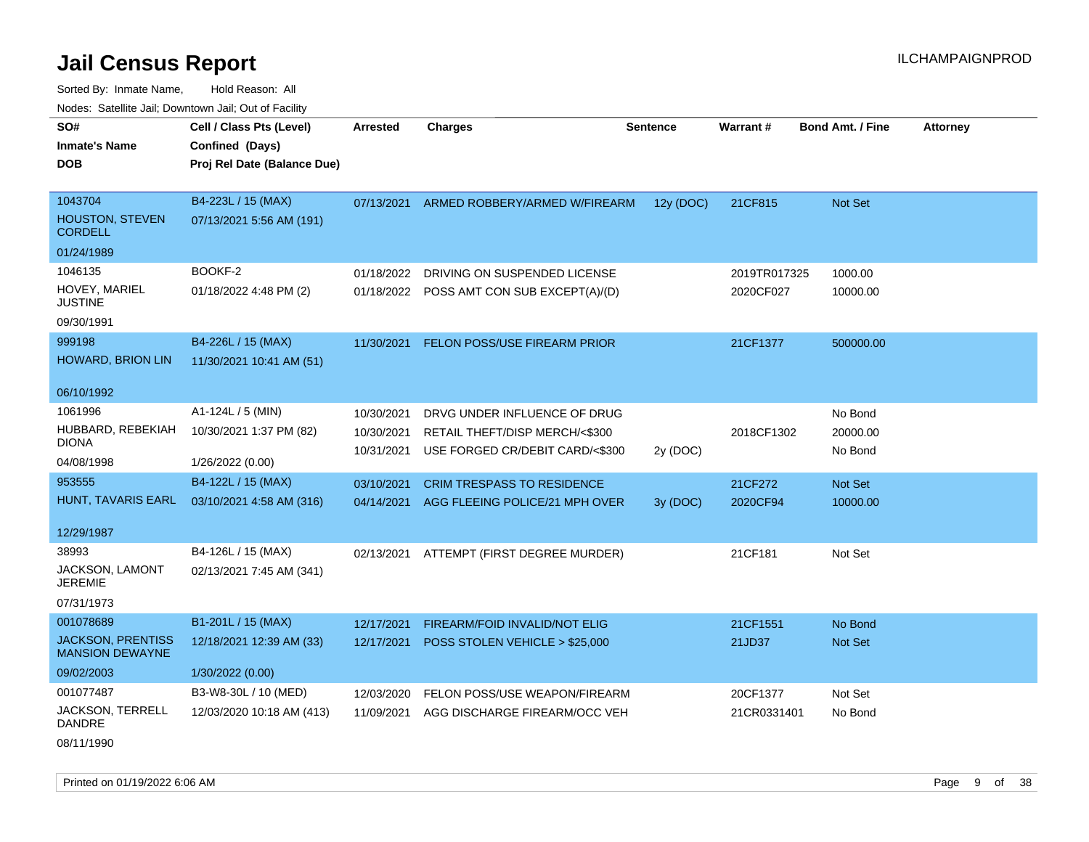| rougs. Calcing Jan, Downtown Jan, Out of Facinty   |                             |                 |                                           |                 |              |                         |                 |
|----------------------------------------------------|-----------------------------|-----------------|-------------------------------------------|-----------------|--------------|-------------------------|-----------------|
| SO#                                                | Cell / Class Pts (Level)    | <b>Arrested</b> | <b>Charges</b>                            | <b>Sentence</b> | Warrant#     | <b>Bond Amt. / Fine</b> | <b>Attorney</b> |
| <b>Inmate's Name</b>                               | Confined (Days)             |                 |                                           |                 |              |                         |                 |
| <b>DOB</b>                                         | Proj Rel Date (Balance Due) |                 |                                           |                 |              |                         |                 |
|                                                    |                             |                 |                                           |                 |              |                         |                 |
| 1043704                                            | B4-223L / 15 (MAX)          |                 | 07/13/2021 ARMED ROBBERY/ARMED W/FIREARM  | 12y (DOC)       | 21CF815      | Not Set                 |                 |
| <b>HOUSTON, STEVEN</b><br><b>CORDELL</b>           | 07/13/2021 5:56 AM (191)    |                 |                                           |                 |              |                         |                 |
| 01/24/1989                                         |                             |                 |                                           |                 |              |                         |                 |
| 1046135                                            | BOOKF-2                     | 01/18/2022      | DRIVING ON SUSPENDED LICENSE              |                 | 2019TR017325 | 1000.00                 |                 |
| HOVEY, MARIEL<br><b>JUSTINE</b>                    | 01/18/2022 4:48 PM (2)      |                 | 01/18/2022 POSS AMT CON SUB EXCEPT(A)/(D) |                 | 2020CF027    | 10000.00                |                 |
| 09/30/1991                                         |                             |                 |                                           |                 |              |                         |                 |
| 999198                                             | B4-226L / 15 (MAX)          | 11/30/2021      | FELON POSS/USE FIREARM PRIOR              |                 | 21CF1377     | 500000.00               |                 |
| HOWARD, BRION LIN                                  | 11/30/2021 10:41 AM (51)    |                 |                                           |                 |              |                         |                 |
|                                                    |                             |                 |                                           |                 |              |                         |                 |
| 06/10/1992                                         |                             |                 |                                           |                 |              |                         |                 |
| 1061996                                            | A1-124L / 5 (MIN)           | 10/30/2021      | DRVG UNDER INFLUENCE OF DRUG              |                 |              | No Bond                 |                 |
| HUBBARD, REBEKIAH                                  | 10/30/2021 1:37 PM (82)     | 10/30/2021      | RETAIL THEFT/DISP MERCH/<\$300            |                 | 2018CF1302   | 20000.00                |                 |
| <b>DIONA</b>                                       |                             | 10/31/2021      | USE FORGED CR/DEBIT CARD/<\$300           | 2y (DOC)        |              | No Bond                 |                 |
| 04/08/1998                                         | 1/26/2022 (0.00)            |                 |                                           |                 |              |                         |                 |
| 953555                                             | B4-122L / 15 (MAX)          | 03/10/2021      | <b>CRIM TRESPASS TO RESIDENCE</b>         |                 | 21CF272      | Not Set                 |                 |
| HUNT, TAVARIS EARL                                 | 03/10/2021 4:58 AM (316)    |                 | 04/14/2021 AGG FLEEING POLICE/21 MPH OVER | 3y (DOC)        | 2020CF94     | 10000.00                |                 |
|                                                    |                             |                 |                                           |                 |              |                         |                 |
| 12/29/1987                                         |                             |                 |                                           |                 |              |                         |                 |
| 38993                                              | B4-126L / 15 (MAX)          | 02/13/2021      | ATTEMPT (FIRST DEGREE MURDER)             |                 | 21CF181      | Not Set                 |                 |
| <b>JACKSON, LAMONT</b><br><b>JEREMIE</b>           | 02/13/2021 7:45 AM (341)    |                 |                                           |                 |              |                         |                 |
| 07/31/1973                                         |                             |                 |                                           |                 |              |                         |                 |
| 001078689                                          | B1-201L / 15 (MAX)          | 12/17/2021      | FIREARM/FOID INVALID/NOT ELIG             |                 | 21CF1551     | No Bond                 |                 |
| <b>JACKSON, PRENTISS</b><br><b>MANSION DEWAYNE</b> | 12/18/2021 12:39 AM (33)    | 12/17/2021      | POSS STOLEN VEHICLE > \$25,000            |                 | 21JD37       | Not Set                 |                 |
| 09/02/2003                                         | 1/30/2022(0.00)             |                 |                                           |                 |              |                         |                 |
| 001077487                                          | B3-W8-30L / 10 (MED)        | 12/03/2020      | FELON POSS/USE WEAPON/FIREARM             |                 | 20CF1377     | Not Set                 |                 |
| <b>JACKSON, TERRELL</b><br>DANDRE                  | 12/03/2020 10:18 AM (413)   | 11/09/2021      | AGG DISCHARGE FIREARM/OCC VEH             |                 | 21CR0331401  | No Bond                 |                 |
| 08/11/1990                                         |                             |                 |                                           |                 |              |                         |                 |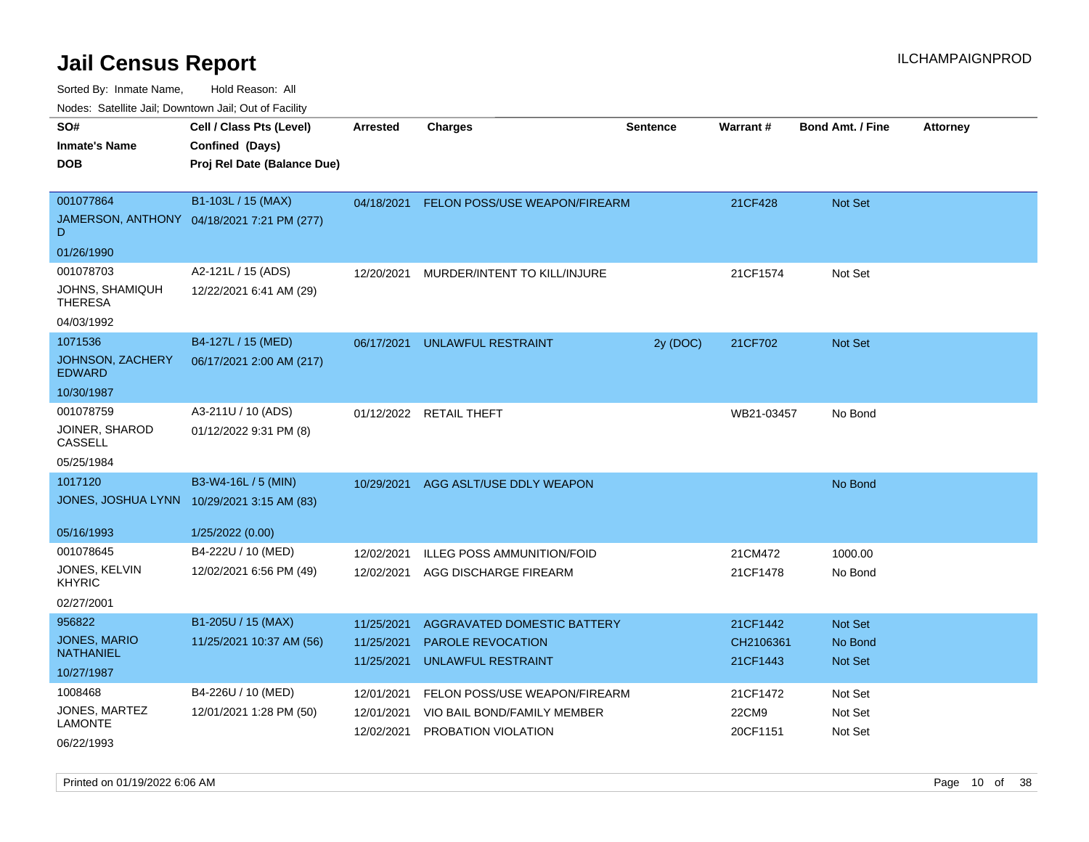Sorted By: Inmate Name, Hold Reason: All

Nodes: Satellite Jail; Downtown Jail; Out of Facility

| SO#                                     | Cell / Class Pts (Level)                   | <b>Arrested</b>          | <b>Charges</b>                                        | <b>Sentence</b> | Warrant#              | <b>Bond Amt. / Fine</b>   | <b>Attorney</b> |
|-----------------------------------------|--------------------------------------------|--------------------------|-------------------------------------------------------|-----------------|-----------------------|---------------------------|-----------------|
| <b>Inmate's Name</b>                    | Confined (Days)                            |                          |                                                       |                 |                       |                           |                 |
| <b>DOB</b>                              | Proj Rel Date (Balance Due)                |                          |                                                       |                 |                       |                           |                 |
|                                         |                                            |                          |                                                       |                 |                       |                           |                 |
| 001077864                               | B1-103L / 15 (MAX)                         | 04/18/2021               | <b>FELON POSS/USE WEAPON/FIREARM</b>                  |                 | 21CF428               | Not Set                   |                 |
| D                                       | JAMERSON, ANTHONY 04/18/2021 7:21 PM (277) |                          |                                                       |                 |                       |                           |                 |
| 01/26/1990                              |                                            |                          |                                                       |                 |                       |                           |                 |
| 001078703                               | A2-121L / 15 (ADS)                         | 12/20/2021               | MURDER/INTENT TO KILL/INJURE                          |                 | 21CF1574              | Not Set                   |                 |
| JOHNS, SHAMIQUH<br><b>THERESA</b>       | 12/22/2021 6:41 AM (29)                    |                          |                                                       |                 |                       |                           |                 |
| 04/03/1992                              |                                            |                          |                                                       |                 |                       |                           |                 |
| 1071536                                 | B4-127L / 15 (MED)                         | 06/17/2021               | <b>UNLAWFUL RESTRAINT</b>                             | 2y (DOC)        | 21CF702               | Not Set                   |                 |
| JOHNSON, ZACHERY<br><b>EDWARD</b>       | 06/17/2021 2:00 AM (217)                   |                          |                                                       |                 |                       |                           |                 |
| 10/30/1987                              |                                            |                          |                                                       |                 |                       |                           |                 |
| 001078759                               | A3-211U / 10 (ADS)                         |                          | 01/12/2022 RETAIL THEFT                               |                 | WB21-03457            | No Bond                   |                 |
| JOINER, SHAROD<br>CASSELL               | 01/12/2022 9:31 PM (8)                     |                          |                                                       |                 |                       |                           |                 |
| 05/25/1984                              |                                            |                          |                                                       |                 |                       |                           |                 |
| 1017120                                 | B3-W4-16L / 5 (MIN)                        | 10/29/2021               | AGG ASLT/USE DDLY WEAPON                              |                 |                       | No Bond                   |                 |
|                                         | JONES, JOSHUA LYNN 10/29/2021 3:15 AM (83) |                          |                                                       |                 |                       |                           |                 |
|                                         |                                            |                          |                                                       |                 |                       |                           |                 |
| 05/16/1993                              | 1/25/2022 (0.00)                           |                          |                                                       |                 |                       |                           |                 |
| 001078645                               | B4-222U / 10 (MED)                         | 12/02/2021               | <b>ILLEG POSS AMMUNITION/FOID</b>                     |                 | 21CM472               | 1000.00                   |                 |
| JONES, KELVIN<br><b>KHYRIC</b>          | 12/02/2021 6:56 PM (49)                    | 12/02/2021               | AGG DISCHARGE FIREARM                                 |                 | 21CF1478              | No Bond                   |                 |
| 02/27/2001                              |                                            |                          |                                                       |                 |                       |                           |                 |
| 956822                                  | B1-205U / 15 (MAX)                         | 11/25/2021               | AGGRAVATED DOMESTIC BATTERY                           |                 | 21CF1442              | Not Set                   |                 |
| <b>JONES, MARIO</b><br><b>NATHANIEL</b> | 11/25/2021 10:37 AM (56)                   | 11/25/2021<br>11/25/2021 | <b>PAROLE REVOCATION</b><br><b>UNLAWFUL RESTRAINT</b> |                 | CH2106361<br>21CF1443 | No Bond<br><b>Not Set</b> |                 |
| 10/27/1987                              |                                            |                          |                                                       |                 |                       |                           |                 |
| 1008468                                 | B4-226U / 10 (MED)                         | 12/01/2021               | FELON POSS/USE WEAPON/FIREARM                         |                 | 21CF1472              | Not Set                   |                 |
| JONES, MARTEZ                           | 12/01/2021 1:28 PM (50)                    | 12/01/2021               | VIO BAIL BOND/FAMILY MEMBER                           |                 | 22CM9                 | Not Set                   |                 |
| <b>LAMONTE</b>                          |                                            | 12/02/2021               | PROBATION VIOLATION                                   |                 | 20CF1151              | Not Set                   |                 |
| 06/22/1993                              |                                            |                          |                                                       |                 |                       |                           |                 |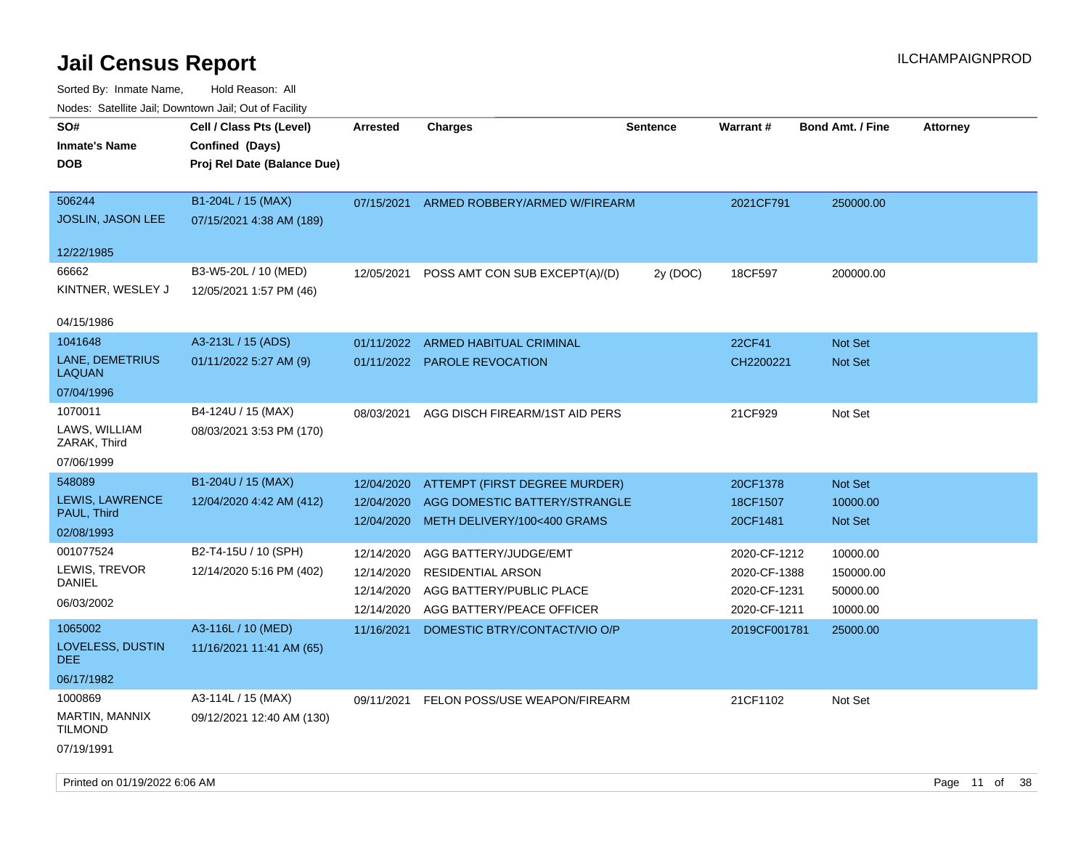| rouco. Calcillo Jali, Downtown Jali, Out of Facility                    |                                                                            |                                                      |                                                                                                            |                 |                                                              |                                               |                 |
|-------------------------------------------------------------------------|----------------------------------------------------------------------------|------------------------------------------------------|------------------------------------------------------------------------------------------------------------|-----------------|--------------------------------------------------------------|-----------------------------------------------|-----------------|
| SO#<br><b>Inmate's Name</b><br><b>DOB</b>                               | Cell / Class Pts (Level)<br>Confined (Days)<br>Proj Rel Date (Balance Due) | <b>Arrested</b>                                      | <b>Charges</b>                                                                                             | <b>Sentence</b> | Warrant#                                                     | <b>Bond Amt. / Fine</b>                       | <b>Attorney</b> |
| 506244<br><b>JOSLIN, JASON LEE</b>                                      | B1-204L / 15 (MAX)<br>07/15/2021 4:38 AM (189)                             | 07/15/2021                                           | ARMED ROBBERY/ARMED W/FIREARM                                                                              |                 | 2021CF791                                                    | 250000.00                                     |                 |
| 12/22/1985<br>66662<br>KINTNER, WESLEY J                                | B3-W5-20L / 10 (MED)<br>12/05/2021 1:57 PM (46)                            | 12/05/2021                                           | POSS AMT CON SUB EXCEPT(A)/(D)                                                                             | 2y (DOC)        | 18CF597                                                      | 200000.00                                     |                 |
| 04/15/1986<br>1041648<br>LANE, DEMETRIUS<br><b>LAQUAN</b><br>07/04/1996 | A3-213L / 15 (ADS)<br>01/11/2022 5:27 AM (9)                               | 01/11/2022                                           | <b>ARMED HABITUAL CRIMINAL</b><br>01/11/2022 PAROLE REVOCATION                                             |                 | 22CF41<br>CH2200221                                          | <b>Not Set</b><br>Not Set                     |                 |
| 1070011<br>LAWS, WILLIAM<br>ZARAK, Third<br>07/06/1999                  | B4-124U / 15 (MAX)<br>08/03/2021 3:53 PM (170)                             | 08/03/2021                                           | AGG DISCH FIREARM/1ST AID PERS                                                                             |                 | 21CF929                                                      | Not Set                                       |                 |
| 548089<br>LEWIS, LAWRENCE<br>PAUL, Third<br>02/08/1993                  | B1-204U / 15 (MAX)<br>12/04/2020 4:42 AM (412)                             | 12/04/2020<br>12/04/2020                             | ATTEMPT (FIRST DEGREE MURDER)<br>AGG DOMESTIC BATTERY/STRANGLE<br>12/04/2020 METH DELIVERY/100<400 GRAMS   |                 | 20CF1378<br>18CF1507<br>20CF1481                             | Not Set<br>10000.00<br>Not Set                |                 |
| 001077524<br>LEWIS, TREVOR<br>DANIEL<br>06/03/2002                      | B2-T4-15U / 10 (SPH)<br>12/14/2020 5:16 PM (402)                           | 12/14/2020<br>12/14/2020<br>12/14/2020<br>12/14/2020 | AGG BATTERY/JUDGE/EMT<br><b>RESIDENTIAL ARSON</b><br>AGG BATTERY/PUBLIC PLACE<br>AGG BATTERY/PEACE OFFICER |                 | 2020-CF-1212<br>2020-CF-1388<br>2020-CF-1231<br>2020-CF-1211 | 10000.00<br>150000.00<br>50000.00<br>10000.00 |                 |
| 1065002<br>LOVELESS, DUSTIN<br>DEE<br>06/17/1982                        | A3-116L / 10 (MED)<br>11/16/2021 11:41 AM (65)                             | 11/16/2021                                           | DOMESTIC BTRY/CONTACT/VIO O/P                                                                              |                 | 2019CF001781                                                 | 25000.00                                      |                 |
| 1000869<br>MARTIN, MANNIX<br><b>TILMOND</b><br>07/19/1991               | A3-114L / 15 (MAX)<br>09/12/2021 12:40 AM (130)                            |                                                      | 09/11/2021 FELON POSS/USE WEAPON/FIREARM                                                                   |                 | 21CF1102                                                     | Not Set                                       |                 |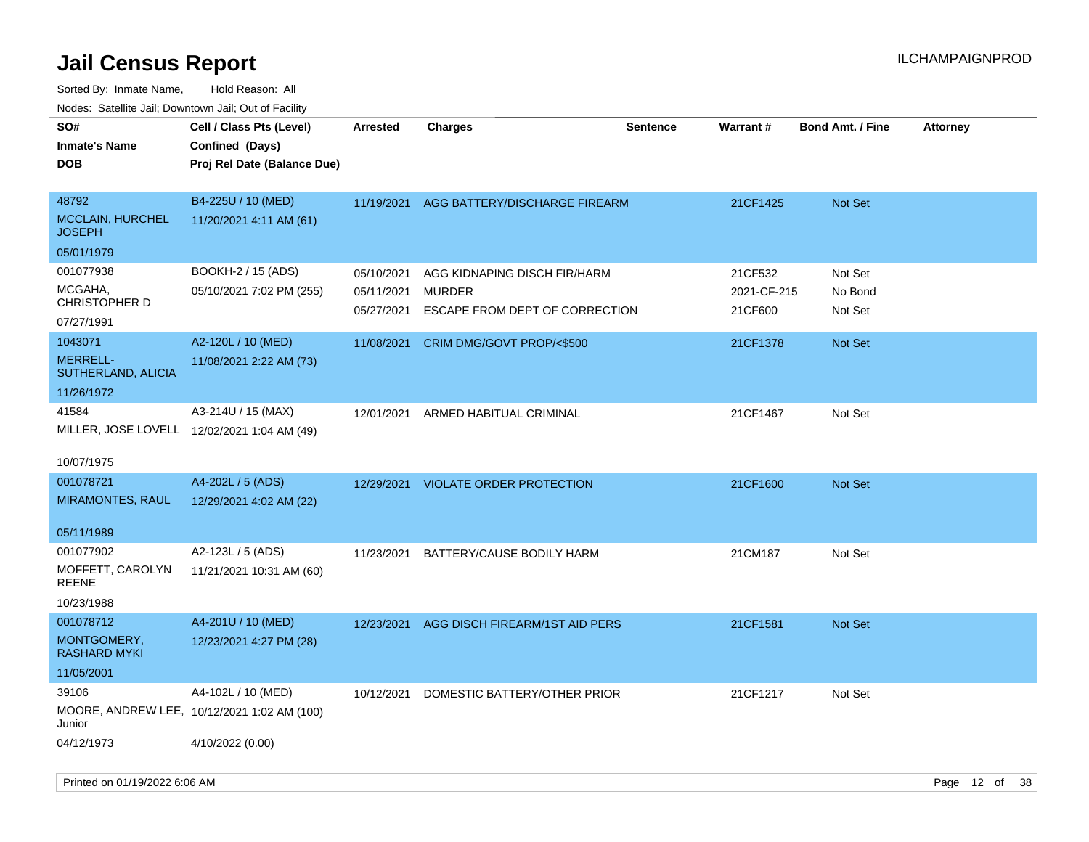| roacs. Calcinic Jan, Downtown Jan, Out of Facility |                                                                            |                          |                                                 |                 |                        |                         |                 |
|----------------------------------------------------|----------------------------------------------------------------------------|--------------------------|-------------------------------------------------|-----------------|------------------------|-------------------------|-----------------|
| SO#<br><b>Inmate's Name</b><br><b>DOB</b>          | Cell / Class Pts (Level)<br>Confined (Days)<br>Proj Rel Date (Balance Due) | <b>Arrested</b>          | <b>Charges</b>                                  | <b>Sentence</b> | Warrant#               | <b>Bond Amt. / Fine</b> | <b>Attorney</b> |
| 48792<br><b>MCCLAIN, HURCHEL</b><br><b>JOSEPH</b>  | B4-225U / 10 (MED)<br>11/20/2021 4:11 AM (61)                              | 11/19/2021               | AGG BATTERY/DISCHARGE FIREARM                   |                 | 21CF1425               | <b>Not Set</b>          |                 |
| 05/01/1979                                         |                                                                            |                          |                                                 |                 |                        |                         |                 |
| 001077938                                          | BOOKH-2 / 15 (ADS)                                                         | 05/10/2021               | AGG KIDNAPING DISCH FIR/HARM                    |                 | 21CF532                | Not Set                 |                 |
| MCGAHA,<br><b>CHRISTOPHER D</b>                    | 05/10/2021 7:02 PM (255)                                                   | 05/11/2021<br>05/27/2021 | <b>MURDER</b><br>ESCAPE FROM DEPT OF CORRECTION |                 | 2021-CF-215<br>21CF600 | No Bond<br>Not Set      |                 |
| 07/27/1991                                         |                                                                            |                          |                                                 |                 |                        |                         |                 |
| 1043071                                            | A2-120L / 10 (MED)                                                         | 11/08/2021               | CRIM DMG/GOVT PROP/<\$500                       |                 | 21CF1378               | Not Set                 |                 |
| <b>MERRELL-</b><br>SUTHERLAND, ALICIA              | 11/08/2021 2:22 AM (73)                                                    |                          |                                                 |                 |                        |                         |                 |
| 11/26/1972                                         |                                                                            |                          |                                                 |                 |                        |                         |                 |
| 41584                                              | A3-214U / 15 (MAX)                                                         |                          | 12/01/2021 ARMED HABITUAL CRIMINAL              |                 | 21CF1467               | Not Set                 |                 |
| MILLER, JOSE LOVELL 12/02/2021 1:04 AM (49)        |                                                                            |                          |                                                 |                 |                        |                         |                 |
| 10/07/1975                                         |                                                                            |                          |                                                 |                 |                        |                         |                 |
| 001078721                                          | A4-202L / 5 (ADS)                                                          |                          | 12/29/2021 VIOLATE ORDER PROTECTION             |                 | 21CF1600               | <b>Not Set</b>          |                 |
| MIRAMONTES, RAUL                                   | 12/29/2021 4:02 AM (22)                                                    |                          |                                                 |                 |                        |                         |                 |
| 05/11/1989                                         |                                                                            |                          |                                                 |                 |                        |                         |                 |
| 001077902                                          | A2-123L / 5 (ADS)                                                          | 11/23/2021               | BATTERY/CAUSE BODILY HARM                       |                 | 21CM187                | Not Set                 |                 |
| MOFFETT, CAROLYN<br><b>REENE</b>                   | 11/21/2021 10:31 AM (60)                                                   |                          |                                                 |                 |                        |                         |                 |
| 10/23/1988                                         |                                                                            |                          |                                                 |                 |                        |                         |                 |
| 001078712                                          | A4-201U / 10 (MED)                                                         | 12/23/2021               | AGG DISCH FIREARM/1ST AID PERS                  |                 | 21CF1581               | <b>Not Set</b>          |                 |
| MONTGOMERY,<br><b>RASHARD MYKI</b>                 | 12/23/2021 4:27 PM (28)                                                    |                          |                                                 |                 |                        |                         |                 |
| 11/05/2001                                         |                                                                            |                          |                                                 |                 |                        |                         |                 |
| 39106                                              | A4-102L / 10 (MED)                                                         | 10/12/2021               | DOMESTIC BATTERY/OTHER PRIOR                    |                 | 21CF1217               | Not Set                 |                 |
| Junior                                             | MOORE, ANDREW LEE, 10/12/2021 1:02 AM (100)                                |                          |                                                 |                 |                        |                         |                 |
| 04/12/1973                                         | 4/10/2022 (0.00)                                                           |                          |                                                 |                 |                        |                         |                 |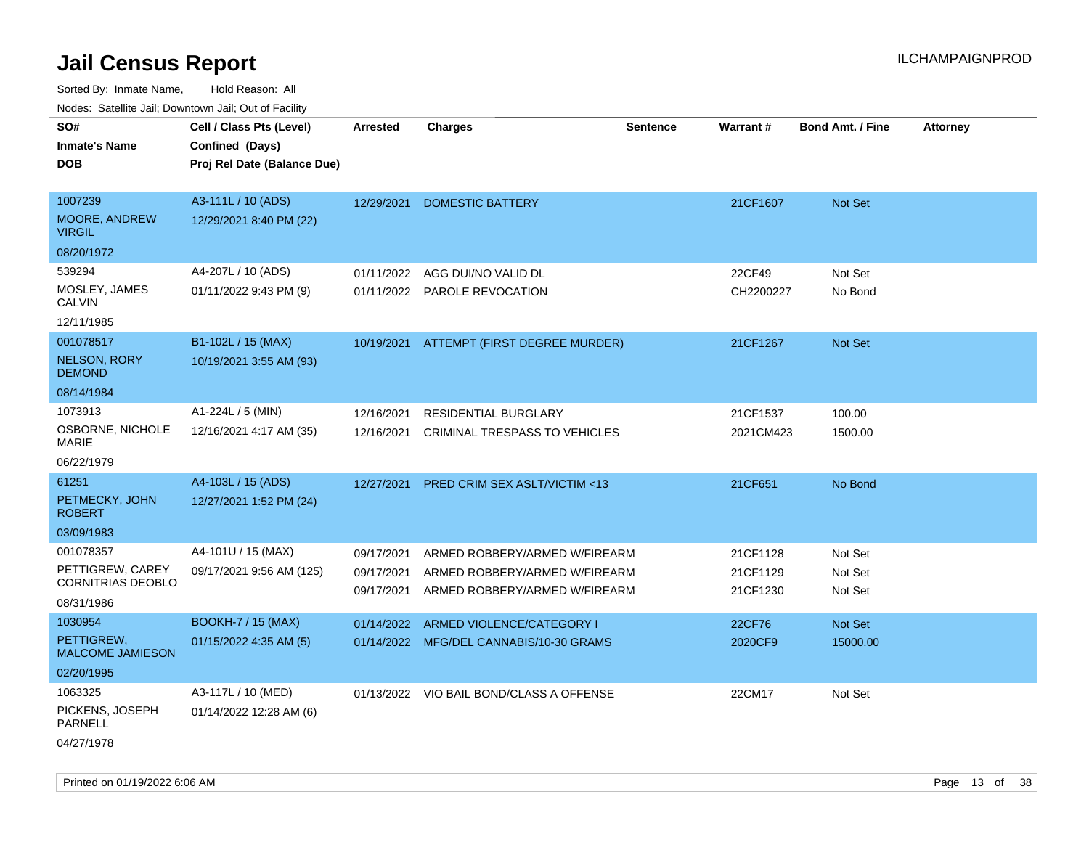| Noues. Salemie Jan, Downlown Jan, Out of Facility |                             |                 |                                                                           |                 |                      |                         |                 |
|---------------------------------------------------|-----------------------------|-----------------|---------------------------------------------------------------------------|-----------------|----------------------|-------------------------|-----------------|
| SO#                                               | Cell / Class Pts (Level)    | <b>Arrested</b> | <b>Charges</b>                                                            | <b>Sentence</b> | Warrant#             | <b>Bond Amt. / Fine</b> | <b>Attorney</b> |
| <b>Inmate's Name</b>                              | Confined (Days)             |                 |                                                                           |                 |                      |                         |                 |
| <b>DOB</b>                                        | Proj Rel Date (Balance Due) |                 |                                                                           |                 |                      |                         |                 |
|                                                   |                             |                 |                                                                           |                 |                      |                         |                 |
| 1007239                                           | A3-111L / 10 (ADS)          | 12/29/2021      | <b>DOMESTIC BATTERY</b>                                                   |                 | 21CF1607             | Not Set                 |                 |
| MOORE, ANDREW<br><b>VIRGIL</b>                    | 12/29/2021 8:40 PM (22)     |                 |                                                                           |                 |                      |                         |                 |
| 08/20/1972                                        |                             |                 |                                                                           |                 |                      |                         |                 |
| 539294                                            | A4-207L / 10 (ADS)          | 01/11/2022      | AGG DUI/NO VALID DL                                                       |                 | 22CF49               | Not Set                 |                 |
| MOSLEY, JAMES<br><b>CALVIN</b>                    | 01/11/2022 9:43 PM (9)      |                 | 01/11/2022 PAROLE REVOCATION                                              |                 | CH2200227            | No Bond                 |                 |
| 12/11/1985                                        |                             |                 |                                                                           |                 |                      |                         |                 |
| 001078517                                         | B1-102L / 15 (MAX)          |                 | 10/19/2021 ATTEMPT (FIRST DEGREE MURDER)                                  |                 | 21CF1267             | Not Set                 |                 |
| <b>NELSON, RORY</b><br><b>DEMOND</b>              | 10/19/2021 3:55 AM (93)     |                 |                                                                           |                 |                      |                         |                 |
| 08/14/1984                                        |                             |                 |                                                                           |                 |                      |                         |                 |
| 1073913                                           | A1-224L / 5 (MIN)           | 12/16/2021      | <b>RESIDENTIAL BURGLARY</b>                                               |                 | 21CF1537             | 100.00                  |                 |
| OSBORNE, NICHOLE<br>MARIE                         | 12/16/2021 4:17 AM (35)     |                 | 12/16/2021 CRIMINAL TRESPASS TO VEHICLES                                  |                 | 2021CM423            | 1500.00                 |                 |
| 06/22/1979                                        |                             |                 |                                                                           |                 |                      |                         |                 |
| 61251                                             | A4-103L / 15 (ADS)          | 12/27/2021      | PRED CRIM SEX ASLT/VICTIM <13                                             |                 | 21CF651              | No Bond                 |                 |
| PETMECKY, JOHN<br><b>ROBERT</b>                   | 12/27/2021 1:52 PM (24)     |                 |                                                                           |                 |                      |                         |                 |
| 03/09/1983                                        |                             |                 |                                                                           |                 |                      |                         |                 |
| 001078357                                         | A4-101U / 15 (MAX)          | 09/17/2021      | ARMED ROBBERY/ARMED W/FIREARM                                             |                 | 21CF1128             | Not Set                 |                 |
| PETTIGREW, CAREY<br><b>CORNITRIAS DEOBLO</b>      | 09/17/2021 9:56 AM (125)    | 09/17/2021      | ARMED ROBBERY/ARMED W/FIREARM<br>09/17/2021 ARMED ROBBERY/ARMED W/FIREARM |                 | 21CF1129<br>21CF1230 | Not Set<br>Not Set      |                 |
| 08/31/1986                                        |                             |                 |                                                                           |                 |                      |                         |                 |
| 1030954                                           | <b>BOOKH-7 / 15 (MAX)</b>   | 01/14/2022      | ARMED VIOLENCE/CATEGORY I                                                 |                 | 22CF76               | Not Set                 |                 |
| PETTIGREW,<br><b>MALCOME JAMIESON</b>             | 01/15/2022 4:35 AM (5)      |                 | 01/14/2022 MFG/DEL CANNABIS/10-30 GRAMS                                   |                 | 2020CF9              | 15000.00                |                 |
| 02/20/1995                                        |                             |                 |                                                                           |                 |                      |                         |                 |
| 1063325                                           | A3-117L / 10 (MED)          |                 | 01/13/2022 VIO BAIL BOND/CLASS A OFFENSE                                  |                 | 22CM17               | Not Set                 |                 |
| PICKENS, JOSEPH<br><b>PARNELL</b>                 | 01/14/2022 12:28 AM (6)     |                 |                                                                           |                 |                      |                         |                 |
| 04/27/1978                                        |                             |                 |                                                                           |                 |                      |                         |                 |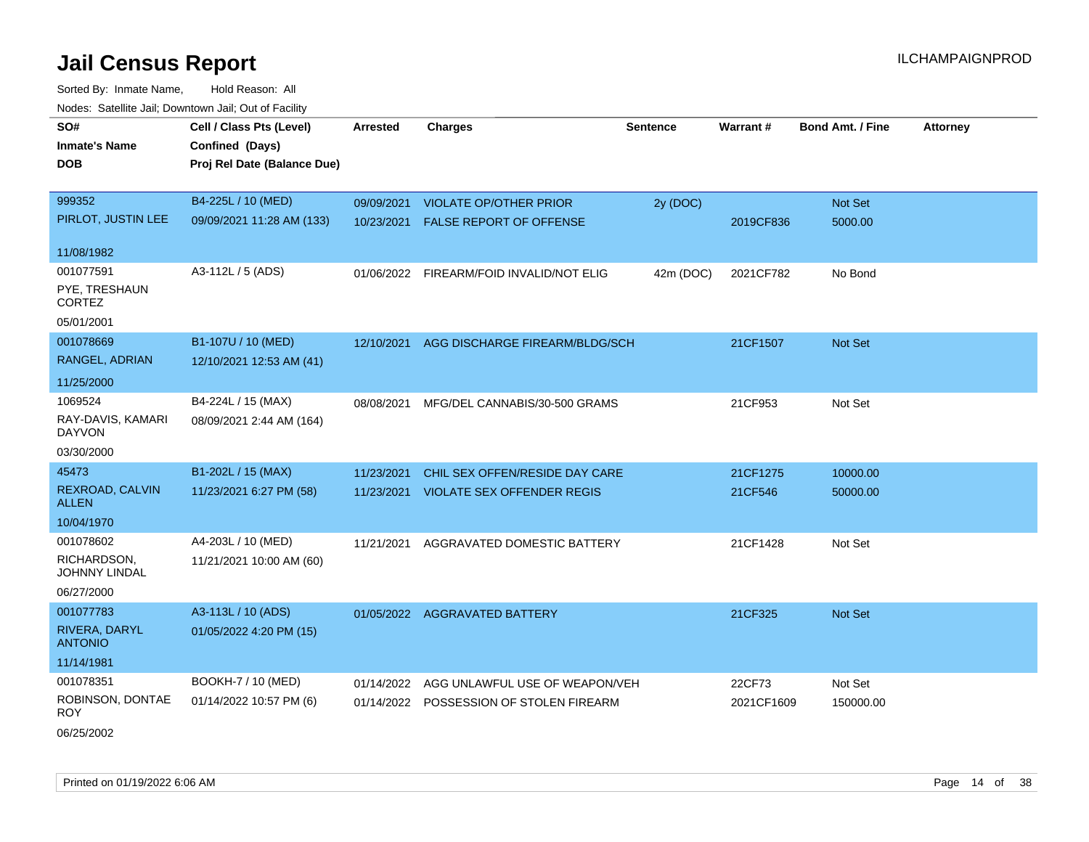| SO#<br><b>Inmate's Name</b><br><b>DOB</b>     | Cell / Class Pts (Level)<br>Confined (Days)<br>Proj Rel Date (Balance Due) | Arrested                 | <b>Charges</b>                                                  | <b>Sentence</b> | Warrant#   | <b>Bond Amt. / Fine</b> | <b>Attorney</b> |
|-----------------------------------------------|----------------------------------------------------------------------------|--------------------------|-----------------------------------------------------------------|-----------------|------------|-------------------------|-----------------|
| 999352<br>PIRLOT, JUSTIN LEE                  | B4-225L / 10 (MED)<br>09/09/2021 11:28 AM (133)                            | 09/09/2021<br>10/23/2021 | <b>VIOLATE OP/OTHER PRIOR</b><br><b>FALSE REPORT OF OFFENSE</b> | 2y (DOC)        | 2019CF836  | Not Set<br>5000.00      |                 |
| 11/08/1982                                    |                                                                            |                          |                                                                 |                 |            |                         |                 |
| 001077591<br>PYE, TRESHAUN<br><b>CORTEZ</b>   | A3-112L / 5 (ADS)                                                          |                          | 01/06/2022 FIREARM/FOID INVALID/NOT ELIG                        | 42m (DOC)       | 2021CF782  | No Bond                 |                 |
| 05/01/2001                                    |                                                                            |                          |                                                                 |                 |            |                         |                 |
| 001078669<br>RANGEL, ADRIAN                   | B1-107U / 10 (MED)<br>12/10/2021 12:53 AM (41)                             | 12/10/2021               | AGG DISCHARGE FIREARM/BLDG/SCH                                  |                 | 21CF1507   | <b>Not Set</b>          |                 |
| 11/25/2000                                    |                                                                            |                          |                                                                 |                 |            |                         |                 |
| 1069524<br>RAY-DAVIS, KAMARI<br><b>DAYVON</b> | B4-224L / 15 (MAX)<br>08/09/2021 2:44 AM (164)                             | 08/08/2021               | MFG/DEL CANNABIS/30-500 GRAMS                                   |                 | 21CF953    | Not Set                 |                 |
| 03/30/2000                                    |                                                                            |                          |                                                                 |                 |            |                         |                 |
| 45473                                         | B1-202L / 15 (MAX)                                                         | 11/23/2021               | CHIL SEX OFFEN/RESIDE DAY CARE                                  |                 | 21CF1275   | 10000.00                |                 |
| REXROAD, CALVIN<br><b>ALLEN</b>               | 11/23/2021 6:27 PM (58)                                                    |                          | 11/23/2021 VIOLATE SEX OFFENDER REGIS                           |                 | 21CF546    | 50000.00                |                 |
| 10/04/1970                                    |                                                                            |                          |                                                                 |                 |            |                         |                 |
| 001078602                                     | A4-203L / 10 (MED)                                                         | 11/21/2021               | AGGRAVATED DOMESTIC BATTERY                                     |                 | 21CF1428   | Not Set                 |                 |
| RICHARDSON.<br><b>JOHNNY LINDAL</b>           | 11/21/2021 10:00 AM (60)                                                   |                          |                                                                 |                 |            |                         |                 |
| 06/27/2000                                    |                                                                            |                          |                                                                 |                 |            |                         |                 |
| 001077783<br>RIVERA, DARYL<br><b>ANTONIO</b>  | A3-113L / 10 (ADS)<br>01/05/2022 4:20 PM (15)                              |                          | 01/05/2022 AGGRAVATED BATTERY                                   |                 | 21CF325    | Not Set                 |                 |
| 11/14/1981                                    |                                                                            |                          |                                                                 |                 |            |                         |                 |
| 001078351                                     | BOOKH-7 / 10 (MED)                                                         | 01/14/2022               | AGG UNLAWFUL USE OF WEAPON/VEH                                  |                 | 22CF73     | Not Set                 |                 |
| ROBINSON, DONTAE<br><b>ROY</b>                | 01/14/2022 10:57 PM (6)                                                    |                          | 01/14/2022 POSSESSION OF STOLEN FIREARM                         |                 | 2021CF1609 | 150000.00               |                 |
| 06/25/2002                                    |                                                                            |                          |                                                                 |                 |            |                         |                 |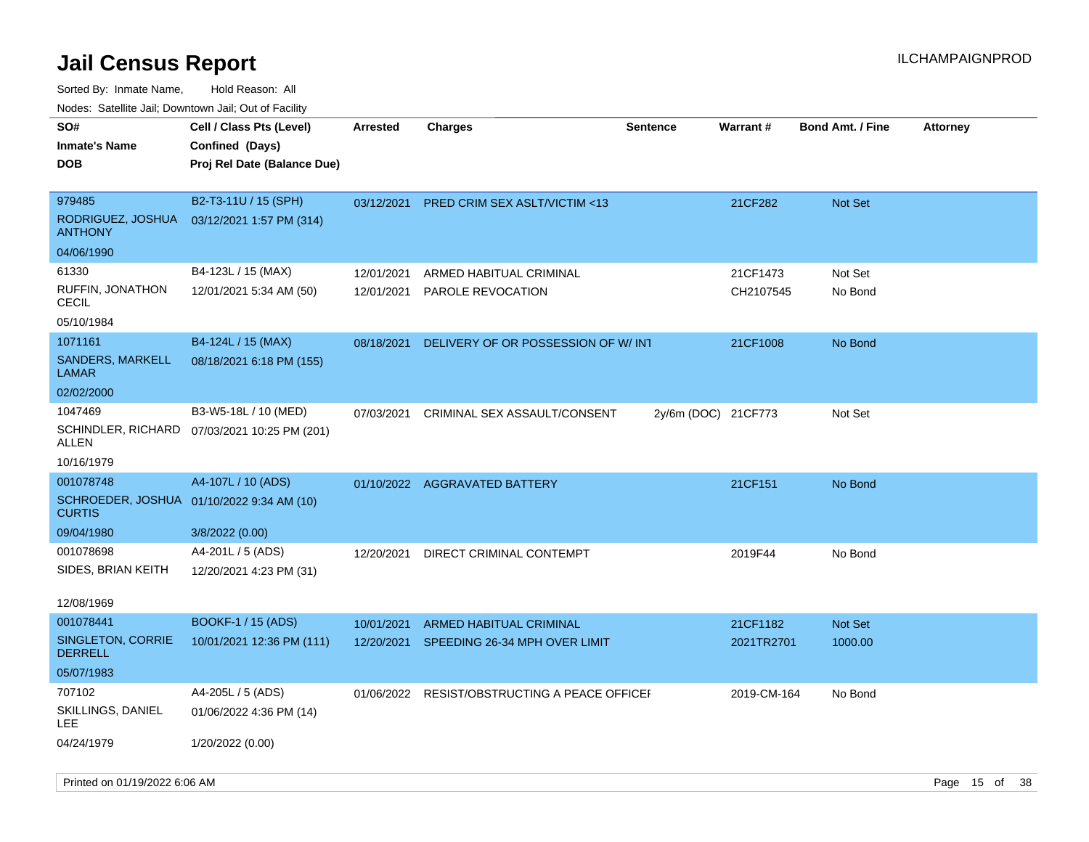| ivuutta. Saltiilitti valli, Duwilluwii Jalli, Out ol Facility |                                              |                 |                                    |                     |             |                         |                 |
|---------------------------------------------------------------|----------------------------------------------|-----------------|------------------------------------|---------------------|-------------|-------------------------|-----------------|
| SO#                                                           | Cell / Class Pts (Level)                     | <b>Arrested</b> | <b>Charges</b>                     | <b>Sentence</b>     | Warrant#    | <b>Bond Amt. / Fine</b> | <b>Attorney</b> |
| <b>Inmate's Name</b>                                          | Confined (Days)                              |                 |                                    |                     |             |                         |                 |
| <b>DOB</b>                                                    | Proj Rel Date (Balance Due)                  |                 |                                    |                     |             |                         |                 |
|                                                               |                                              |                 |                                    |                     |             |                         |                 |
| 979485                                                        | B2-T3-11U / 15 (SPH)                         | 03/12/2021      | PRED CRIM SEX ASLT/VICTIM <13      |                     | 21CF282     | Not Set                 |                 |
| RODRIGUEZ, JOSHUA<br><b>ANTHONY</b>                           | 03/12/2021 1:57 PM (314)                     |                 |                                    |                     |             |                         |                 |
| 04/06/1990                                                    |                                              |                 |                                    |                     |             |                         |                 |
| 61330                                                         | B4-123L / 15 (MAX)                           | 12/01/2021      | ARMED HABITUAL CRIMINAL            |                     | 21CF1473    | Not Set                 |                 |
| RUFFIN, JONATHON<br><b>CECIL</b>                              | 12/01/2021 5:34 AM (50)                      | 12/01/2021      | <b>PAROLE REVOCATION</b>           |                     | CH2107545   | No Bond                 |                 |
| 05/10/1984                                                    |                                              |                 |                                    |                     |             |                         |                 |
| 1071161                                                       | B4-124L / 15 (MAX)                           | 08/18/2021      | DELIVERY OF OR POSSESSION OF W/INT |                     | 21CF1008    | No Bond                 |                 |
| <b>SANDERS, MARKELL</b><br><b>LAMAR</b>                       | 08/18/2021 6:18 PM (155)                     |                 |                                    |                     |             |                         |                 |
| 02/02/2000                                                    |                                              |                 |                                    |                     |             |                         |                 |
| 1047469                                                       | B3-W5-18L / 10 (MED)                         | 07/03/2021      | CRIMINAL SEX ASSAULT/CONSENT       | 2y/6m (DOC) 21CF773 |             | Not Set                 |                 |
| ALLEN                                                         | SCHINDLER, RICHARD 07/03/2021 10:25 PM (201) |                 |                                    |                     |             |                         |                 |
| 10/16/1979                                                    |                                              |                 |                                    |                     |             |                         |                 |
| 001078748                                                     | A4-107L / 10 (ADS)                           |                 | 01/10/2022 AGGRAVATED BATTERY      |                     | 21CF151     | No Bond                 |                 |
| SCHROEDER, JOSHUA 01/10/2022 9:34 AM (10)<br><b>CURTIS</b>    |                                              |                 |                                    |                     |             |                         |                 |
| 09/04/1980                                                    | 3/8/2022 (0.00)                              |                 |                                    |                     |             |                         |                 |
| 001078698                                                     | A4-201L / 5 (ADS)                            | 12/20/2021      | DIRECT CRIMINAL CONTEMPT           |                     | 2019F44     | No Bond                 |                 |
| SIDES, BRIAN KEITH                                            | 12/20/2021 4:23 PM (31)                      |                 |                                    |                     |             |                         |                 |
| 12/08/1969                                                    |                                              |                 |                                    |                     |             |                         |                 |
| 001078441                                                     | BOOKF-1 / 15 (ADS)                           | 10/01/2021      | ARMED HABITUAL CRIMINAL            |                     | 21CF1182    | Not Set                 |                 |
| SINGLETON, CORRIE<br><b>DERRELL</b>                           | 10/01/2021 12:36 PM (111)                    | 12/20/2021      | SPEEDING 26-34 MPH OVER LIMIT      |                     | 2021TR2701  | 1000.00                 |                 |
| 05/07/1983                                                    |                                              |                 |                                    |                     |             |                         |                 |
| 707102                                                        | A4-205L / 5 (ADS)                            | 01/06/2022      | RESIST/OBSTRUCTING A PEACE OFFICEI |                     | 2019-CM-164 | No Bond                 |                 |
| SKILLINGS, DANIEL<br>LEE                                      | 01/06/2022 4:36 PM (14)                      |                 |                                    |                     |             |                         |                 |
| 04/24/1979                                                    | 1/20/2022 (0.00)                             |                 |                                    |                     |             |                         |                 |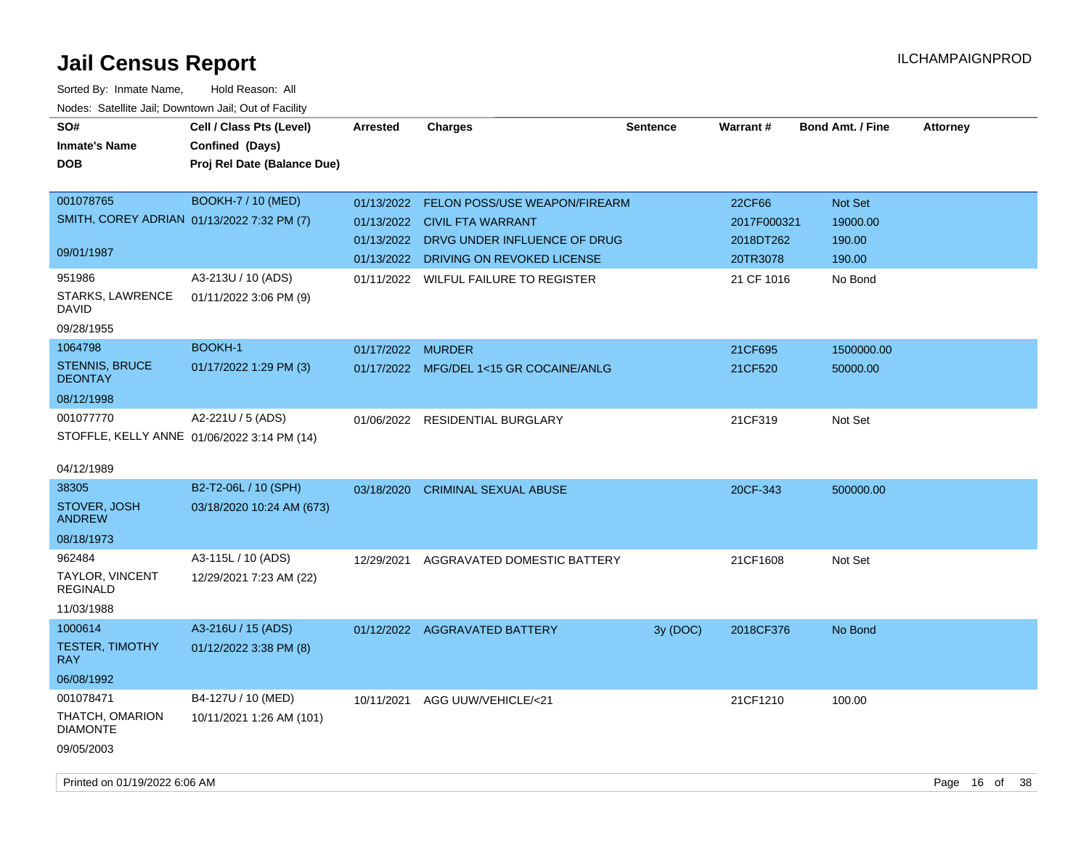| SO#<br><b>Inmate's Name</b><br><b>DOB</b>                                   | Cell / Class Pts (Level)<br>Confined (Days)<br>Proj Rel Date (Balance Due) | Arrested                 | <b>Charges</b>                                                                   | <b>Sentence</b> | <b>Warrant#</b>       | <b>Bond Amt. / Fine</b>    | <b>Attorney</b> |      |
|-----------------------------------------------------------------------------|----------------------------------------------------------------------------|--------------------------|----------------------------------------------------------------------------------|-----------------|-----------------------|----------------------------|-----------------|------|
| 001078765<br>SMITH, COREY ADRIAN 01/13/2022 7:32 PM (7)                     | <b>BOOKH-7 / 10 (MED)</b>                                                  | 01/13/2022<br>01/13/2022 | <b>FELON POSS/USE WEAPON/FIREARM</b><br><b>CIVIL FTA WARRANT</b>                 |                 | 22CF66<br>2017F000321 | <b>Not Set</b><br>19000.00 |                 |      |
| 09/01/1987                                                                  |                                                                            |                          | 01/13/2022 DRVG UNDER INFLUENCE OF DRUG<br>01/13/2022 DRIVING ON REVOKED LICENSE |                 | 2018DT262<br>20TR3078 | 190.00<br>190.00           |                 |      |
| 951986<br>STARKS, LAWRENCE<br>DAVID<br>09/28/1955                           | A3-213U / 10 (ADS)<br>01/11/2022 3:06 PM (9)                               | 01/11/2022               | WILFUL FAILURE TO REGISTER                                                       |                 | 21 CF 1016            | No Bond                    |                 |      |
| 1064798<br><b>STENNIS, BRUCE</b><br><b>DEONTAY</b><br>08/12/1998            | <b>BOOKH-1</b><br>01/17/2022 1:29 PM (3)                                   | 01/17/2022 MURDER        | 01/17/2022 MFG/DEL 1<15 GR COCAINE/ANLG                                          |                 | 21CF695<br>21CF520    | 1500000.00<br>50000.00     |                 |      |
| 001077770<br>04/12/1989                                                     | A2-221U / 5 (ADS)<br>STOFFLE, KELLY ANNE 01/06/2022 3:14 PM (14)           |                          | 01/06/2022 RESIDENTIAL BURGLARY                                                  |                 | 21CF319               | Not Set                    |                 |      |
| 38305<br>STOVER, JOSH<br><b>ANDREW</b><br>08/18/1973                        | B2-T2-06L / 10 (SPH)<br>03/18/2020 10:24 AM (673)                          | 03/18/2020               | <b>CRIMINAL SEXUAL ABUSE</b>                                                     |                 | 20CF-343              | 500000.00                  |                 |      |
| 962484<br><b>TAYLOR, VINCENT</b><br><b>REGINALD</b><br>11/03/1988           | A3-115L / 10 (ADS)<br>12/29/2021 7:23 AM (22)                              | 12/29/2021               | AGGRAVATED DOMESTIC BATTERY                                                      |                 | 21CF1608              | Not Set                    |                 |      |
| 1000614<br><b>TESTER, TIMOTHY</b><br><b>RAY</b>                             | A3-216U / 15 (ADS)<br>01/12/2022 3:38 PM (8)                               |                          | 01/12/2022 AGGRAVATED BATTERY                                                    | 3y (DOC)        | 2018CF376             | No Bond                    |                 |      |
| 06/08/1992<br>001078471<br>THATCH, OMARION<br><b>DIAMONTE</b><br>09/05/2003 | B4-127U / 10 (MED)<br>10/11/2021 1:26 AM (101)                             | 10/11/2021               | AGG UUW/VEHICLE/<21                                                              |                 | 21CF1210              | 100.00                     |                 |      |
| Printed on 01/19/2022 6:06 AM                                               |                                                                            |                          |                                                                                  |                 |                       |                            | Page 16 of      | - 38 |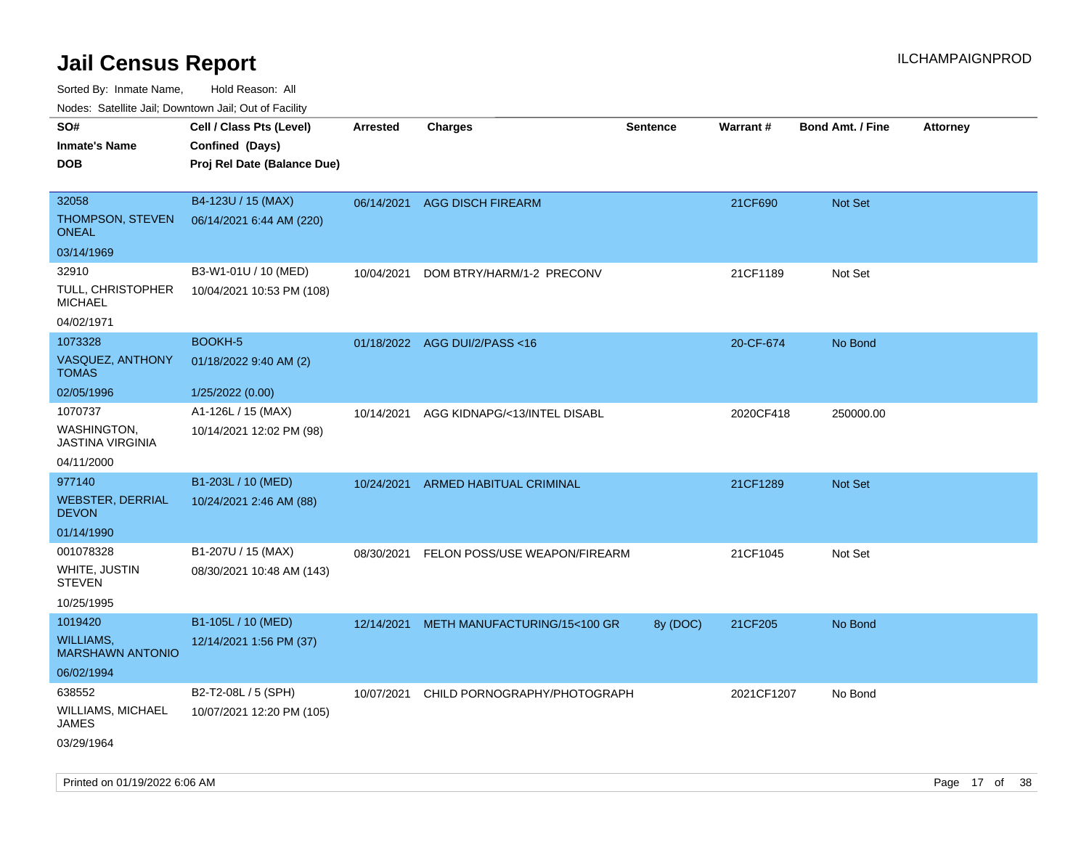Sorted By: Inmate Name, Hold Reason: All

Nodes: Satellite Jail; Downtown Jail; Out of Facility

| <b>Hoddo:</b> Catolino Jail, Dominomii Jail, Oat of Faolin <sub>y</sub><br>SO#<br><b>Inmate's Name</b><br><b>DOB</b> | Cell / Class Pts (Level)<br>Confined (Days)<br>Proj Rel Date (Balance Due) | Arrested   | <b>Charges</b>                | <b>Sentence</b> | <b>Warrant#</b> | <b>Bond Amt. / Fine</b> | <b>Attorney</b> |
|----------------------------------------------------------------------------------------------------------------------|----------------------------------------------------------------------------|------------|-------------------------------|-----------------|-----------------|-------------------------|-----------------|
| 32058<br>THOMPSON, STEVEN<br><b>ONEAL</b>                                                                            | B4-123U / 15 (MAX)<br>06/14/2021 6:44 AM (220)                             | 06/14/2021 | <b>AGG DISCH FIREARM</b>      |                 | 21CF690         | Not Set                 |                 |
| 03/14/1969                                                                                                           |                                                                            |            |                               |                 |                 |                         |                 |
| 32910<br>TULL, CHRISTOPHER<br><b>MICHAEL</b><br>04/02/1971                                                           | B3-W1-01U / 10 (MED)<br>10/04/2021 10:53 PM (108)                          | 10/04/2021 | DOM BTRY/HARM/1-2 PRECONV     |                 | 21CF1189        | Not Set                 |                 |
| 1073328                                                                                                              | BOOKH-5                                                                    |            | 01/18/2022 AGG DUI/2/PASS<16  |                 | 20-CF-674       | No Bond                 |                 |
| VASQUEZ, ANTHONY<br><b>TOMAS</b>                                                                                     | 01/18/2022 9:40 AM (2)                                                     |            |                               |                 |                 |                         |                 |
| 02/05/1996                                                                                                           | 1/25/2022 (0.00)                                                           |            |                               |                 |                 |                         |                 |
| 1070737<br><b>WASHINGTON.</b><br><b>JASTINA VIRGINIA</b>                                                             | A1-126L / 15 (MAX)<br>10/14/2021 12:02 PM (98)                             | 10/14/2021 | AGG KIDNAPG/<13/INTEL DISABL  |                 | 2020CF418       | 250000.00               |                 |
| 04/11/2000                                                                                                           |                                                                            |            |                               |                 |                 |                         |                 |
| 977140                                                                                                               | B1-203L / 10 (MED)                                                         | 10/24/2021 | ARMED HABITUAL CRIMINAL       |                 | 21CF1289        | Not Set                 |                 |
| <b>WEBSTER, DERRIAL</b><br><b>DEVON</b>                                                                              | 10/24/2021 2:46 AM (88)                                                    |            |                               |                 |                 |                         |                 |
| 01/14/1990                                                                                                           |                                                                            |            |                               |                 |                 |                         |                 |
| 001078328                                                                                                            | B1-207U / 15 (MAX)                                                         | 08/30/2021 | FELON POSS/USE WEAPON/FIREARM |                 | 21CF1045        | Not Set                 |                 |
| WHITE, JUSTIN<br><b>STEVEN</b>                                                                                       | 08/30/2021 10:48 AM (143)                                                  |            |                               |                 |                 |                         |                 |
| 10/25/1995                                                                                                           |                                                                            |            |                               |                 |                 |                         |                 |
| 1019420                                                                                                              | B1-105L / 10 (MED)                                                         | 12/14/2021 | METH MANUFACTURING/15<100 GR  | 8y (DOC)        | 21CF205         | No Bond                 |                 |
| WILLIAMS,<br><b>MARSHAWN ANTONIO</b>                                                                                 | 12/14/2021 1:56 PM (37)                                                    |            |                               |                 |                 |                         |                 |
| 06/02/1994                                                                                                           |                                                                            |            |                               |                 |                 |                         |                 |
| 638552<br>WILLIAMS, MICHAEL<br><b>JAMES</b>                                                                          | B2-T2-08L / 5 (SPH)<br>10/07/2021 12:20 PM (105)                           | 10/07/2021 | CHILD PORNOGRAPHY/PHOTOGRAPH  |                 | 2021CF1207      | No Bond                 |                 |
| 03/29/1964                                                                                                           |                                                                            |            |                               |                 |                 |                         |                 |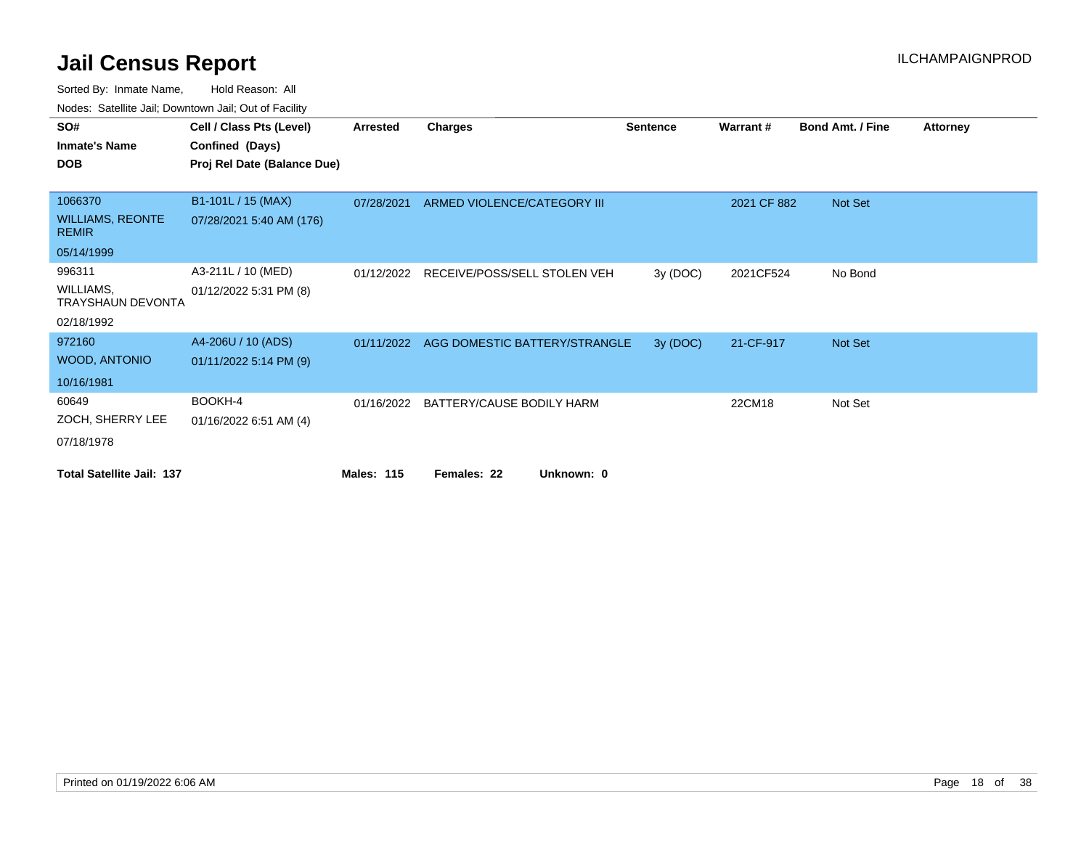| Toubo. Catomic bail, Bornitonii bail, Out of Fability |                             |                   |                                      |                 |             |                         |                 |
|-------------------------------------------------------|-----------------------------|-------------------|--------------------------------------|-----------------|-------------|-------------------------|-----------------|
| SO#                                                   | Cell / Class Pts (Level)    | Arrested          | <b>Charges</b>                       | <b>Sentence</b> | Warrant#    | <b>Bond Amt. / Fine</b> | <b>Attorney</b> |
| <b>Inmate's Name</b>                                  | Confined (Days)             |                   |                                      |                 |             |                         |                 |
| <b>DOB</b>                                            | Proj Rel Date (Balance Due) |                   |                                      |                 |             |                         |                 |
|                                                       |                             |                   |                                      |                 |             |                         |                 |
| 1066370                                               | B1-101L / 15 (MAX)          | 07/28/2021        | ARMED VIOLENCE/CATEGORY III          |                 | 2021 CF 882 | Not Set                 |                 |
| <b>WILLIAMS, REONTE</b><br><b>REMIR</b>               | 07/28/2021 5:40 AM (176)    |                   |                                      |                 |             |                         |                 |
| 05/14/1999                                            |                             |                   |                                      |                 |             |                         |                 |
| 996311                                                | A3-211L / 10 (MED)          | 01/12/2022        | RECEIVE/POSS/SELL STOLEN VEH         | 3y (DOC)        | 2021CF524   | No Bond                 |                 |
| WILLIAMS,<br><b>TRAYSHAUN DEVONTA</b>                 | 01/12/2022 5:31 PM (8)      |                   |                                      |                 |             |                         |                 |
| 02/18/1992                                            |                             |                   |                                      |                 |             |                         |                 |
| 972160                                                | A4-206U / 10 (ADS)          | 01/11/2022        | AGG DOMESTIC BATTERY/STRANGLE        | 3y (DOC)        | 21-CF-917   | <b>Not Set</b>          |                 |
| <b>WOOD, ANTONIO</b>                                  | 01/11/2022 5:14 PM (9)      |                   |                                      |                 |             |                         |                 |
| 10/16/1981                                            |                             |                   |                                      |                 |             |                         |                 |
| 60649                                                 | BOOKH-4                     |                   | 01/16/2022 BATTERY/CAUSE BODILY HARM |                 | 22CM18      | Not Set                 |                 |
| ZOCH, SHERRY LEE                                      | 01/16/2022 6:51 AM (4)      |                   |                                      |                 |             |                         |                 |
| 07/18/1978                                            |                             |                   |                                      |                 |             |                         |                 |
| <b>Total Satellite Jail: 137</b>                      |                             | <b>Males: 115</b> | Unknown: 0<br>Females: 22            |                 |             |                         |                 |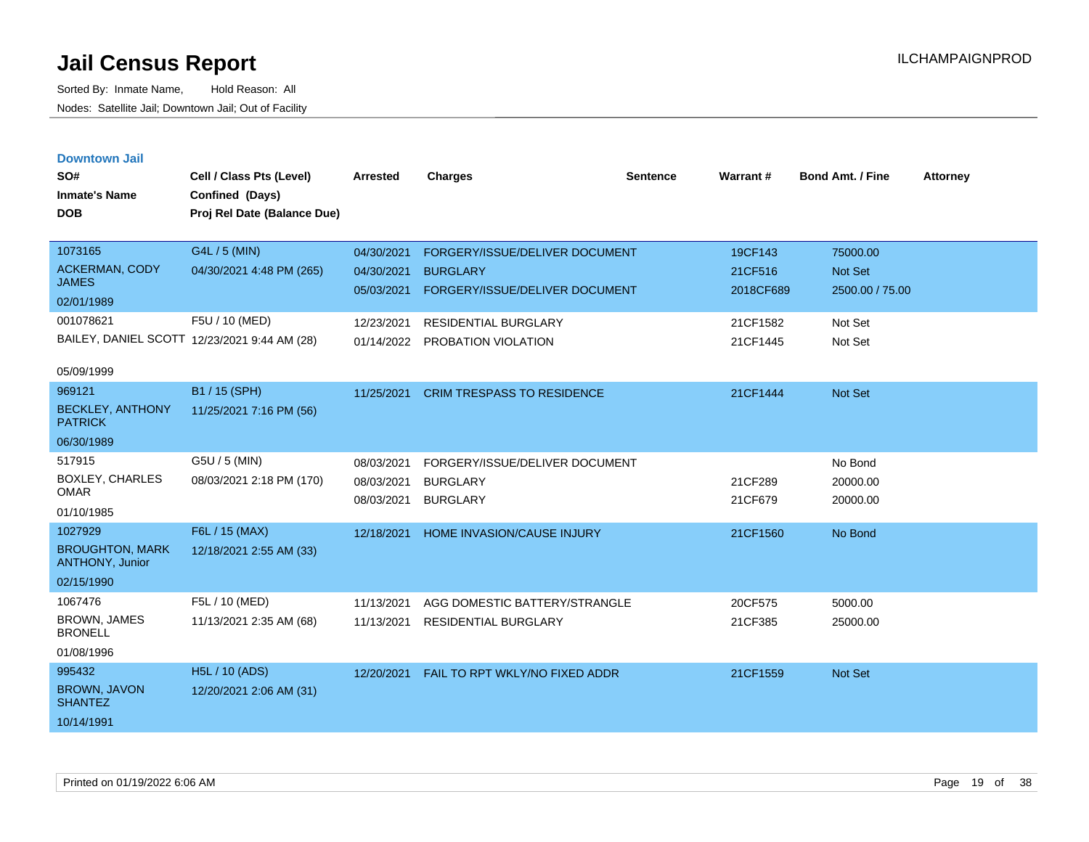| <b>Downtown Jail</b> |  |
|----------------------|--|
|                      |  |
|                      |  |

| SO#<br><b>Inmate's Name</b><br><b>DOB</b>                                       | Cell / Class Pts (Level)<br>Confined (Days)<br>Proj Rel Date (Balance Due)                                  | <b>Arrested</b>                                                    | <b>Charges</b>                                                                                                                            | <b>Sentence</b> | <b>Warrant#</b>                                         | <b>Bond Amt. / Fine</b>                                             | <b>Attorney</b> |
|---------------------------------------------------------------------------------|-------------------------------------------------------------------------------------------------------------|--------------------------------------------------------------------|-------------------------------------------------------------------------------------------------------------------------------------------|-----------------|---------------------------------------------------------|---------------------------------------------------------------------|-----------------|
| 1073165<br><b>ACKERMAN, CODY</b><br><b>JAMES</b><br>02/01/1989<br>001078621     | G4L / 5 (MIN)<br>04/30/2021 4:48 PM (265)<br>F5U / 10 (MED)<br>BAILEY, DANIEL SCOTT 12/23/2021 9:44 AM (28) | 04/30/2021<br>04/30/2021<br>05/03/2021<br>12/23/2021<br>01/14/2022 | FORGERY/ISSUE/DELIVER DOCUMENT<br><b>BURGLARY</b><br>FORGERY/ISSUE/DELIVER DOCUMENT<br><b>RESIDENTIAL BURGLARY</b><br>PROBATION VIOLATION |                 | 19CF143<br>21CF516<br>2018CF689<br>21CF1582<br>21CF1445 | 75000.00<br><b>Not Set</b><br>2500.00 / 75.00<br>Not Set<br>Not Set |                 |
| 05/09/1999<br>969121<br><b>BECKLEY, ANTHONY</b><br><b>PATRICK</b><br>06/30/1989 | B1 / 15 (SPH)<br>11/25/2021 7:16 PM (56)                                                                    | 11/25/2021                                                         | <b>CRIM TRESPASS TO RESIDENCE</b>                                                                                                         |                 | 21CF1444                                                | <b>Not Set</b>                                                      |                 |
| 517915<br><b>BOXLEY, CHARLES</b><br><b>OMAR</b><br>01/10/1985                   | G5U / 5 (MIN)<br>08/03/2021 2:18 PM (170)                                                                   | 08/03/2021<br>08/03/2021<br>08/03/2021                             | FORGERY/ISSUE/DELIVER DOCUMENT<br><b>BURGLARY</b><br><b>BURGLARY</b>                                                                      |                 | 21CF289<br>21CF679                                      | No Bond<br>20000.00<br>20000.00                                     |                 |
| 1027929<br><b>BROUGHTON, MARK</b><br>ANTHONY, Junior<br>02/15/1990              | F6L / 15 (MAX)<br>12/18/2021 2:55 AM (33)                                                                   | 12/18/2021                                                         | <b>HOME INVASION/CAUSE INJURY</b>                                                                                                         |                 | 21CF1560                                                | No Bond                                                             |                 |
| 1067476<br>BROWN, JAMES<br><b>BRONELL</b><br>01/08/1996                         | F5L / 10 (MED)<br>11/13/2021 2:35 AM (68)                                                                   | 11/13/2021<br>11/13/2021                                           | AGG DOMESTIC BATTERY/STRANGLE<br><b>RESIDENTIAL BURGLARY</b>                                                                              |                 | 20CF575<br>21CF385                                      | 5000.00<br>25000.00                                                 |                 |
| 995432<br>BROWN, JAVON<br><b>SHANTEZ</b><br>10/14/1991                          | <b>H5L / 10 (ADS)</b><br>12/20/2021 2:06 AM (31)                                                            | 12/20/2021                                                         | FAIL TO RPT WKLY/NO FIXED ADDR                                                                                                            |                 | 21CF1559                                                | <b>Not Set</b>                                                      |                 |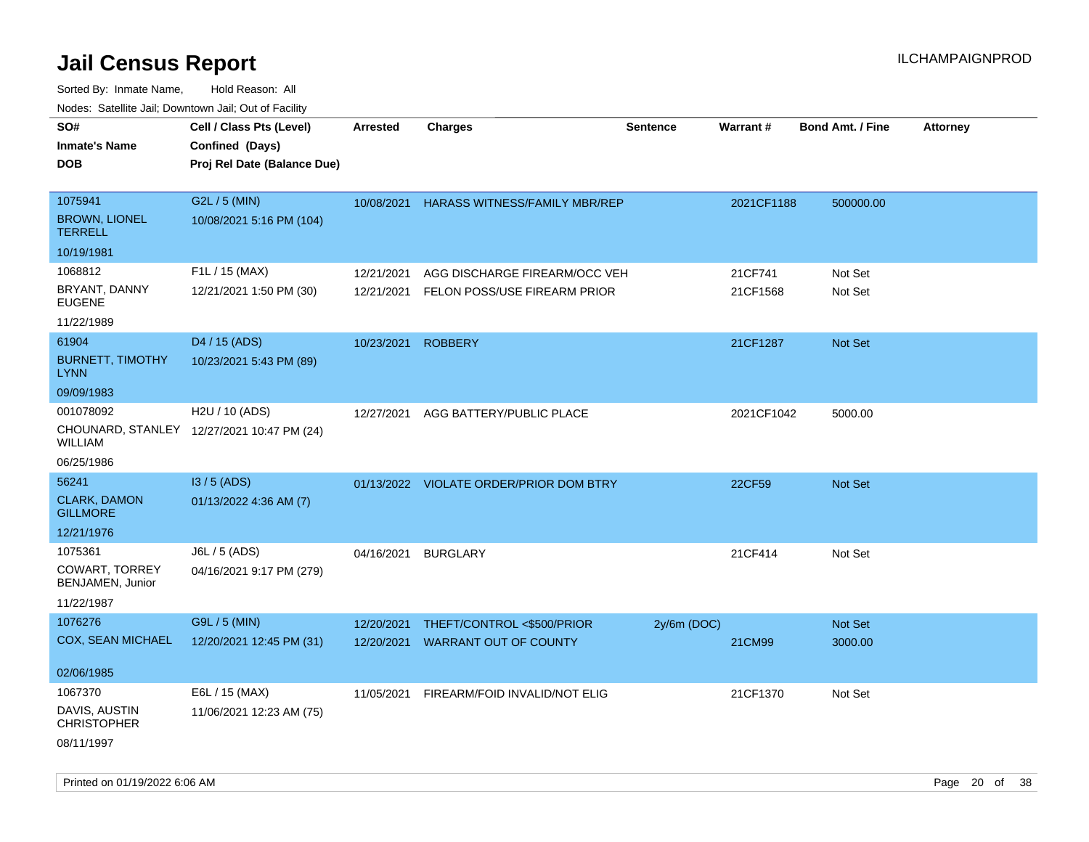| roaco. Calcinio dan, Downtown dan, Oal or Fability |                                            |                 |                                         |                 |            |                         |                 |
|----------------------------------------------------|--------------------------------------------|-----------------|-----------------------------------------|-----------------|------------|-------------------------|-----------------|
| SO#                                                | Cell / Class Pts (Level)                   | <b>Arrested</b> | <b>Charges</b>                          | <b>Sentence</b> | Warrant#   | <b>Bond Amt. / Fine</b> | <b>Attorney</b> |
| Inmate's Name                                      | Confined (Days)                            |                 |                                         |                 |            |                         |                 |
| DOB                                                | Proj Rel Date (Balance Due)                |                 |                                         |                 |            |                         |                 |
|                                                    |                                            |                 |                                         |                 |            |                         |                 |
| 1075941                                            | G2L / 5 (MIN)                              | 10/08/2021      | <b>HARASS WITNESS/FAMILY MBR/REP</b>    |                 | 2021CF1188 | 500000.00               |                 |
| <b>BROWN, LIONEL</b><br><b>TERRELL</b>             | 10/08/2021 5:16 PM (104)                   |                 |                                         |                 |            |                         |                 |
| 10/19/1981                                         |                                            |                 |                                         |                 |            |                         |                 |
| 1068812                                            | F1L / 15 (MAX)                             | 12/21/2021      | AGG DISCHARGE FIREARM/OCC VEH           |                 | 21CF741    | Not Set                 |                 |
| BRYANT, DANNY<br><b>EUGENE</b>                     | 12/21/2021 1:50 PM (30)                    | 12/21/2021      | FELON POSS/USE FIREARM PRIOR            |                 | 21CF1568   | Not Set                 |                 |
| 11/22/1989                                         |                                            |                 |                                         |                 |            |                         |                 |
| 61904                                              | D4 / 15 (ADS)                              | 10/23/2021      | <b>ROBBERY</b>                          |                 | 21CF1287   | <b>Not Set</b>          |                 |
| <b>BURNETT, TIMOTHY</b><br>LYNN                    | 10/23/2021 5:43 PM (89)                    |                 |                                         |                 |            |                         |                 |
| 09/09/1983                                         |                                            |                 |                                         |                 |            |                         |                 |
| 001078092                                          | H <sub>2</sub> U / 10 (ADS)                | 12/27/2021      | AGG BATTERY/PUBLIC PLACE                |                 | 2021CF1042 | 5000.00                 |                 |
| WILLIAM                                            | CHOUNARD, STANLEY 12/27/2021 10:47 PM (24) |                 |                                         |                 |            |                         |                 |
| 06/25/1986                                         |                                            |                 |                                         |                 |            |                         |                 |
| 56241                                              | $13/5$ (ADS)                               |                 | 01/13/2022 VIOLATE ORDER/PRIOR DOM BTRY |                 | 22CF59     | Not Set                 |                 |
| <b>CLARK, DAMON</b><br><b>GILLMORE</b>             | 01/13/2022 4:36 AM (7)                     |                 |                                         |                 |            |                         |                 |
| 12/21/1976                                         |                                            |                 |                                         |                 |            |                         |                 |
| 1075361                                            | J6L / 5 (ADS)                              | 04/16/2021      | <b>BURGLARY</b>                         |                 | 21CF414    | Not Set                 |                 |
| COWART, TORREY<br>BENJAMEN, Junior                 | 04/16/2021 9:17 PM (279)                   |                 |                                         |                 |            |                         |                 |
| 11/22/1987                                         |                                            |                 |                                         |                 |            |                         |                 |
| 1076276                                            | G9L / 5 (MIN)                              | 12/20/2021      | THEFT/CONTROL <\$500/PRIOR              | $2y/6m$ (DOC)   |            | <b>Not Set</b>          |                 |
| COX, SEAN MICHAEL                                  | 12/20/2021 12:45 PM (31)                   | 12/20/2021      | <b>WARRANT OUT OF COUNTY</b>            |                 | 21CM99     | 3000.00                 |                 |
|                                                    |                                            |                 |                                         |                 |            |                         |                 |
| 02/06/1985                                         |                                            |                 |                                         |                 |            |                         |                 |
| 1067370                                            | E6L / 15 (MAX)                             | 11/05/2021      | FIREARM/FOID INVALID/NOT ELIG           |                 | 21CF1370   | Not Set                 |                 |
| DAVIS, AUSTIN<br><b>CHRISTOPHER</b>                | 11/06/2021 12:23 AM (75)                   |                 |                                         |                 |            |                         |                 |
| 08/11/1997                                         |                                            |                 |                                         |                 |            |                         |                 |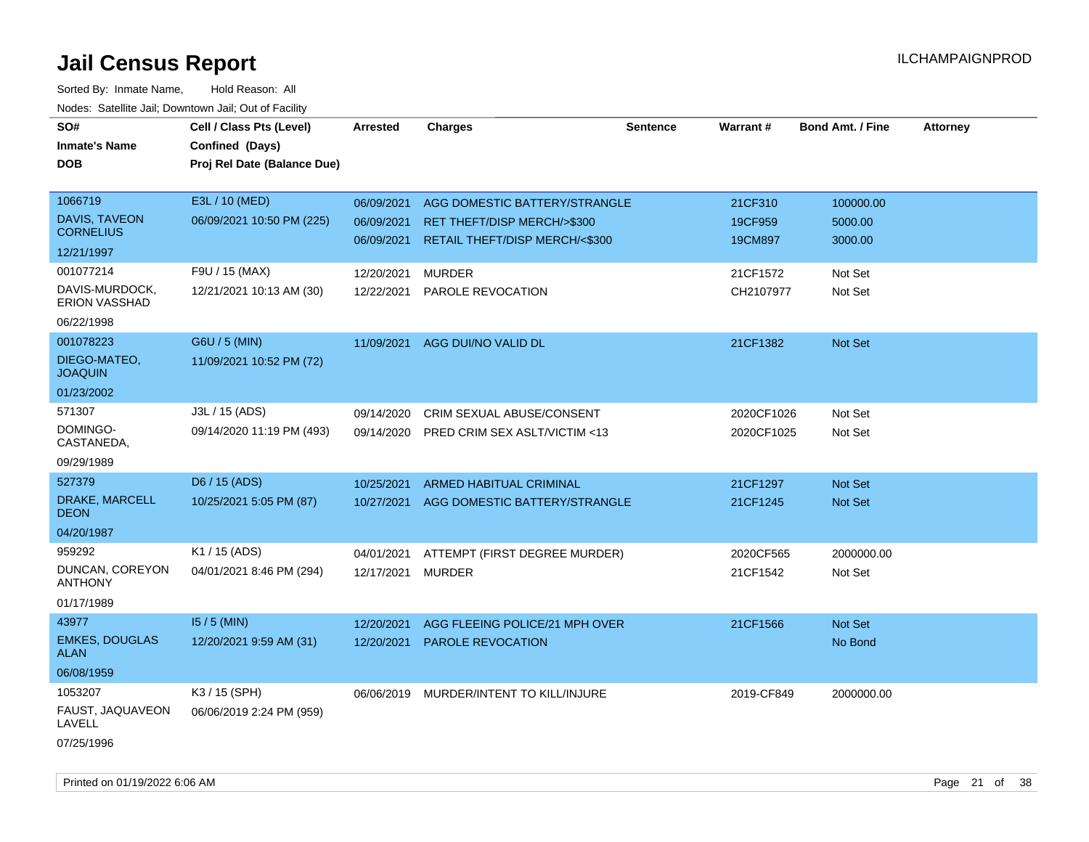| SO#<br><b>Inmate's Name</b><br><b>DOB</b>                   | Cell / Class Pts (Level)<br>Confined (Days)<br>Proj Rel Date (Balance Due) | <b>Arrested</b>                        | <b>Charges</b>                                                                                           | <b>Sentence</b> | <b>Warrant#</b>               | <b>Bond Amt. / Fine</b>         | <b>Attorney</b> |
|-------------------------------------------------------------|----------------------------------------------------------------------------|----------------------------------------|----------------------------------------------------------------------------------------------------------|-----------------|-------------------------------|---------------------------------|-----------------|
| 1066719<br>DAVIS, TAVEON<br><b>CORNELIUS</b><br>12/21/1997  | E3L / 10 (MED)<br>06/09/2021 10:50 PM (225)                                | 06/09/2021<br>06/09/2021<br>06/09/2021 | AGG DOMESTIC BATTERY/STRANGLE<br>RET THEFT/DISP MERCH/>\$300<br><b>RETAIL THEFT/DISP MERCH/&lt;\$300</b> |                 | 21CF310<br>19CF959<br>19CM897 | 100000.00<br>5000.00<br>3000.00 |                 |
| 001077214<br>DAVIS-MURDOCK,<br>ERION VASSHAD<br>06/22/1998  | F9U / 15 (MAX)<br>12/21/2021 10:13 AM (30)                                 | 12/20/2021<br>12/22/2021               | <b>MURDER</b><br>PAROLE REVOCATION                                                                       |                 | 21CF1572<br>CH2107977         | Not Set<br>Not Set              |                 |
| 001078223<br>DIEGO-MATEO,<br><b>JOAQUIN</b><br>01/23/2002   | G6U / 5 (MIN)<br>11/09/2021 10:52 PM (72)                                  | 11/09/2021                             | AGG DUI/NO VALID DL                                                                                      |                 | 21CF1382                      | Not Set                         |                 |
| 571307<br>DOMINGO-<br>CASTANEDA,<br>09/29/1989              | J3L / 15 (ADS)<br>09/14/2020 11:19 PM (493)                                | 09/14/2020<br>09/14/2020               | CRIM SEXUAL ABUSE/CONSENT<br>PRED CRIM SEX ASLT/VICTIM <13                                               |                 | 2020CF1026<br>2020CF1025      | Not Set<br>Not Set              |                 |
| 527379<br>DRAKE, MARCELL<br><b>DEON</b><br>04/20/1987       | D6 / 15 (ADS)<br>10/25/2021 5:05 PM (87)                                   | 10/25/2021<br>10/27/2021               | ARMED HABITUAL CRIMINAL<br>AGG DOMESTIC BATTERY/STRANGLE                                                 |                 | 21CF1297<br>21CF1245          | Not Set<br>Not Set              |                 |
| 959292<br>DUNCAN, COREYON<br><b>ANTHONY</b><br>01/17/1989   | K1 / 15 (ADS)<br>04/01/2021 8:46 PM (294)                                  | 04/01/2021<br>12/17/2021               | ATTEMPT (FIRST DEGREE MURDER)<br><b>MURDER</b>                                                           |                 | 2020CF565<br>21CF1542         | 2000000.00<br>Not Set           |                 |
| 43977<br><b>EMKES, DOUGLAS</b><br><b>ALAN</b><br>06/08/1959 | $15/5$ (MIN)<br>12/20/2021 9:59 AM (31)                                    | 12/20/2021<br>12/20/2021               | AGG FLEEING POLICE/21 MPH OVER<br>PAROLE REVOCATION                                                      |                 | 21CF1566                      | Not Set<br>No Bond              |                 |
| 1053207<br>FAUST, JAQUAVEON<br>LAVELL<br>07/25/1996         | K3 / 15 (SPH)<br>06/06/2019 2:24 PM (959)                                  | 06/06/2019                             | MURDER/INTENT TO KILL/INJURE                                                                             |                 | 2019-CF849                    | 2000000.00                      |                 |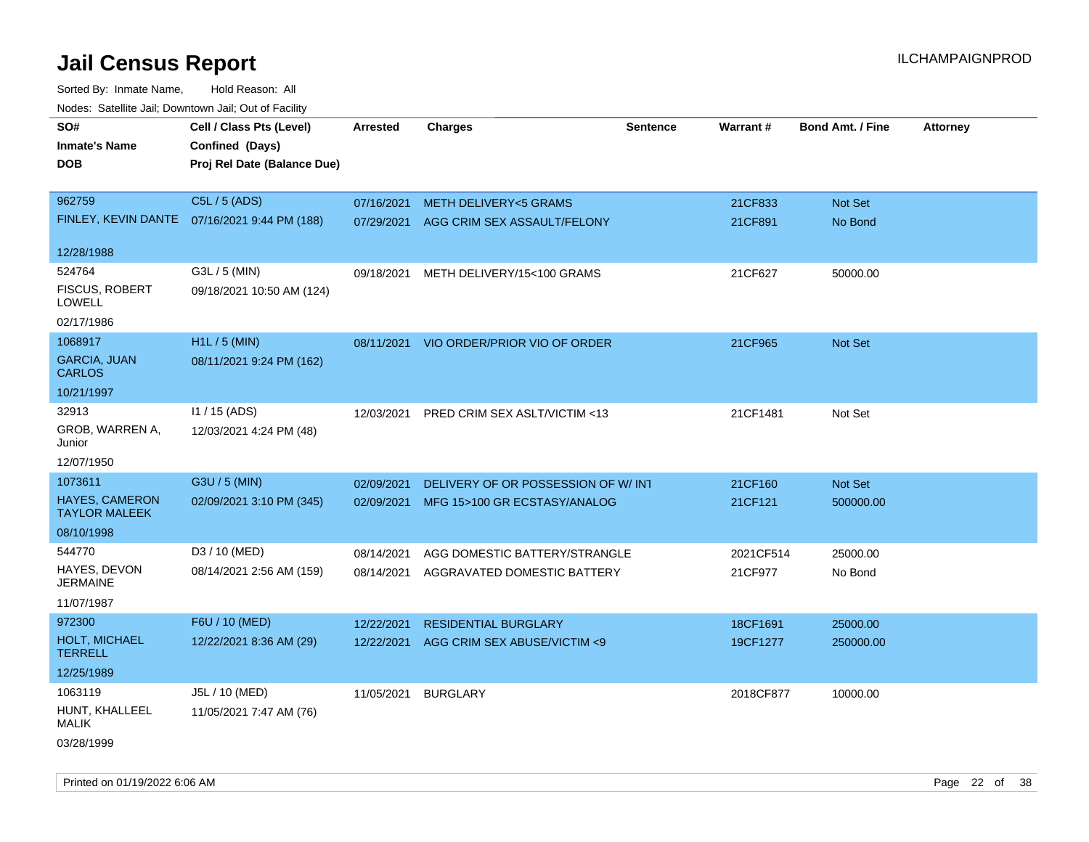Sorted By: Inmate Name, Hold Reason: All Nodes: Satellite Jail; Downtown Jail; Out of Facility

| ivouss. Satellite Jall, Downtown Jall, Out of Facility |                                              |                 |                                         |                 |           |                         |                 |
|--------------------------------------------------------|----------------------------------------------|-----------------|-----------------------------------------|-----------------|-----------|-------------------------|-----------------|
| SO#                                                    | Cell / Class Pts (Level)                     | <b>Arrested</b> | <b>Charges</b>                          | <b>Sentence</b> | Warrant#  | <b>Bond Amt. / Fine</b> | <b>Attorney</b> |
| <b>Inmate's Name</b>                                   | Confined (Days)                              |                 |                                         |                 |           |                         |                 |
| <b>DOB</b>                                             | Proj Rel Date (Balance Due)                  |                 |                                         |                 |           |                         |                 |
|                                                        |                                              |                 |                                         |                 |           |                         |                 |
| 962759                                                 | C5L / 5 (ADS)                                | 07/16/2021      | <b>METH DELIVERY&lt;5 GRAMS</b>         |                 | 21CF833   | Not Set                 |                 |
|                                                        | FINLEY, KEVIN DANTE 07/16/2021 9:44 PM (188) |                 | 07/29/2021 AGG CRIM SEX ASSAULT/FELONY  |                 | 21CF891   | No Bond                 |                 |
|                                                        |                                              |                 |                                         |                 |           |                         |                 |
| 12/28/1988                                             |                                              |                 |                                         |                 |           |                         |                 |
| 524764                                                 | G3L / 5 (MIN)                                | 09/18/2021      | METH DELIVERY/15<100 GRAMS              |                 | 21CF627   | 50000.00                |                 |
| <b>FISCUS, ROBERT</b><br>LOWELL                        | 09/18/2021 10:50 AM (124)                    |                 |                                         |                 |           |                         |                 |
| 02/17/1986                                             |                                              |                 |                                         |                 |           |                         |                 |
| 1068917                                                | $H1L / 5$ (MIN)                              |                 | 08/11/2021 VIO ORDER/PRIOR VIO OF ORDER |                 | 21CF965   | Not Set                 |                 |
| <b>GARCIA, JUAN</b><br><b>CARLOS</b>                   | 08/11/2021 9:24 PM (162)                     |                 |                                         |                 |           |                         |                 |
| 10/21/1997                                             |                                              |                 |                                         |                 |           |                         |                 |
| 32913                                                  | 11 / 15 (ADS)                                | 12/03/2021      | PRED CRIM SEX ASLT/VICTIM <13           |                 | 21CF1481  | Not Set                 |                 |
| GROB, WARREN A,<br>Junior                              | 12/03/2021 4:24 PM (48)                      |                 |                                         |                 |           |                         |                 |
| 12/07/1950                                             |                                              |                 |                                         |                 |           |                         |                 |
| 1073611                                                | G3U / 5 (MIN)                                | 02/09/2021      | DELIVERY OF OR POSSESSION OF W/INT      |                 | 21CF160   | Not Set                 |                 |
| <b>HAYES, CAMERON</b><br><b>TAYLOR MALEEK</b>          | 02/09/2021 3:10 PM (345)                     |                 | 02/09/2021 MFG 15>100 GR ECSTASY/ANALOG |                 | 21CF121   | 500000.00               |                 |
| 08/10/1998                                             |                                              |                 |                                         |                 |           |                         |                 |
| 544770                                                 | D3 / 10 (MED)                                | 08/14/2021      | AGG DOMESTIC BATTERY/STRANGLE           |                 | 2021CF514 | 25000.00                |                 |
| HAYES, DEVON<br><b>JERMAINE</b>                        | 08/14/2021 2:56 AM (159)                     | 08/14/2021      | AGGRAVATED DOMESTIC BATTERY             |                 | 21CF977   | No Bond                 |                 |
| 11/07/1987                                             |                                              |                 |                                         |                 |           |                         |                 |
| 972300                                                 | F6U / 10 (MED)                               | 12/22/2021      | <b>RESIDENTIAL BURGLARY</b>             |                 | 18CF1691  | 25000.00                |                 |
| HOLT, MICHAEL<br><b>TERRELL</b>                        | 12/22/2021 8:36 AM (29)                      | 12/22/2021      | AGG CRIM SEX ABUSE/VICTIM <9            |                 | 19CF1277  | 250000.00               |                 |
| 12/25/1989                                             |                                              |                 |                                         |                 |           |                         |                 |
| 1063119                                                | J5L / 10 (MED)                               | 11/05/2021      | <b>BURGLARY</b>                         |                 | 2018CF877 | 10000.00                |                 |
| HUNT, KHALLEEL<br><b>MALIK</b>                         | 11/05/2021 7:47 AM (76)                      |                 |                                         |                 |           |                         |                 |
| 03/28/1999                                             |                                              |                 |                                         |                 |           |                         |                 |

Printed on 01/19/2022 6:06 AM Page 22 of 38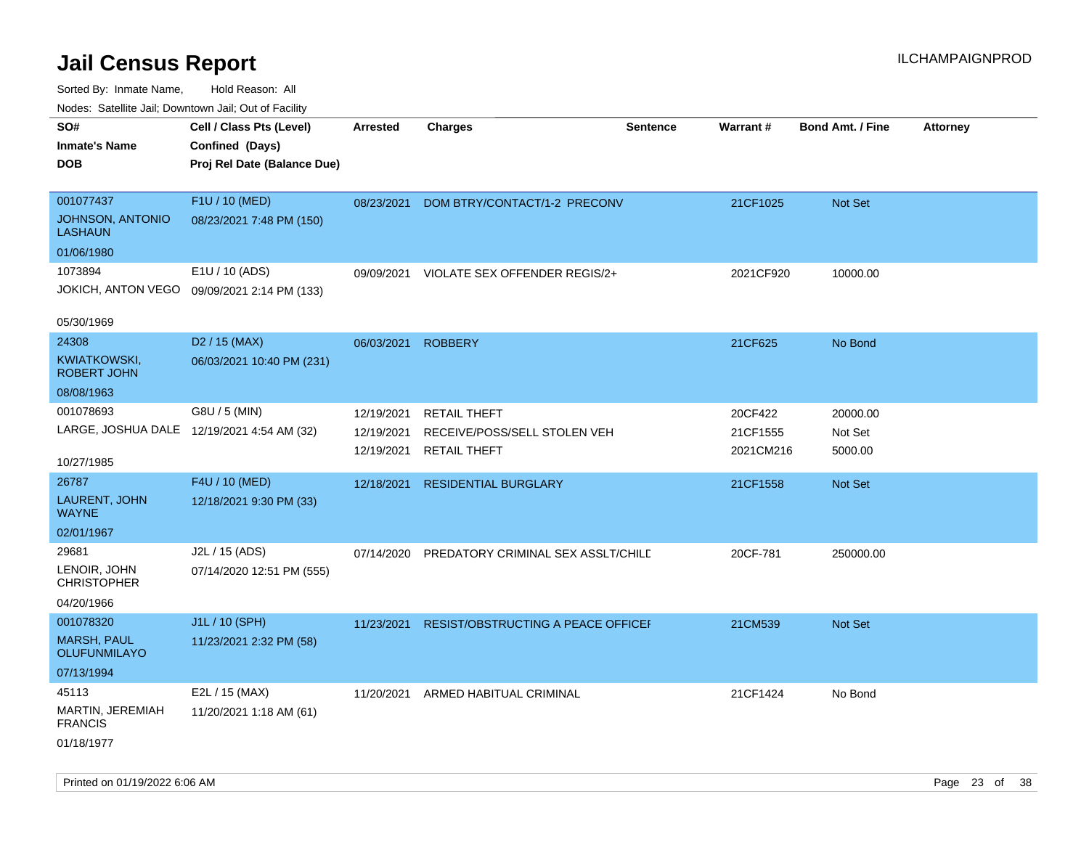| inodes: Satellite Jali, Downtown Jali, Out of Facility |                             |                 |                                    |                 |                 |                         |                 |
|--------------------------------------------------------|-----------------------------|-----------------|------------------------------------|-----------------|-----------------|-------------------------|-----------------|
| SO#                                                    | Cell / Class Pts (Level)    | <b>Arrested</b> | <b>Charges</b>                     | <b>Sentence</b> | <b>Warrant#</b> | <b>Bond Amt. / Fine</b> | <b>Attorney</b> |
| <b>Inmate's Name</b>                                   | Confined (Days)             |                 |                                    |                 |                 |                         |                 |
| <b>DOB</b>                                             | Proj Rel Date (Balance Due) |                 |                                    |                 |                 |                         |                 |
|                                                        |                             |                 |                                    |                 |                 |                         |                 |
| 001077437                                              | F1U / 10 (MED)              | 08/23/2021      | DOM BTRY/CONTACT/1-2 PRECONV       |                 | 21CF1025        | Not Set                 |                 |
| <b>JOHNSON, ANTONIO</b><br><b>LASHAUN</b>              | 08/23/2021 7:48 PM (150)    |                 |                                    |                 |                 |                         |                 |
| 01/06/1980                                             |                             |                 |                                    |                 |                 |                         |                 |
| 1073894                                                | E1U / 10 (ADS)              | 09/09/2021      | VIOLATE SEX OFFENDER REGIS/2+      |                 | 2021CF920       | 10000.00                |                 |
| JOKICH, ANTON VEGO                                     | 09/09/2021 2:14 PM (133)    |                 |                                    |                 |                 |                         |                 |
| 05/30/1969                                             |                             |                 |                                    |                 |                 |                         |                 |
| 24308                                                  | D <sub>2</sub> / 15 (MAX)   | 06/03/2021      | <b>ROBBERY</b>                     |                 | 21CF625         | No Bond                 |                 |
| KWIATKOWSKI,<br><b>ROBERT JOHN</b>                     | 06/03/2021 10:40 PM (231)   |                 |                                    |                 |                 |                         |                 |
| 08/08/1963                                             |                             |                 |                                    |                 |                 |                         |                 |
| 001078693                                              | G8U / 5 (MIN)               | 12/19/2021      | <b>RETAIL THEFT</b>                |                 | 20CF422         | 20000.00                |                 |
| LARGE, JOSHUA DALE 12/19/2021 4:54 AM (32)             |                             | 12/19/2021      | RECEIVE/POSS/SELL STOLEN VEH       |                 | 21CF1555        | Not Set                 |                 |
|                                                        |                             | 12/19/2021      | <b>RETAIL THEFT</b>                |                 | 2021CM216       | 5000.00                 |                 |
| 10/27/1985                                             |                             |                 |                                    |                 |                 |                         |                 |
| 26787                                                  | F4U / 10 (MED)              | 12/18/2021      | <b>RESIDENTIAL BURGLARY</b>        |                 | 21CF1558        | <b>Not Set</b>          |                 |
| LAURENT, JOHN<br><b>WAYNE</b>                          | 12/18/2021 9:30 PM (33)     |                 |                                    |                 |                 |                         |                 |
| 02/01/1967                                             |                             |                 |                                    |                 |                 |                         |                 |
| 29681                                                  | J2L / 15 (ADS)              | 07/14/2020      | PREDATORY CRIMINAL SEX ASSLT/CHILD |                 | 20CF-781        | 250000.00               |                 |
| LENOIR, JOHN<br><b>CHRISTOPHER</b>                     | 07/14/2020 12:51 PM (555)   |                 |                                    |                 |                 |                         |                 |
| 04/20/1966                                             |                             |                 |                                    |                 |                 |                         |                 |
| 001078320                                              | J1L / 10 (SPH)              | 11/23/2021      | RESIST/OBSTRUCTING A PEACE OFFICEF |                 | 21CM539         | Not Set                 |                 |
| <b>MARSH, PAUL</b><br><b>OLUFUNMILAYO</b>              | 11/23/2021 2:32 PM (58)     |                 |                                    |                 |                 |                         |                 |
| 07/13/1994                                             |                             |                 |                                    |                 |                 |                         |                 |
| 45113                                                  | E2L / 15 (MAX)              | 11/20/2021      | ARMED HABITUAL CRIMINAL            |                 | 21CF1424        | No Bond                 |                 |
| MARTIN, JEREMIAH<br><b>FRANCIS</b>                     | 11/20/2021 1:18 AM (61)     |                 |                                    |                 |                 |                         |                 |
| 01/18/1977                                             |                             |                 |                                    |                 |                 |                         |                 |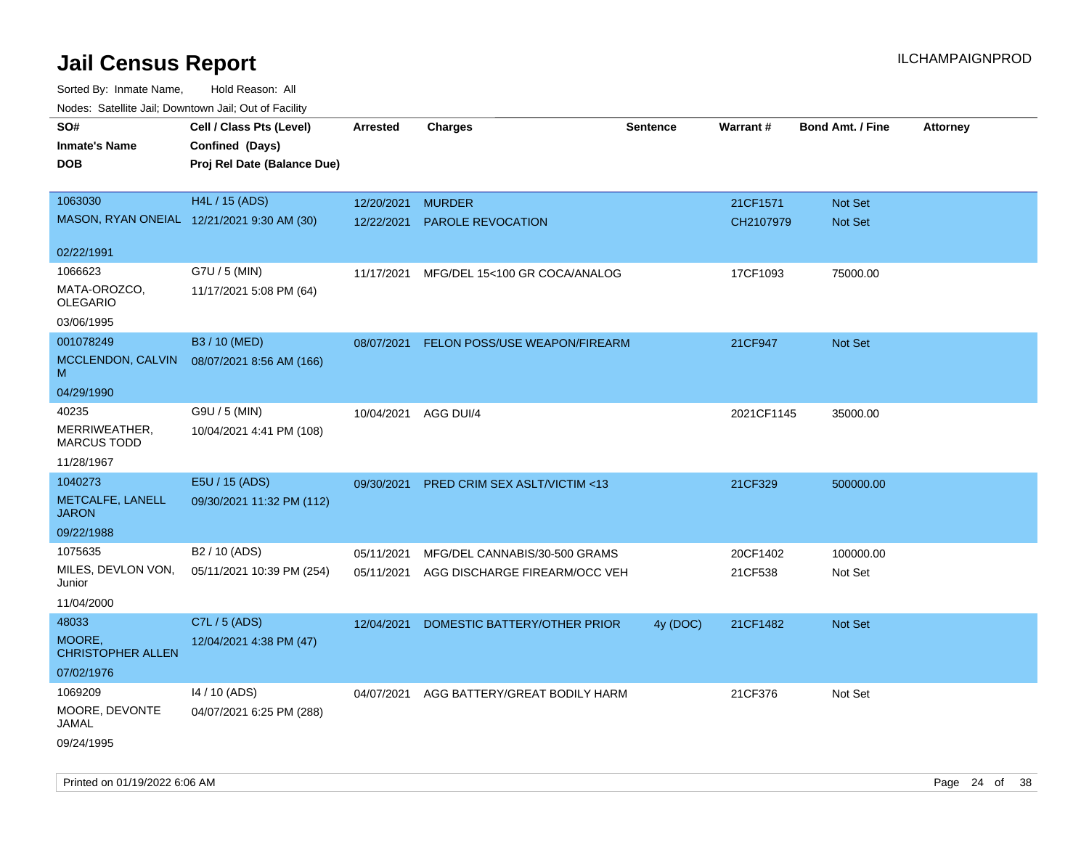Sorted By: Inmate Name, Hold Reason: All Nodes: Satellite Jail; Downtown Jail; Out of Facility

| ivuutos. Saltiilit Jall, Duwilluwii Jall, Oul of Facility |                             |                      |                               |                 |                 |                         |                 |
|-----------------------------------------------------------|-----------------------------|----------------------|-------------------------------|-----------------|-----------------|-------------------------|-----------------|
| SO#                                                       | Cell / Class Pts (Level)    | Arrested             | <b>Charges</b>                | <b>Sentence</b> | <b>Warrant#</b> | <b>Bond Amt. / Fine</b> | <b>Attorney</b> |
| <b>Inmate's Name</b>                                      | Confined (Days)             |                      |                               |                 |                 |                         |                 |
| <b>DOB</b>                                                | Proj Rel Date (Balance Due) |                      |                               |                 |                 |                         |                 |
|                                                           |                             |                      |                               |                 |                 |                         |                 |
| 1063030                                                   | H4L / 15 (ADS)              | 12/20/2021           | <b>MURDER</b>                 |                 | 21CF1571        | Not Set                 |                 |
| MASON, RYAN ONEIAL 12/21/2021 9:30 AM (30)                |                             | 12/22/2021           | PAROLE REVOCATION             |                 | CH2107979       | Not Set                 |                 |
|                                                           |                             |                      |                               |                 |                 |                         |                 |
| 02/22/1991                                                |                             |                      |                               |                 |                 |                         |                 |
| 1066623                                                   | G7U / 5 (MIN)               | 11/17/2021           | MFG/DEL 15<100 GR COCA/ANALOG |                 | 17CF1093        | 75000.00                |                 |
| MATA-OROZCO,<br><b>OLEGARIO</b>                           | 11/17/2021 5:08 PM (64)     |                      |                               |                 |                 |                         |                 |
|                                                           |                             |                      |                               |                 |                 |                         |                 |
| 03/06/1995                                                |                             |                      |                               |                 |                 |                         |                 |
| 001078249                                                 | B3 / 10 (MED)               | 08/07/2021           | FELON POSS/USE WEAPON/FIREARM |                 | 21CF947         | Not Set                 |                 |
| MCCLENDON, CALVIN<br>м                                    | 08/07/2021 8:56 AM (166)    |                      |                               |                 |                 |                         |                 |
| 04/29/1990                                                |                             |                      |                               |                 |                 |                         |                 |
| 40235                                                     | G9U / 5 (MIN)               | 10/04/2021 AGG DUI/4 |                               |                 | 2021CF1145      | 35000.00                |                 |
| MERRIWEATHER,<br><b>MARCUS TODD</b>                       | 10/04/2021 4:41 PM (108)    |                      |                               |                 |                 |                         |                 |
| 11/28/1967                                                |                             |                      |                               |                 |                 |                         |                 |
| 1040273                                                   | E5U / 15 (ADS)              | 09/30/2021           | PRED CRIM SEX ASLT/VICTIM <13 |                 | 21CF329         | 500000.00               |                 |
| METCALFE, LANELL<br><b>JARON</b>                          | 09/30/2021 11:32 PM (112)   |                      |                               |                 |                 |                         |                 |
| 09/22/1988                                                |                             |                      |                               |                 |                 |                         |                 |
| 1075635                                                   | B <sub>2</sub> / 10 (ADS)   | 05/11/2021           | MFG/DEL CANNABIS/30-500 GRAMS |                 | 20CF1402        | 100000.00               |                 |
| MILES, DEVLON VON,<br>Junior                              | 05/11/2021 10:39 PM (254)   | 05/11/2021           | AGG DISCHARGE FIREARM/OCC VEH |                 | 21CF538         | Not Set                 |                 |
| 11/04/2000                                                |                             |                      |                               |                 |                 |                         |                 |
| 48033                                                     | C7L / 5 (ADS)               | 12/04/2021           | DOMESTIC BATTERY/OTHER PRIOR  | 4y (DOC)        | 21CF1482        | <b>Not Set</b>          |                 |
| MOORE,<br><b>CHRISTOPHER ALLEN</b>                        | 12/04/2021 4:38 PM (47)     |                      |                               |                 |                 |                         |                 |
| 07/02/1976                                                |                             |                      |                               |                 |                 |                         |                 |
| 1069209                                                   | 14 / 10 (ADS)               | 04/07/2021           | AGG BATTERY/GREAT BODILY HARM |                 | 21CF376         | Not Set                 |                 |
| MOORE, DEVONTE<br>JAMAL                                   | 04/07/2021 6:25 PM (288)    |                      |                               |                 |                 |                         |                 |
| 09/24/1995                                                |                             |                      |                               |                 |                 |                         |                 |

Printed on 01/19/2022 6:06 AM Page 24 of 38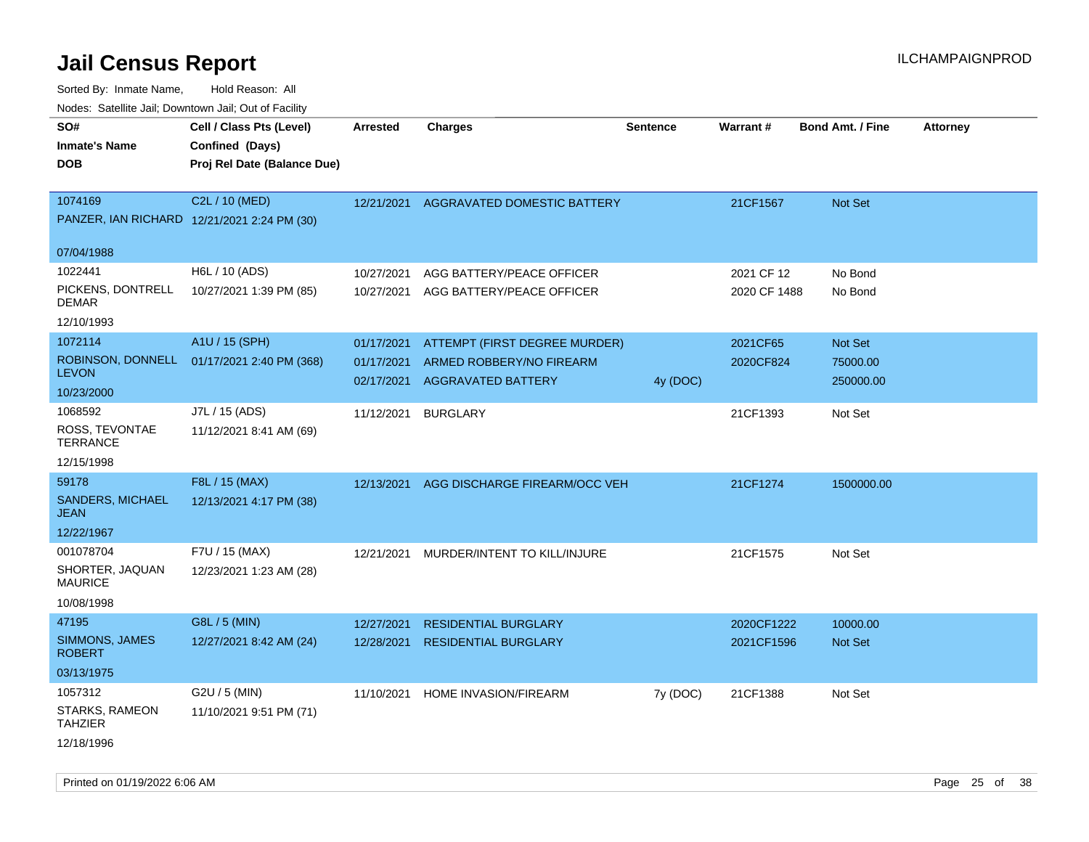| roaco. Catolino cali, Domntonn cali, Out of Facility |                                             |            |                               |                 |                 |                         |                 |
|------------------------------------------------------|---------------------------------------------|------------|-------------------------------|-----------------|-----------------|-------------------------|-----------------|
| SO#                                                  | Cell / Class Pts (Level)                    | Arrested   | <b>Charges</b>                | <b>Sentence</b> | <b>Warrant#</b> | <b>Bond Amt. / Fine</b> | <b>Attorney</b> |
| <b>Inmate's Name</b>                                 | Confined (Days)                             |            |                               |                 |                 |                         |                 |
| <b>DOB</b>                                           | Proj Rel Date (Balance Due)                 |            |                               |                 |                 |                         |                 |
|                                                      |                                             |            |                               |                 |                 |                         |                 |
| 1074169                                              | C2L / 10 (MED)                              | 12/21/2021 | AGGRAVATED DOMESTIC BATTERY   |                 | 21CF1567        | <b>Not Set</b>          |                 |
|                                                      | PANZER, IAN RICHARD 12/21/2021 2:24 PM (30) |            |                               |                 |                 |                         |                 |
|                                                      |                                             |            |                               |                 |                 |                         |                 |
| 07/04/1988                                           |                                             |            |                               |                 |                 |                         |                 |
| 1022441                                              | H6L / 10 (ADS)                              | 10/27/2021 | AGG BATTERY/PEACE OFFICER     |                 | 2021 CF 12      | No Bond                 |                 |
| PICKENS, DONTRELL                                    | 10/27/2021 1:39 PM (85)                     | 10/27/2021 | AGG BATTERY/PEACE OFFICER     |                 | 2020 CF 1488    | No Bond                 |                 |
| DEMAR                                                |                                             |            |                               |                 |                 |                         |                 |
| 12/10/1993                                           |                                             |            |                               |                 |                 |                         |                 |
| 1072114                                              | A1U / 15 (SPH)                              | 01/17/2021 | ATTEMPT (FIRST DEGREE MURDER) |                 | 2021CF65        | <b>Not Set</b>          |                 |
| <b>LEVON</b>                                         | ROBINSON, DONNELL 01/17/2021 2:40 PM (368)  | 01/17/2021 | ARMED ROBBERY/NO FIREARM      |                 | 2020CF824       | 75000.00                |                 |
| 10/23/2000                                           |                                             | 02/17/2021 | <b>AGGRAVATED BATTERY</b>     | 4y (DOC)        |                 | 250000.00               |                 |
| 1068592                                              |                                             |            |                               |                 |                 |                         |                 |
|                                                      | J7L / 15 (ADS)                              | 11/12/2021 | <b>BURGLARY</b>               |                 | 21CF1393        | Not Set                 |                 |
| ROSS, TEVONTAE<br><b>TERRANCE</b>                    | 11/12/2021 8:41 AM (69)                     |            |                               |                 |                 |                         |                 |
| 12/15/1998                                           |                                             |            |                               |                 |                 |                         |                 |
| 59178                                                | F8L / 15 (MAX)                              | 12/13/2021 | AGG DISCHARGE FIREARM/OCC VEH |                 | 21CF1274        | 1500000.00              |                 |
| <b>SANDERS, MICHAEL</b>                              | 12/13/2021 4:17 PM (38)                     |            |                               |                 |                 |                         |                 |
| JEAN                                                 |                                             |            |                               |                 |                 |                         |                 |
| 12/22/1967                                           |                                             |            |                               |                 |                 |                         |                 |
| 001078704                                            | F7U / 15 (MAX)                              | 12/21/2021 | MURDER/INTENT TO KILL/INJURE  |                 | 21CF1575        | Not Set                 |                 |
| SHORTER, JAQUAN                                      | 12/23/2021 1:23 AM (28)                     |            |                               |                 |                 |                         |                 |
| <b>MAURICE</b>                                       |                                             |            |                               |                 |                 |                         |                 |
| 10/08/1998                                           |                                             |            |                               |                 |                 |                         |                 |
| 47195                                                | G8L / 5 (MIN)                               | 12/27/2021 | <b>RESIDENTIAL BURGLARY</b>   |                 | 2020CF1222      | 10000.00                |                 |
| SIMMONS, JAMES                                       | 12/27/2021 8:42 AM (24)                     | 12/28/2021 | <b>RESIDENTIAL BURGLARY</b>   |                 | 2021CF1596      | <b>Not Set</b>          |                 |
| <b>ROBERT</b>                                        |                                             |            |                               |                 |                 |                         |                 |
| 03/13/1975                                           |                                             |            |                               |                 |                 |                         |                 |
| 1057312                                              | G2U / 5 (MIN)                               | 11/10/2021 | HOME INVASION/FIREARM         | 7y (DOC)        | 21CF1388        | Not Set                 |                 |
| STARKS, RAMEON<br><b>TAHZIER</b>                     | 11/10/2021 9:51 PM (71)                     |            |                               |                 |                 |                         |                 |
| 12/18/1996                                           |                                             |            |                               |                 |                 |                         |                 |
|                                                      |                                             |            |                               |                 |                 |                         |                 |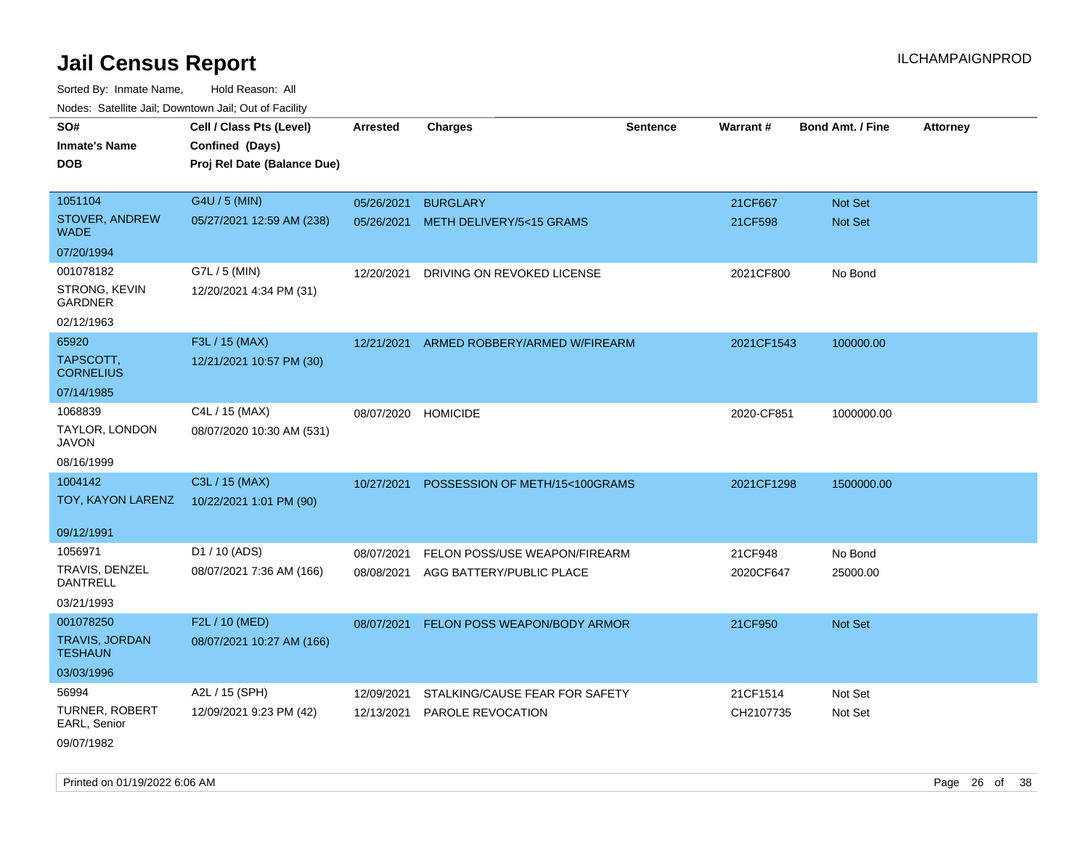Sorted By: Inmate Name, Hold Reason: All Nodes: Satellite Jail; Downtown Jail; Out of Facility

| ivouss. Saleling Jali, Downtown Jali, Out of Facility |                             |                 |                                |                 |            |                         |                 |
|-------------------------------------------------------|-----------------------------|-----------------|--------------------------------|-----------------|------------|-------------------------|-----------------|
| SO#                                                   | Cell / Class Pts (Level)    | <b>Arrested</b> | <b>Charges</b>                 | <b>Sentence</b> | Warrant#   | <b>Bond Amt. / Fine</b> | <b>Attorney</b> |
| <b>Inmate's Name</b>                                  | Confined (Days)             |                 |                                |                 |            |                         |                 |
| <b>DOB</b>                                            | Proj Rel Date (Balance Due) |                 |                                |                 |            |                         |                 |
|                                                       |                             |                 |                                |                 |            |                         |                 |
| 1051104                                               | G4U / 5 (MIN)               | 05/26/2021      | <b>BURGLARY</b>                |                 | 21CF667    | Not Set                 |                 |
| STOVER, ANDREW<br><b>WADE</b>                         | 05/27/2021 12:59 AM (238)   | 05/26/2021      | METH DELIVERY/5<15 GRAMS       |                 | 21CF598    | Not Set                 |                 |
| 07/20/1994                                            |                             |                 |                                |                 |            |                         |                 |
| 001078182                                             | G7L / 5 (MIN)               | 12/20/2021      | DRIVING ON REVOKED LICENSE     |                 | 2021CF800  | No Bond                 |                 |
| STRONG, KEVIN<br><b>GARDNER</b>                       | 12/20/2021 4:34 PM (31)     |                 |                                |                 |            |                         |                 |
| 02/12/1963                                            |                             |                 |                                |                 |            |                         |                 |
| 65920                                                 | F3L / 15 (MAX)              | 12/21/2021      | ARMED ROBBERY/ARMED W/FIREARM  |                 | 2021CF1543 | 100000.00               |                 |
| TAPSCOTT,<br><b>CORNELIUS</b>                         | 12/21/2021 10:57 PM (30)    |                 |                                |                 |            |                         |                 |
| 07/14/1985                                            |                             |                 |                                |                 |            |                         |                 |
| 1068839                                               | C4L / 15 (MAX)              | 08/07/2020      | <b>HOMICIDE</b>                |                 | 2020-CF851 | 1000000.00              |                 |
| TAYLOR, LONDON<br><b>JAVON</b>                        | 08/07/2020 10:30 AM (531)   |                 |                                |                 |            |                         |                 |
| 08/16/1999                                            |                             |                 |                                |                 |            |                         |                 |
| 1004142                                               | C3L / 15 (MAX)              | 10/27/2021      | POSSESSION OF METH/15<100GRAMS |                 | 2021CF1298 | 1500000.00              |                 |
| TOY, KAYON LARENZ                                     | 10/22/2021 1:01 PM (90)     |                 |                                |                 |            |                         |                 |
| 09/12/1991                                            |                             |                 |                                |                 |            |                         |                 |
| 1056971                                               | D1 / 10 (ADS)               | 08/07/2021      | FELON POSS/USE WEAPON/FIREARM  |                 | 21CF948    | No Bond                 |                 |
| TRAVIS, DENZEL<br><b>DANTRELL</b>                     | 08/07/2021 7:36 AM (166)    | 08/08/2021      | AGG BATTERY/PUBLIC PLACE       |                 | 2020CF647  | 25000.00                |                 |
| 03/21/1993                                            |                             |                 |                                |                 |            |                         |                 |
| 001078250                                             | F2L / 10 (MED)              | 08/07/2021      | FELON POSS WEAPON/BODY ARMOR   |                 | 21CF950    | Not Set                 |                 |
| <b>TRAVIS, JORDAN</b><br><b>TESHAUN</b>               | 08/07/2021 10:27 AM (166)   |                 |                                |                 |            |                         |                 |
| 03/03/1996                                            |                             |                 |                                |                 |            |                         |                 |
| 56994                                                 | A2L / 15 (SPH)              | 12/09/2021      | STALKING/CAUSE FEAR FOR SAFETY |                 | 21CF1514   | Not Set                 |                 |
| <b>TURNER, ROBERT</b><br>EARL, Senior                 | 12/09/2021 9:23 PM (42)     | 12/13/2021      | <b>PAROLE REVOCATION</b>       |                 | CH2107735  | Not Set                 |                 |
| 09/07/1982                                            |                             |                 |                                |                 |            |                         |                 |

Printed on 01/19/2022 6:06 AM Page 26 of 38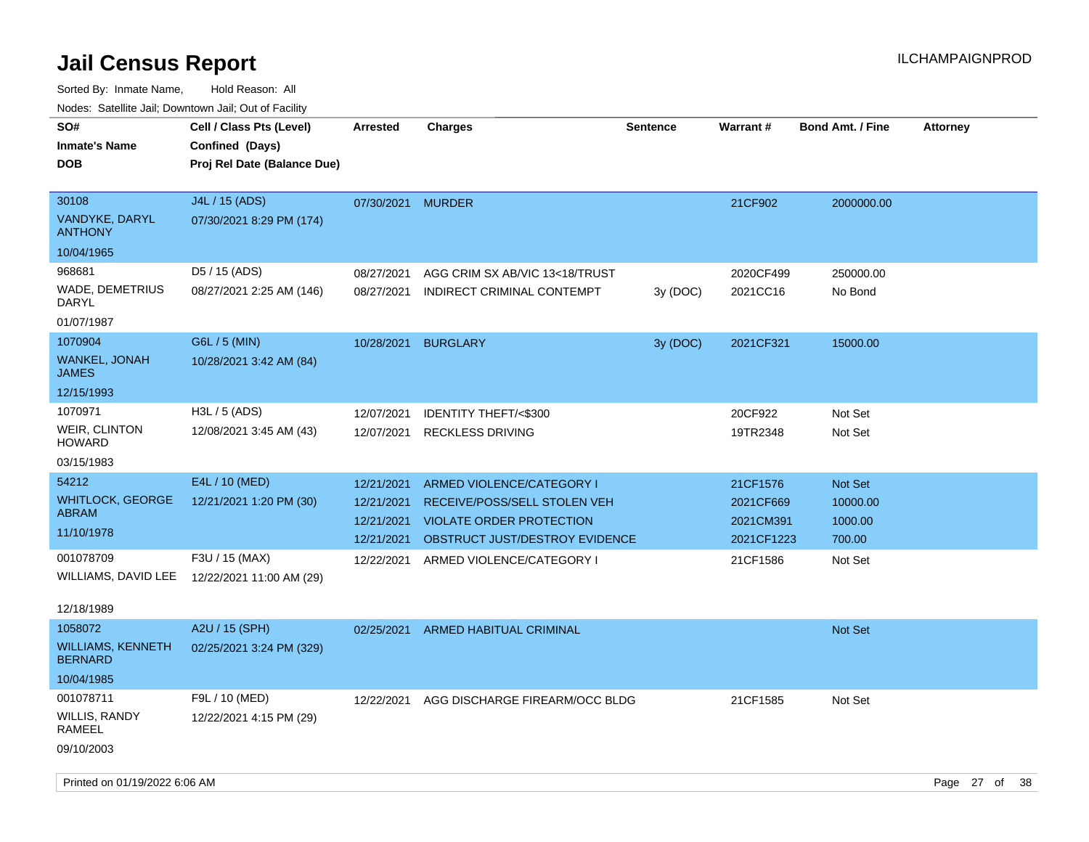Sorted By: Inmate Name, Hold Reason: All Nodes: Satellite Jail; Downtown Jail; Out of Facility

| inodes: Satellite Jali, Downtown Jali, Out of Facility |                             |                   |                                 |                 |                 |                         |                 |
|--------------------------------------------------------|-----------------------------|-------------------|---------------------------------|-----------------|-----------------|-------------------------|-----------------|
| SO#                                                    | Cell / Class Pts (Level)    | <b>Arrested</b>   | <b>Charges</b>                  | <b>Sentence</b> | <b>Warrant#</b> | <b>Bond Amt. / Fine</b> | <b>Attorney</b> |
| <b>Inmate's Name</b>                                   | Confined (Days)             |                   |                                 |                 |                 |                         |                 |
| <b>DOB</b>                                             | Proj Rel Date (Balance Due) |                   |                                 |                 |                 |                         |                 |
|                                                        |                             |                   |                                 |                 |                 |                         |                 |
| 30108                                                  | J4L / 15 (ADS)              | 07/30/2021 MURDER |                                 |                 | 21CF902         | 2000000.00              |                 |
| VANDYKE, DARYL<br><b>ANTHONY</b>                       | 07/30/2021 8:29 PM (174)    |                   |                                 |                 |                 |                         |                 |
| 10/04/1965                                             |                             |                   |                                 |                 |                 |                         |                 |
| 968681                                                 | D5 / 15 (ADS)               | 08/27/2021        | AGG CRIM SX AB/VIC 13<18/TRUST  |                 | 2020CF499       | 250000.00               |                 |
| WADE, DEMETRIUS<br><b>DARYL</b>                        | 08/27/2021 2:25 AM (146)    | 08/27/2021        | INDIRECT CRIMINAL CONTEMPT      | 3y(DOC)         | 2021CC16        | No Bond                 |                 |
| 01/07/1987                                             |                             |                   |                                 |                 |                 |                         |                 |
| 1070904                                                | G6L / 5 (MIN)               | 10/28/2021        | <b>BURGLARY</b>                 | 3y (DOC)        | 2021CF321       | 15000.00                |                 |
| <b>WANKEL, JONAH</b><br><b>JAMES</b>                   | 10/28/2021 3:42 AM (84)     |                   |                                 |                 |                 |                         |                 |
| 12/15/1993                                             |                             |                   |                                 |                 |                 |                         |                 |
| 1070971                                                | H3L / 5 (ADS)               | 12/07/2021        | IDENTITY THEFT/<\$300           |                 | 20CF922         | Not Set                 |                 |
| WEIR, CLINTON<br><b>HOWARD</b>                         | 12/08/2021 3:45 AM (43)     | 12/07/2021        | <b>RECKLESS DRIVING</b>         |                 | 19TR2348        | Not Set                 |                 |
| 03/15/1983                                             |                             |                   |                                 |                 |                 |                         |                 |
| 54212                                                  | E4L / 10 (MED)              | 12/21/2021        | ARMED VIOLENCE/CATEGORY I       |                 | 21CF1576        | Not Set                 |                 |
| <b>WHITLOCK, GEORGE</b>                                | 12/21/2021 1:20 PM (30)     | 12/21/2021        | RECEIVE/POSS/SELL STOLEN VEH    |                 | 2021CF669       | 10000.00                |                 |
| <b>ABRAM</b>                                           |                             | 12/21/2021        | <b>VIOLATE ORDER PROTECTION</b> |                 | 2021CM391       | 1000.00                 |                 |
| 11/10/1978                                             |                             | 12/21/2021        | OBSTRUCT JUST/DESTROY EVIDENCE  |                 | 2021CF1223      | 700.00                  |                 |
| 001078709                                              | F3U / 15 (MAX)              | 12/22/2021        | ARMED VIOLENCE/CATEGORY I       |                 | 21CF1586        | Not Set                 |                 |
| WILLIAMS, DAVID LEE                                    | 12/22/2021 11:00 AM (29)    |                   |                                 |                 |                 |                         |                 |
|                                                        |                             |                   |                                 |                 |                 |                         |                 |
| 12/18/1989                                             |                             |                   |                                 |                 |                 |                         |                 |
| 1058072                                                | A2U / 15 (SPH)              | 02/25/2021        | <b>ARMED HABITUAL CRIMINAL</b>  |                 |                 | Not Set                 |                 |
| <b>WILLIAMS, KENNETH</b><br><b>BERNARD</b>             | 02/25/2021 3:24 PM (329)    |                   |                                 |                 |                 |                         |                 |
| 10/04/1985                                             |                             |                   |                                 |                 |                 |                         |                 |
| 001078711                                              | F9L / 10 (MED)              | 12/22/2021        | AGG DISCHARGE FIREARM/OCC BLDG  |                 | 21CF1585        | Not Set                 |                 |
| <b>WILLIS, RANDY</b><br><b>RAMEEL</b>                  | 12/22/2021 4:15 PM (29)     |                   |                                 |                 |                 |                         |                 |

09/10/2003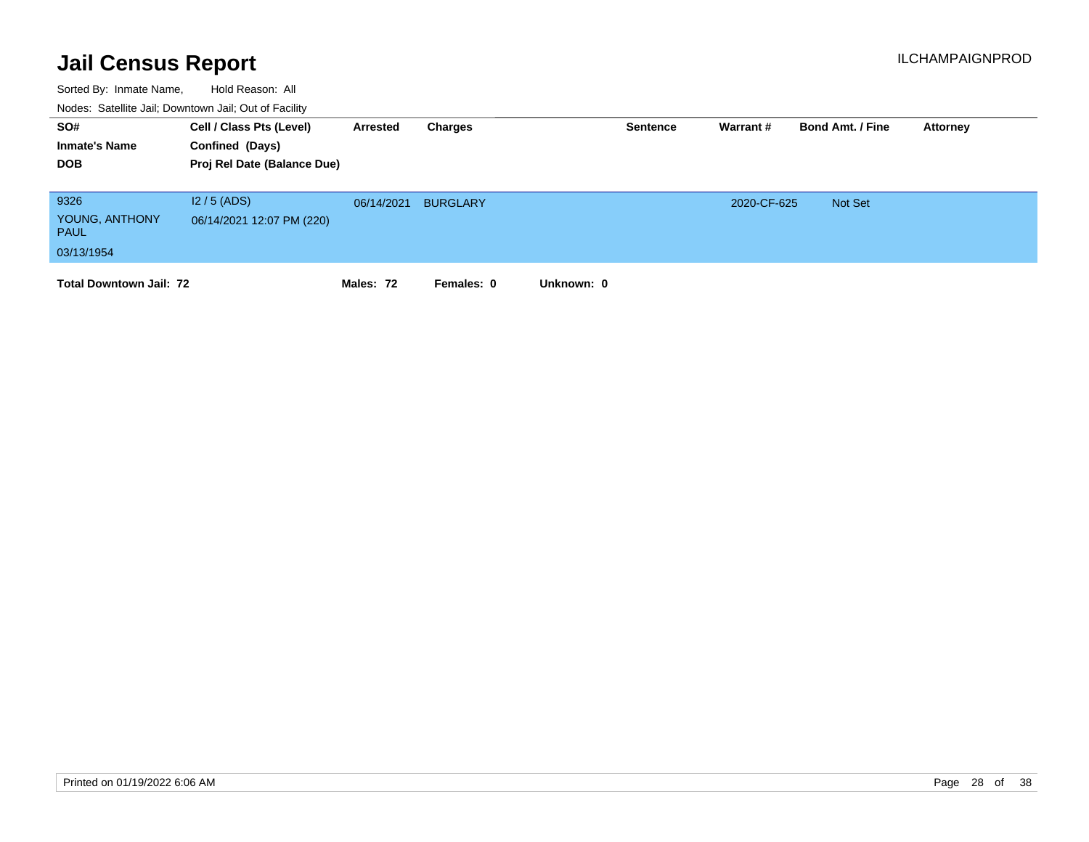| SO#<br><b>Inmate's Name</b><br><b>DOB</b>           | Cell / Class Pts (Level)<br>Confined (Days)<br>Proj Rel Date (Balance Due) | Arrested   | Charges         |            | <b>Sentence</b> | Warrant #   | <b>Bond Amt. / Fine</b> | Attorney |
|-----------------------------------------------------|----------------------------------------------------------------------------|------------|-----------------|------------|-----------------|-------------|-------------------------|----------|
| 9326<br>YOUNG, ANTHONY<br><b>PAUL</b><br>03/13/1954 | $12/5$ (ADS)<br>06/14/2021 12:07 PM (220)                                  | 06/14/2021 | <b>BURGLARY</b> |            |                 | 2020-CF-625 | <b>Not Set</b>          |          |
| <b>Total Downtown Jail: 72</b>                      |                                                                            | Males: 72  | Females: 0      | Unknown: 0 |                 |             |                         |          |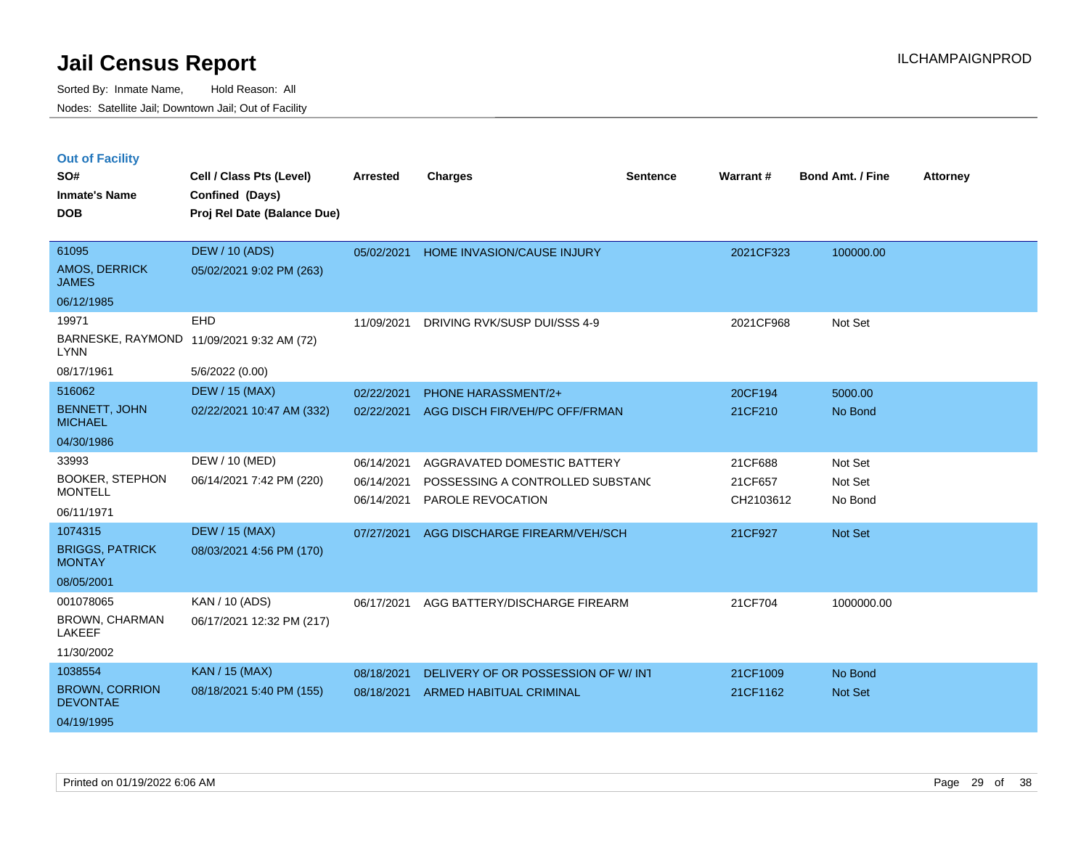|  |  | <b>Out of Facility</b> |
|--|--|------------------------|
|  |  |                        |

| SO#<br><b>Inmate's Name</b><br><b>DOB</b>     | Cell / Class Pts (Level)<br>Confined (Days)<br>Proj Rel Date (Balance Due) | <b>Arrested</b> | <b>Charges</b>                      | <b>Sentence</b> | <b>Warrant#</b> | <b>Bond Amt. / Fine</b> | <b>Attorney</b> |
|-----------------------------------------------|----------------------------------------------------------------------------|-----------------|-------------------------------------|-----------------|-----------------|-------------------------|-----------------|
| 61095<br><b>AMOS, DERRICK</b><br><b>JAMES</b> | <b>DEW / 10 (ADS)</b><br>05/02/2021 9:02 PM (263)                          | 05/02/2021      | HOME INVASION/CAUSE INJURY          |                 | 2021CF323       | 100000.00               |                 |
| 06/12/1985                                    |                                                                            |                 |                                     |                 |                 |                         |                 |
| 19971                                         | <b>EHD</b>                                                                 | 11/09/2021      | DRIVING RVK/SUSP DUI/SSS 4-9        |                 | 2021CF968       | Not Set                 |                 |
| <b>LYNN</b>                                   | BARNESKE, RAYMOND 11/09/2021 9:32 AM (72)                                  |                 |                                     |                 |                 |                         |                 |
| 08/17/1961                                    | 5/6/2022 (0.00)                                                            |                 |                                     |                 |                 |                         |                 |
| 516062                                        | <b>DEW / 15 (MAX)</b>                                                      | 02/22/2021      | PHONE HARASSMENT/2+                 |                 | 20CF194         | 5000.00                 |                 |
| <b>BENNETT, JOHN</b><br><b>MICHAEL</b>        | 02/22/2021 10:47 AM (332)                                                  | 02/22/2021      | AGG DISCH FIR/VEH/PC OFF/FRMAN      |                 | 21CF210         | No Bond                 |                 |
| 04/30/1986                                    |                                                                            |                 |                                     |                 |                 |                         |                 |
| 33993                                         | DEW / 10 (MED)                                                             | 06/14/2021      | AGGRAVATED DOMESTIC BATTERY         |                 | 21CF688         | Not Set                 |                 |
| <b>BOOKER, STEPHON</b><br><b>MONTELL</b>      | 06/14/2021 7:42 PM (220)                                                   | 06/14/2021      | POSSESSING A CONTROLLED SUBSTANC    |                 | 21CF657         | Not Set                 |                 |
| 06/11/1971                                    |                                                                            | 06/14/2021      | PAROLE REVOCATION                   |                 | CH2103612       | No Bond                 |                 |
| 1074315                                       | <b>DEW / 15 (MAX)</b>                                                      | 07/27/2021      | AGG DISCHARGE FIREARM/VEH/SCH       |                 | 21CF927         | Not Set                 |                 |
| <b>BRIGGS, PATRICK</b><br><b>MONTAY</b>       | 08/03/2021 4:56 PM (170)                                                   |                 |                                     |                 |                 |                         |                 |
| 08/05/2001                                    |                                                                            |                 |                                     |                 |                 |                         |                 |
| 001078065                                     | KAN / 10 (ADS)                                                             | 06/17/2021      | AGG BATTERY/DISCHARGE FIREARM       |                 | 21CF704         | 1000000.00              |                 |
| BROWN, CHARMAN<br><b>LAKEEF</b>               | 06/17/2021 12:32 PM (217)                                                  |                 |                                     |                 |                 |                         |                 |
| 11/30/2002                                    |                                                                            |                 |                                     |                 |                 |                         |                 |
| 1038554                                       | <b>KAN / 15 (MAX)</b>                                                      | 08/18/2021      | DELIVERY OF OR POSSESSION OF W/ INT |                 | 21CF1009        | No Bond                 |                 |
| <b>BROWN, CORRION</b><br><b>DEVONTAE</b>      | 08/18/2021 5:40 PM (155)                                                   | 08/18/2021      | ARMED HABITUAL CRIMINAL             |                 | 21CF1162        | Not Set                 |                 |
| 04/19/1995                                    |                                                                            |                 |                                     |                 |                 |                         |                 |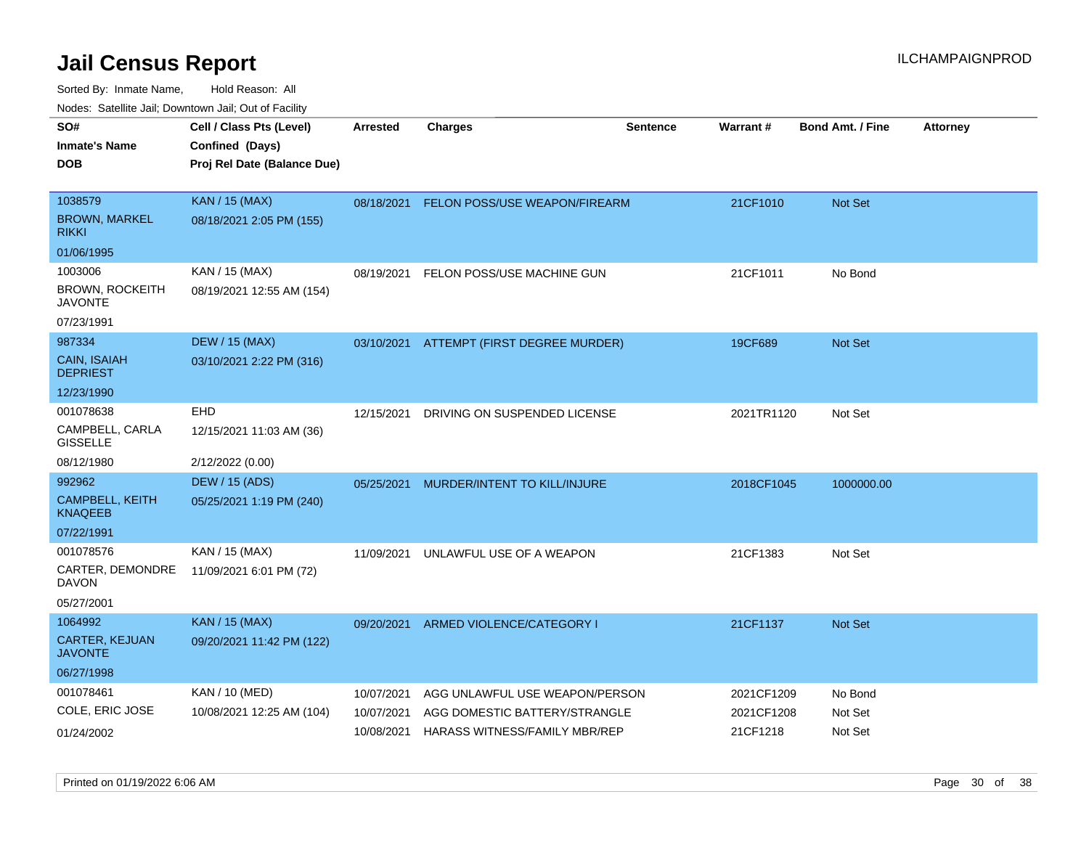| rouco. Calcillo Jali, Downtown Jali, Out of Facility |                 |                              |                                                                                                                     |                                                                                                                                                                                          |                         |                          |
|------------------------------------------------------|-----------------|------------------------------|---------------------------------------------------------------------------------------------------------------------|------------------------------------------------------------------------------------------------------------------------------------------------------------------------------------------|-------------------------|--------------------------|
| Cell / Class Pts (Level)                             | <b>Arrested</b> | <b>Charges</b>               | <b>Sentence</b>                                                                                                     |                                                                                                                                                                                          | <b>Bond Amt. / Fine</b> | <b>Attorney</b>          |
| Confined (Days)                                      |                 |                              |                                                                                                                     |                                                                                                                                                                                          |                         |                          |
| Proj Rel Date (Balance Due)                          |                 |                              |                                                                                                                     |                                                                                                                                                                                          |                         |                          |
|                                                      |                 |                              |                                                                                                                     |                                                                                                                                                                                          |                         |                          |
| <b>KAN / 15 (MAX)</b>                                |                 |                              |                                                                                                                     | 21CF1010                                                                                                                                                                                 | <b>Not Set</b>          |                          |
| 08/18/2021 2:05 PM (155)                             |                 |                              |                                                                                                                     |                                                                                                                                                                                          |                         |                          |
|                                                      |                 |                              |                                                                                                                     |                                                                                                                                                                                          |                         |                          |
| KAN / 15 (MAX)                                       | 08/19/2021      |                              |                                                                                                                     | 21CF1011                                                                                                                                                                                 | No Bond                 |                          |
| 08/19/2021 12:55 AM (154)                            |                 |                              |                                                                                                                     |                                                                                                                                                                                          |                         |                          |
|                                                      |                 |                              |                                                                                                                     |                                                                                                                                                                                          |                         |                          |
| <b>DEW / 15 (MAX)</b>                                |                 |                              |                                                                                                                     | 19CF689                                                                                                                                                                                  | <b>Not Set</b>          |                          |
| 03/10/2021 2:22 PM (316)                             |                 |                              |                                                                                                                     |                                                                                                                                                                                          |                         |                          |
|                                                      |                 |                              |                                                                                                                     |                                                                                                                                                                                          |                         |                          |
| EHD                                                  | 12/15/2021      | DRIVING ON SUSPENDED LICENSE |                                                                                                                     | 2021TR1120                                                                                                                                                                               | Not Set                 |                          |
| 12/15/2021 11:03 AM (36)                             |                 |                              |                                                                                                                     |                                                                                                                                                                                          |                         |                          |
| 2/12/2022 (0.00)                                     |                 |                              |                                                                                                                     |                                                                                                                                                                                          |                         |                          |
| <b>DEW / 15 (ADS)</b>                                | 05/25/2021      |                              |                                                                                                                     |                                                                                                                                                                                          | 1000000.00              |                          |
| 05/25/2021 1:19 PM (240)                             |                 |                              |                                                                                                                     |                                                                                                                                                                                          |                         |                          |
|                                                      |                 |                              |                                                                                                                     |                                                                                                                                                                                          |                         |                          |
| KAN / 15 (MAX)                                       | 11/09/2021      |                              |                                                                                                                     | 21CF1383                                                                                                                                                                                 | Not Set                 |                          |
| 11/09/2021 6:01 PM (72)                              |                 |                              |                                                                                                                     |                                                                                                                                                                                          |                         |                          |
|                                                      |                 |                              |                                                                                                                     |                                                                                                                                                                                          |                         |                          |
| <b>KAN / 15 (MAX)</b>                                | 09/20/2021      |                              |                                                                                                                     | 21CF1137                                                                                                                                                                                 | <b>Not Set</b>          |                          |
| 09/20/2021 11:42 PM (122)                            |                 |                              |                                                                                                                     |                                                                                                                                                                                          |                         |                          |
|                                                      |                 |                              |                                                                                                                     |                                                                                                                                                                                          |                         |                          |
| KAN / 10 (MED)                                       | 10/07/2021      |                              |                                                                                                                     | 2021CF1209                                                                                                                                                                               | No Bond                 |                          |
| 10/08/2021 12:25 AM (104)                            | 10/07/2021      |                              |                                                                                                                     |                                                                                                                                                                                          | Not Set                 |                          |
|                                                      | 10/08/2021      |                              |                                                                                                                     | 21CF1218                                                                                                                                                                                 | Not Set                 |                          |
|                                                      |                 |                              | FELON POSS/USE MACHINE GUN<br>MURDER/INTENT TO KILL/INJURE<br>UNLAWFUL USE OF A WEAPON<br>ARMED VIOLENCE/CATEGORY I | 08/18/2021 FELON POSS/USE WEAPON/FIREARM<br>03/10/2021 ATTEMPT (FIRST DEGREE MURDER)<br>AGG UNLAWFUL USE WEAPON/PERSON<br>AGG DOMESTIC BATTERY/STRANGLE<br>HARASS WITNESS/FAMILY MBR/REP | Warrant#                | 2018CF1045<br>2021CF1208 |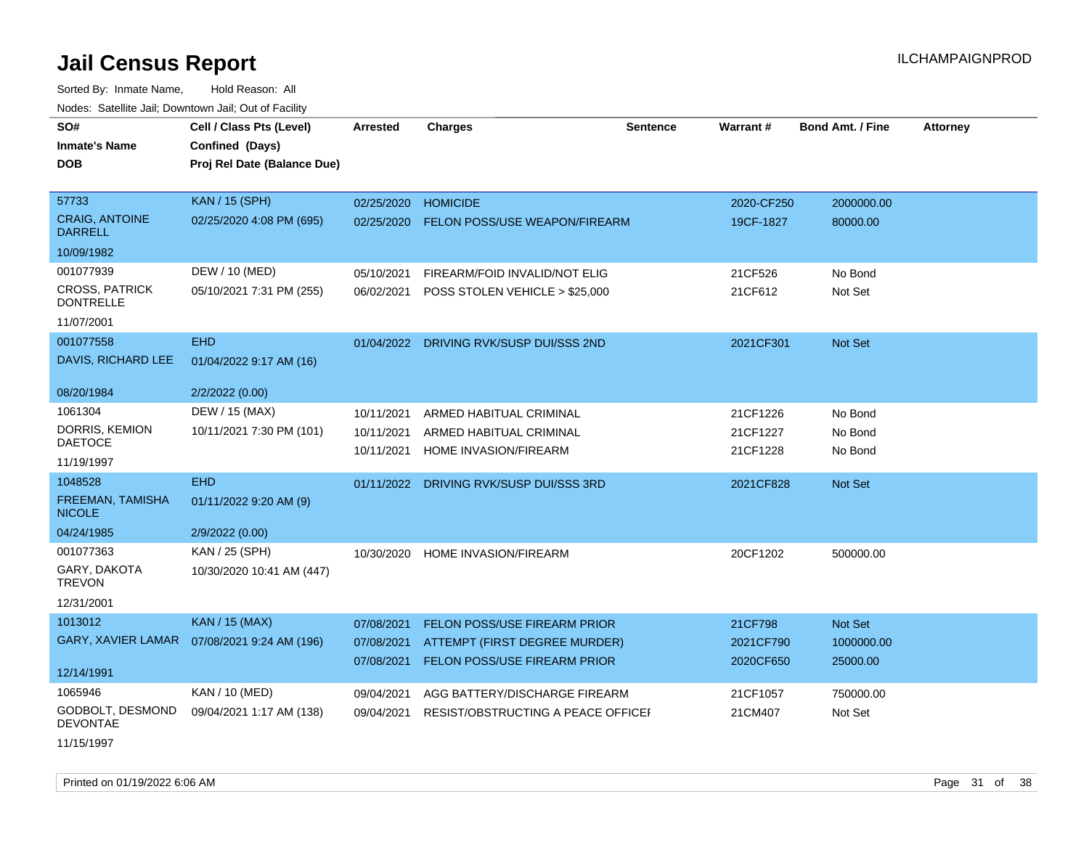Sorted By: Inmate Name, Hold Reason: All Nodes: Satellite Jail; Downtown Jail; Out of Facility

| wacs. Calcinic Jan, Downtown Jan, Out of Facility |                                              |            |                                         |                 |                 |                         |                 |
|---------------------------------------------------|----------------------------------------------|------------|-----------------------------------------|-----------------|-----------------|-------------------------|-----------------|
| SO#                                               | Cell / Class Pts (Level)                     | Arrested   | <b>Charges</b>                          | <b>Sentence</b> | <b>Warrant#</b> | <b>Bond Amt. / Fine</b> | <b>Attorney</b> |
| <b>Inmate's Name</b>                              | Confined (Days)                              |            |                                         |                 |                 |                         |                 |
| <b>DOB</b>                                        | Proj Rel Date (Balance Due)                  |            |                                         |                 |                 |                         |                 |
|                                                   |                                              |            |                                         |                 |                 |                         |                 |
| 57733                                             | KAN / 15 (SPH)                               | 02/25/2020 | <b>HOMICIDE</b>                         |                 | 2020-CF250      | 2000000.00              |                 |
| <b>CRAIG, ANTOINE</b><br><b>DARRELL</b>           | 02/25/2020 4:08 PM (695)                     | 02/25/2020 | <b>FELON POSS/USE WEAPON/FIREARM</b>    |                 | 19CF-1827       | 80000.00                |                 |
| 10/09/1982                                        |                                              |            |                                         |                 |                 |                         |                 |
| 001077939                                         | DEW / 10 (MED)                               | 05/10/2021 | FIREARM/FOID INVALID/NOT ELIG           |                 | 21CF526         | No Bond                 |                 |
| <b>CROSS, PATRICK</b><br><b>DONTRELLE</b>         | 05/10/2021 7:31 PM (255)                     | 06/02/2021 | POSS STOLEN VEHICLE > \$25,000          |                 | 21CF612         | Not Set                 |                 |
| 11/07/2001                                        |                                              |            |                                         |                 |                 |                         |                 |
| 001077558                                         | <b>EHD</b>                                   |            | 01/04/2022 DRIVING RVK/SUSP DUI/SSS 2ND |                 | 2021CF301       | Not Set                 |                 |
| DAVIS, RICHARD LEE                                | 01/04/2022 9:17 AM (16)                      |            |                                         |                 |                 |                         |                 |
| 08/20/1984                                        | 2/2/2022 (0.00)                              |            |                                         |                 |                 |                         |                 |
| 1061304                                           | DEW / 15 (MAX)                               | 10/11/2021 | ARMED HABITUAL CRIMINAL                 |                 | 21CF1226        | No Bond                 |                 |
| DORRIS, KEMION                                    | 10/11/2021 7:30 PM (101)                     | 10/11/2021 | ARMED HABITUAL CRIMINAL                 |                 | 21CF1227        | No Bond                 |                 |
| <b>DAETOCE</b>                                    |                                              | 10/11/2021 | HOME INVASION/FIREARM                   |                 | 21CF1228        | No Bond                 |                 |
| 11/19/1997                                        |                                              |            |                                         |                 |                 |                         |                 |
| 1048528                                           | <b>EHD</b>                                   | 01/11/2022 | DRIVING RVK/SUSP DUI/SSS 3RD            |                 | 2021CF828       | Not Set                 |                 |
| <b>FREEMAN, TAMISHA</b><br><b>NICOLE</b>          | 01/11/2022 9:20 AM (9)                       |            |                                         |                 |                 |                         |                 |
| 04/24/1985                                        | 2/9/2022 (0.00)                              |            |                                         |                 |                 |                         |                 |
| 001077363                                         | KAN / 25 (SPH)                               | 10/30/2020 | <b>HOME INVASION/FIREARM</b>            |                 | 20CF1202        | 500000.00               |                 |
| GARY, DAKOTA<br><b>TREVON</b>                     | 10/30/2020 10:41 AM (447)                    |            |                                         |                 |                 |                         |                 |
| 12/31/2001                                        |                                              |            |                                         |                 |                 |                         |                 |
| 1013012                                           | <b>KAN / 15 (MAX)</b>                        | 07/08/2021 | FELON POSS/USE FIREARM PRIOR            |                 | 21CF798         | Not Set                 |                 |
|                                                   | GARY, XAVIER LAMAR  07/08/2021 9:24 AM (196) | 07/08/2021 | ATTEMPT (FIRST DEGREE MURDER)           |                 | 2021CF790       | 1000000.00              |                 |
|                                                   |                                              | 07/08/2021 | <b>FELON POSS/USE FIREARM PRIOR</b>     |                 | 2020CF650       | 25000.00                |                 |
| 12/14/1991                                        |                                              |            |                                         |                 |                 |                         |                 |
| 1065946                                           | KAN / 10 (MED)                               | 09/04/2021 | AGG BATTERY/DISCHARGE FIREARM           |                 | 21CF1057        | 750000.00               |                 |
| GODBOLT, DESMOND<br><b>DEVONTAE</b>               | 09/04/2021 1:17 AM (138)                     | 09/04/2021 | RESIST/OBSTRUCTING A PEACE OFFICEF      |                 | 21CM407         | Not Set                 |                 |
|                                                   |                                              |            |                                         |                 |                 |                         |                 |

11/15/1997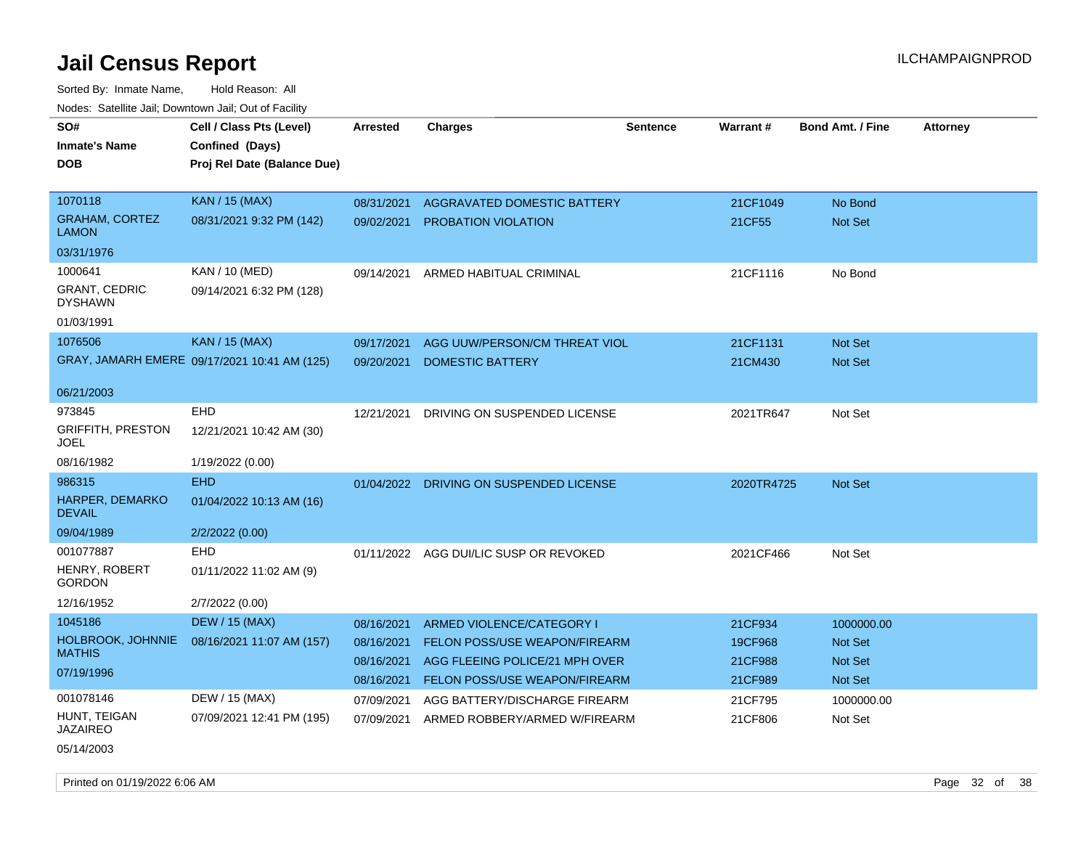| SO#<br><b>Inmate's Name</b><br>DOB                                            | Cell / Class Pts (Level)<br>Confined (Days)<br>Proj Rel Date (Balance Due) | Arrested                                             | <b>Charges</b>                                                                                                                       | <b>Sentence</b> | Warrant#                                 | <b>Bond Amt. / Fine</b>                            | <b>Attorney</b> |
|-------------------------------------------------------------------------------|----------------------------------------------------------------------------|------------------------------------------------------|--------------------------------------------------------------------------------------------------------------------------------------|-----------------|------------------------------------------|----------------------------------------------------|-----------------|
| 1070118<br><b>GRAHAM, CORTEZ</b><br><b>LAMON</b>                              | <b>KAN / 15 (MAX)</b><br>08/31/2021 9:32 PM (142)                          | 08/31/2021<br>09/02/2021                             | AGGRAVATED DOMESTIC BATTERY<br><b>PROBATION VIOLATION</b>                                                                            |                 | 21CF1049<br>21CF55                       | No Bond<br>Not Set                                 |                 |
| 03/31/1976<br>1000641<br><b>GRANT, CEDRIC</b><br><b>DYSHAWN</b><br>01/03/1991 | KAN / 10 (MED)<br>09/14/2021 6:32 PM (128)                                 | 09/14/2021                                           | ARMED HABITUAL CRIMINAL                                                                                                              |                 | 21CF1116                                 | No Bond                                            |                 |
| 1076506                                                                       | <b>KAN / 15 (MAX)</b><br>GRAY, JAMARH EMERE 09/17/2021 10:41 AM (125)      | 09/17/2021<br>09/20/2021                             | AGG UUW/PERSON/CM THREAT VIOL<br><b>DOMESTIC BATTERY</b>                                                                             |                 | 21CF1131<br>21CM430                      | Not Set<br><b>Not Set</b>                          |                 |
| 06/21/2003<br>973845<br><b>GRIFFITH, PRESTON</b><br>JOEL<br>08/16/1982        | <b>EHD</b><br>12/21/2021 10:42 AM (30)<br>1/19/2022 (0.00)                 | 12/21/2021                                           | DRIVING ON SUSPENDED LICENSE                                                                                                         |                 | 2021TR647                                | Not Set                                            |                 |
| 986315<br>HARPER, DEMARKO<br><b>DEVAIL</b><br>09/04/1989                      | <b>EHD</b><br>01/04/2022 10:13 AM (16)<br>2/2/2022 (0.00)                  |                                                      | 01/04/2022 DRIVING ON SUSPENDED LICENSE                                                                                              |                 | 2020TR4725                               | Not Set                                            |                 |
| 001077887<br>HENRY, ROBERT<br><b>GORDON</b><br>12/16/1952                     | <b>EHD</b><br>01/11/2022 11:02 AM (9)<br>2/7/2022 (0.00)                   |                                                      | 01/11/2022 AGG DUI/LIC SUSP OR REVOKED                                                                                               |                 | 2021CF466                                | Not Set                                            |                 |
| 1045186<br>HOLBROOK, JOHNNIE<br><b>MATHIS</b><br>07/19/1996                   | <b>DEW / 15 (MAX)</b><br>08/16/2021 11:07 AM (157)                         | 08/16/2021<br>08/16/2021<br>08/16/2021<br>08/16/2021 | ARMED VIOLENCE/CATEGORY I<br><b>FELON POSS/USE WEAPON/FIREARM</b><br>AGG FLEEING POLICE/21 MPH OVER<br>FELON POSS/USE WEAPON/FIREARM |                 | 21CF934<br>19CF968<br>21CF988<br>21CF989 | 1000000.00<br><b>Not Set</b><br>Not Set<br>Not Set |                 |
| 001078146<br>HUNT, TEIGAN<br><b>JAZAIREO</b><br>05/14/2003                    | DEW / 15 (MAX)<br>07/09/2021 12:41 PM (195)                                | 07/09/2021<br>07/09/2021                             | AGG BATTERY/DISCHARGE FIREARM<br>ARMED ROBBERY/ARMED W/FIREARM                                                                       |                 | 21CF795<br>21CF806                       | 1000000.00<br>Not Set                              |                 |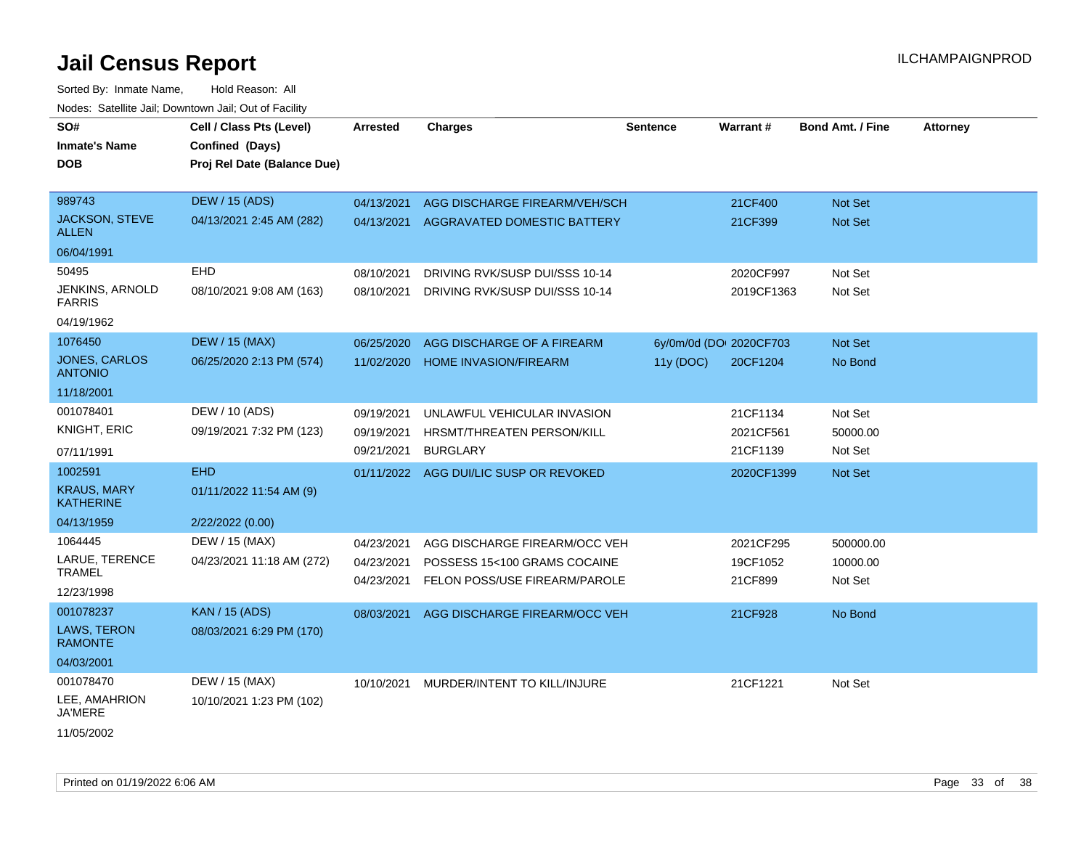Sorted By: Inmate Name, Hold Reason: All Nodes: Satellite Jail; Downtown Jail; Out of Facility

| SO#<br><b>Inmate's Name</b>            | Cell / Class Pts (Level)<br>Confined (Days) | Arrested   | <b>Charges</b>                     | <b>Sentence</b> | Warrant#                | <b>Bond Amt. / Fine</b> | <b>Attorney</b> |
|----------------------------------------|---------------------------------------------|------------|------------------------------------|-----------------|-------------------------|-------------------------|-----------------|
| <b>DOB</b>                             | Proj Rel Date (Balance Due)                 |            |                                    |                 |                         |                         |                 |
| 989743                                 | <b>DEW / 15 (ADS)</b>                       | 04/13/2021 | AGG DISCHARGE FIREARM/VEH/SCH      |                 | 21CF400                 | <b>Not Set</b>          |                 |
| <b>JACKSON, STEVE</b><br><b>ALLEN</b>  | 04/13/2021 2:45 AM (282)                    | 04/13/2021 | <b>AGGRAVATED DOMESTIC BATTERY</b> |                 | 21CF399                 | Not Set                 |                 |
| 06/04/1991                             |                                             |            |                                    |                 |                         |                         |                 |
| 50495                                  | <b>EHD</b>                                  | 08/10/2021 | DRIVING RVK/SUSP DUI/SSS 10-14     |                 | 2020CF997               | Not Set                 |                 |
| JENKINS, ARNOLD<br><b>FARRIS</b>       | 08/10/2021 9:08 AM (163)                    | 08/10/2021 | DRIVING RVK/SUSP DUI/SSS 10-14     |                 | 2019CF1363              | Not Set                 |                 |
| 04/19/1962                             |                                             |            |                                    |                 |                         |                         |                 |
| 1076450                                | <b>DEW / 15 (MAX)</b>                       | 06/25/2020 | AGG DISCHARGE OF A FIREARM         |                 | 6y/0m/0d (DOI 2020CF703 | Not Set                 |                 |
| <b>JONES, CARLOS</b><br><b>ANTONIO</b> | 06/25/2020 2:13 PM (574)                    | 11/02/2020 | <b>HOME INVASION/FIREARM</b>       | 11y (DOC)       | 20CF1204                | No Bond                 |                 |
| 11/18/2001                             |                                             |            |                                    |                 |                         |                         |                 |
| 001078401                              | DEW / 10 (ADS)                              | 09/19/2021 | UNLAWFUL VEHICULAR INVASION        |                 | 21CF1134                | Not Set                 |                 |
| <b>KNIGHT, ERIC</b>                    | 09/19/2021 7:32 PM (123)                    | 09/19/2021 | HRSMT/THREATEN PERSON/KILL         |                 | 2021CF561               | 50000.00                |                 |
| 07/11/1991                             |                                             | 09/21/2021 | <b>BURGLARY</b>                    |                 | 21CF1139                | Not Set                 |                 |
| 1002591                                | <b>EHD</b>                                  | 01/11/2022 | AGG DUI/LIC SUSP OR REVOKED        |                 | 2020CF1399              | Not Set                 |                 |
| <b>KRAUS, MARY</b><br><b>KATHERINE</b> | 01/11/2022 11:54 AM (9)                     |            |                                    |                 |                         |                         |                 |
| 04/13/1959                             | 2/22/2022 (0.00)                            |            |                                    |                 |                         |                         |                 |
| 1064445                                | DEW / 15 (MAX)                              | 04/23/2021 | AGG DISCHARGE FIREARM/OCC VEH      |                 | 2021CF295               | 500000.00               |                 |
| LARUE, TERENCE                         | 04/23/2021 11:18 AM (272)                   | 04/23/2021 | POSSESS 15<100 GRAMS COCAINE       |                 | 19CF1052                | 10000.00                |                 |
| <b>TRAMEL</b>                          |                                             | 04/23/2021 | FELON POSS/USE FIREARM/PAROLE      |                 | 21CF899                 | Not Set                 |                 |
| 12/23/1998                             |                                             |            |                                    |                 |                         |                         |                 |
| 001078237                              | <b>KAN / 15 (ADS)</b>                       | 08/03/2021 | AGG DISCHARGE FIREARM/OCC VEH      |                 | 21CF928                 | No Bond                 |                 |
| LAWS, TERON<br><b>RAMONTE</b>          | 08/03/2021 6:29 PM (170)                    |            |                                    |                 |                         |                         |                 |
| 04/03/2001                             |                                             |            |                                    |                 |                         |                         |                 |
| 001078470                              | DEW / 15 (MAX)                              | 10/10/2021 | MURDER/INTENT TO KILL/INJURE       |                 | 21CF1221                | Not Set                 |                 |
| LEE, AMAHRION<br><b>JA'MERE</b>        | 10/10/2021 1:23 PM (102)                    |            |                                    |                 |                         |                         |                 |
| $1.10 - 10000$                         |                                             |            |                                    |                 |                         |                         |                 |

11/05/2002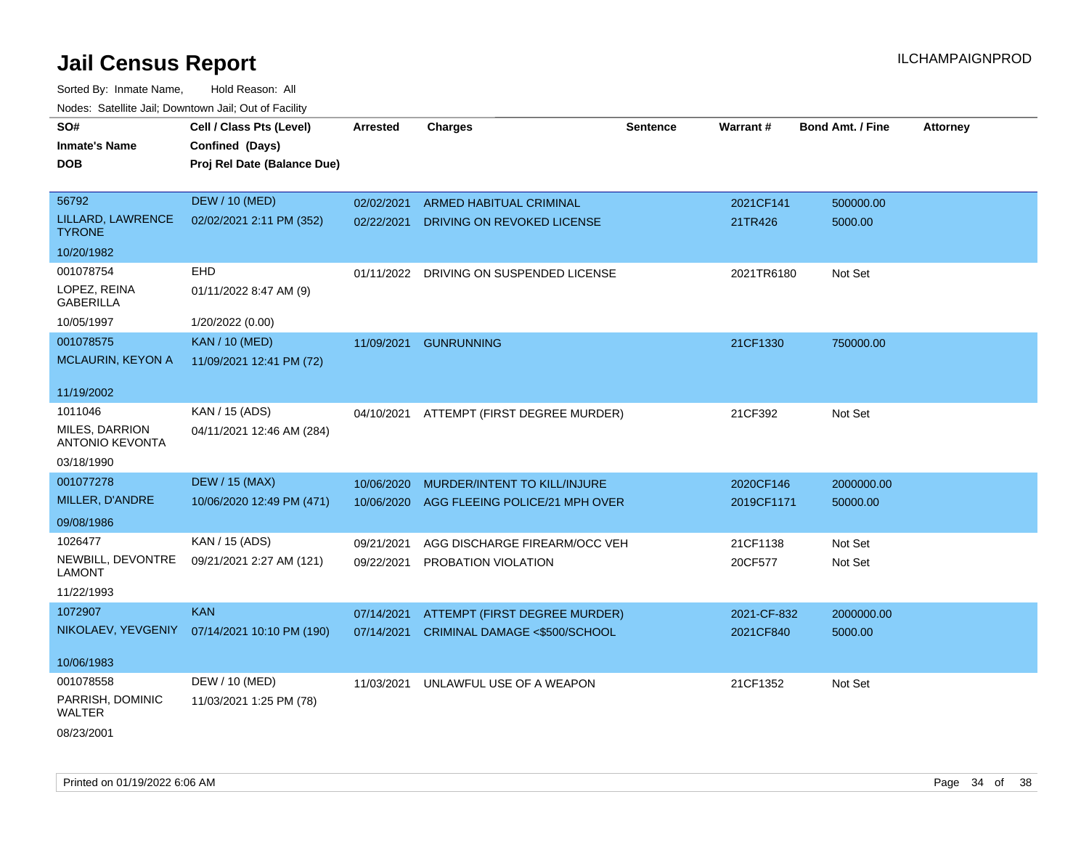| SO#<br><b>Inmate's Name</b><br><b>DOB</b> | Cell / Class Pts (Level)<br>Confined (Days)<br>Proj Rel Date (Balance Due) | Arrested   | <b>Charges</b>                           | <b>Sentence</b> | Warrant#    | <b>Bond Amt. / Fine</b> | <b>Attorney</b> |
|-------------------------------------------|----------------------------------------------------------------------------|------------|------------------------------------------|-----------------|-------------|-------------------------|-----------------|
| 56792                                     | <b>DEW / 10 (MED)</b>                                                      | 02/02/2021 | ARMED HABITUAL CRIMINAL                  |                 | 2021CF141   | 500000.00               |                 |
| LILLARD, LAWRENCE<br><b>TYRONE</b>        | 02/02/2021 2:11 PM (352)                                                   | 02/22/2021 | DRIVING ON REVOKED LICENSE               |                 | 21TR426     | 5000.00                 |                 |
| 10/20/1982                                |                                                                            |            |                                          |                 |             |                         |                 |
| 001078754                                 | <b>EHD</b>                                                                 |            | 01/11/2022 DRIVING ON SUSPENDED LICENSE  |                 | 2021TR6180  | Not Set                 |                 |
| LOPEZ, REINA<br><b>GABERILLA</b>          | 01/11/2022 8:47 AM (9)                                                     |            |                                          |                 |             |                         |                 |
| 10/05/1997                                | 1/20/2022 (0.00)                                                           |            |                                          |                 |             |                         |                 |
| 001078575                                 | <b>KAN / 10 (MED)</b>                                                      | 11/09/2021 | <b>GUNRUNNING</b>                        |                 | 21CF1330    | 750000.00               |                 |
| MCLAURIN, KEYON A                         | 11/09/2021 12:41 PM (72)                                                   |            |                                          |                 |             |                         |                 |
| 11/19/2002                                |                                                                            |            |                                          |                 |             |                         |                 |
| 1011046                                   | KAN / 15 (ADS)                                                             |            | 04/10/2021 ATTEMPT (FIRST DEGREE MURDER) |                 | 21CF392     | Not Set                 |                 |
| MILES, DARRION<br><b>ANTONIO KEVONTA</b>  | 04/11/2021 12:46 AM (284)                                                  |            |                                          |                 |             |                         |                 |
| 03/18/1990                                |                                                                            |            |                                          |                 |             |                         |                 |
| 001077278                                 | <b>DEW / 15 (MAX)</b>                                                      | 10/06/2020 | MURDER/INTENT TO KILL/INJURE             |                 | 2020CF146   | 2000000.00              |                 |
| MILLER, D'ANDRE                           | 10/06/2020 12:49 PM (471)                                                  | 10/06/2020 | AGG FLEEING POLICE/21 MPH OVER           |                 | 2019CF1171  | 50000.00                |                 |
| 09/08/1986                                |                                                                            |            |                                          |                 |             |                         |                 |
| 1026477                                   | KAN / 15 (ADS)                                                             | 09/21/2021 | AGG DISCHARGE FIREARM/OCC VEH            |                 | 21CF1138    | Not Set                 |                 |
| NEWBILL, DEVONTRE<br><b>LAMONT</b>        | 09/21/2021 2:27 AM (121)                                                   | 09/22/2021 | PROBATION VIOLATION                      |                 | 20CF577     | Not Set                 |                 |
| 11/22/1993                                |                                                                            |            |                                          |                 |             |                         |                 |
| 1072907                                   | <b>KAN</b>                                                                 | 07/14/2021 | ATTEMPT (FIRST DEGREE MURDER)            |                 | 2021-CF-832 | 2000000.00              |                 |
|                                           | NIKOLAEV, YEVGENIY 07/14/2021 10:10 PM (190)                               | 07/14/2021 | CRIMINAL DAMAGE <\$500/SCHOOL            |                 | 2021CF840   | 5000.00                 |                 |
| 10/06/1983                                |                                                                            |            |                                          |                 |             |                         |                 |
| 001078558                                 | DEW / 10 (MED)                                                             | 11/03/2021 | UNLAWFUL USE OF A WEAPON                 |                 | 21CF1352    | Not Set                 |                 |
| PARRISH, DOMINIC<br>WALTER                | 11/03/2021 1:25 PM (78)                                                    |            |                                          |                 |             |                         |                 |
| 08/23/2001                                |                                                                            |            |                                          |                 |             |                         |                 |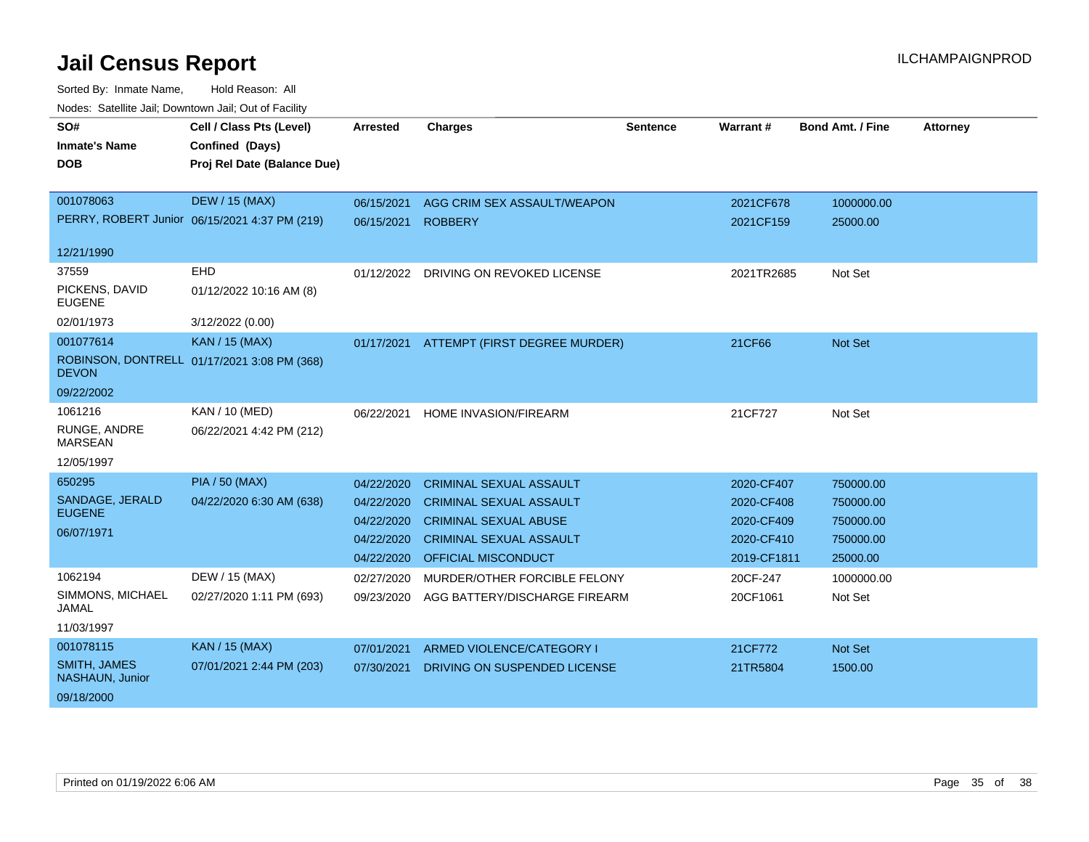| SO#                                    | Cell / Class Pts (Level)                      | <b>Arrested</b> | <b>Charges</b>                        | <b>Sentence</b> | Warrant#    | <b>Bond Amt. / Fine</b> | <b>Attorney</b> |
|----------------------------------------|-----------------------------------------------|-----------------|---------------------------------------|-----------------|-------------|-------------------------|-----------------|
| <b>Inmate's Name</b>                   | Confined (Days)                               |                 |                                       |                 |             |                         |                 |
| <b>DOB</b>                             | Proj Rel Date (Balance Due)                   |                 |                                       |                 |             |                         |                 |
|                                        |                                               |                 |                                       |                 |             |                         |                 |
| 001078063                              | <b>DEW / 15 (MAX)</b>                         | 06/15/2021      | AGG CRIM SEX ASSAULT/WEAPON           |                 | 2021CF678   | 1000000.00              |                 |
|                                        | PERRY, ROBERT Junior 06/15/2021 4:37 PM (219) | 06/15/2021      | <b>ROBBERY</b>                        |                 | 2021CF159   | 25000.00                |                 |
| 12/21/1990                             |                                               |                 |                                       |                 |             |                         |                 |
| 37559                                  | EHD                                           |                 | 01/12/2022 DRIVING ON REVOKED LICENSE |                 | 2021TR2685  | Not Set                 |                 |
| PICKENS, DAVID<br><b>EUGENE</b>        | 01/12/2022 10:16 AM (8)                       |                 |                                       |                 |             |                         |                 |
| 02/01/1973                             | 3/12/2022 (0.00)                              |                 |                                       |                 |             |                         |                 |
| 001077614                              | <b>KAN / 15 (MAX)</b>                         | 01/17/2021      | ATTEMPT (FIRST DEGREE MURDER)         |                 | 21CF66      | <b>Not Set</b>          |                 |
| <b>DEVON</b>                           | ROBINSON, DONTRELL 01/17/2021 3:08 PM (368)   |                 |                                       |                 |             |                         |                 |
| 09/22/2002                             |                                               |                 |                                       |                 |             |                         |                 |
| 1061216                                | KAN / 10 (MED)                                | 06/22/2021      | <b>HOME INVASION/FIREARM</b>          |                 | 21CF727     | Not Set                 |                 |
| RUNGE, ANDRE<br><b>MARSEAN</b>         | 06/22/2021 4:42 PM (212)                      |                 |                                       |                 |             |                         |                 |
| 12/05/1997                             |                                               |                 |                                       |                 |             |                         |                 |
| 650295                                 | <b>PIA / 50 (MAX)</b>                         | 04/22/2020      | <b>CRIMINAL SEXUAL ASSAULT</b>        |                 | 2020-CF407  | 750000.00               |                 |
| SANDAGE, JERALD                        | 04/22/2020 6:30 AM (638)                      | 04/22/2020      | <b>CRIMINAL SEXUAL ASSAULT</b>        |                 | 2020-CF408  | 750000.00               |                 |
| <b>EUGENE</b>                          |                                               | 04/22/2020      | <b>CRIMINAL SEXUAL ABUSE</b>          |                 | 2020-CF409  | 750000.00               |                 |
| 06/07/1971                             |                                               | 04/22/2020      | <b>CRIMINAL SEXUAL ASSAULT</b>        |                 | 2020-CF410  | 750000.00               |                 |
|                                        |                                               | 04/22/2020      | <b>OFFICIAL MISCONDUCT</b>            |                 | 2019-CF1811 | 25000.00                |                 |
| 1062194                                | DEW / 15 (MAX)                                | 02/27/2020      | MURDER/OTHER FORCIBLE FELONY          |                 | 20CF-247    | 1000000.00              |                 |
| SIMMONS, MICHAEL<br>JAMAL              | 02/27/2020 1:11 PM (693)                      | 09/23/2020      | AGG BATTERY/DISCHARGE FIREARM         |                 | 20CF1061    | Not Set                 |                 |
| 11/03/1997                             |                                               |                 |                                       |                 |             |                         |                 |
| 001078115                              | <b>KAN / 15 (MAX)</b>                         | 07/01/2021      | ARMED VIOLENCE/CATEGORY I             |                 | 21CF772     | Not Set                 |                 |
| <b>SMITH, JAMES</b><br>NASHAUN, Junior | 07/01/2021 2:44 PM (203)                      | 07/30/2021      | DRIVING ON SUSPENDED LICENSE          |                 | 21TR5804    | 1500.00                 |                 |
| 09/18/2000                             |                                               |                 |                                       |                 |             |                         |                 |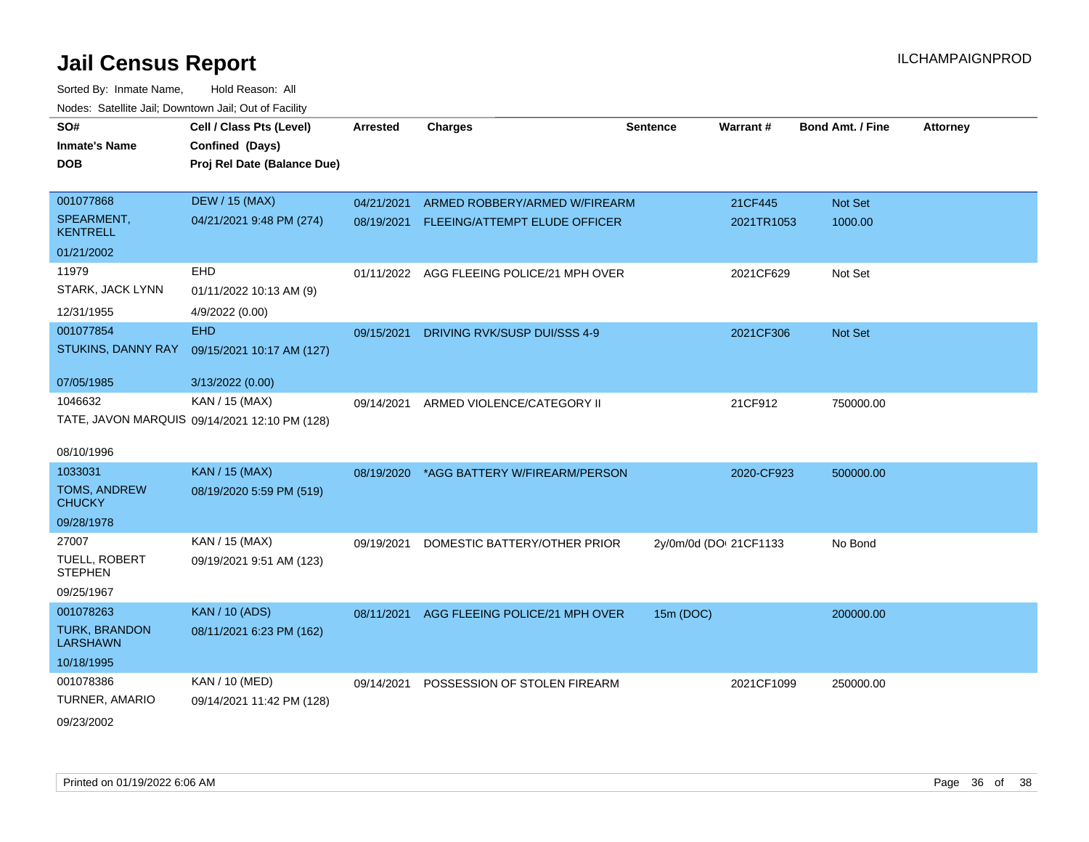| SO#<br><b>Inmate's Name</b><br><b>DOB</b> | Cell / Class Pts (Level)<br>Confined (Days)<br>Proj Rel Date (Balance Due) | <b>Arrested</b> | <b>Charges</b>                            | <b>Sentence</b>        | Warrant#   | Bond Amt. / Fine | <b>Attorney</b> |
|-------------------------------------------|----------------------------------------------------------------------------|-----------------|-------------------------------------------|------------------------|------------|------------------|-----------------|
| 001077868                                 | <b>DEW / 15 (MAX)</b>                                                      | 04/21/2021      | ARMED ROBBERY/ARMED W/FIREARM             |                        | 21CF445    | Not Set          |                 |
| SPEARMENT,<br><b>KENTRELL</b>             | 04/21/2021 9:48 PM (274)                                                   | 08/19/2021      | FLEEING/ATTEMPT ELUDE OFFICER             |                        | 2021TR1053 | 1000.00          |                 |
| 01/21/2002                                |                                                                            |                 |                                           |                        |            |                  |                 |
| 11979                                     | <b>EHD</b>                                                                 |                 | 01/11/2022 AGG FLEEING POLICE/21 MPH OVER |                        | 2021CF629  | Not Set          |                 |
| STARK, JACK LYNN                          | 01/11/2022 10:13 AM (9)                                                    |                 |                                           |                        |            |                  |                 |
| 12/31/1955                                | 4/9/2022 (0.00)                                                            |                 |                                           |                        |            |                  |                 |
| 001077854                                 | <b>EHD</b>                                                                 | 09/15/2021      | DRIVING RVK/SUSP DUI/SSS 4-9              |                        | 2021CF306  | <b>Not Set</b>   |                 |
| STUKINS, DANNY RAY                        | 09/15/2021 10:17 AM (127)                                                  |                 |                                           |                        |            |                  |                 |
| 07/05/1985                                | 3/13/2022 (0.00)                                                           |                 |                                           |                        |            |                  |                 |
| 1046632                                   | KAN / 15 (MAX)                                                             | 09/14/2021      | ARMED VIOLENCE/CATEGORY II                |                        | 21CF912    | 750000.00        |                 |
|                                           | TATE, JAVON MARQUIS 09/14/2021 12:10 PM (128)                              |                 |                                           |                        |            |                  |                 |
|                                           |                                                                            |                 |                                           |                        |            |                  |                 |
| 08/10/1996                                |                                                                            |                 |                                           |                        |            |                  |                 |
| 1033031                                   | <b>KAN / 15 (MAX)</b>                                                      | 08/19/2020      | *AGG BATTERY W/FIREARM/PERSON             |                        | 2020-CF923 | 500000.00        |                 |
| <b>TOMS, ANDREW</b><br><b>CHUCKY</b>      | 08/19/2020 5:59 PM (519)                                                   |                 |                                           |                        |            |                  |                 |
| 09/28/1978                                |                                                                            |                 |                                           |                        |            |                  |                 |
| 27007                                     | KAN / 15 (MAX)                                                             | 09/19/2021      | DOMESTIC BATTERY/OTHER PRIOR              | 2y/0m/0d (DOI 21CF1133 |            | No Bond          |                 |
| TUELL, ROBERT<br><b>STEPHEN</b>           | 09/19/2021 9:51 AM (123)                                                   |                 |                                           |                        |            |                  |                 |
| 09/25/1967                                |                                                                            |                 |                                           |                        |            |                  |                 |
| 001078263                                 | <b>KAN / 10 (ADS)</b>                                                      | 08/11/2021      | AGG FLEEING POLICE/21 MPH OVER            | 15m (DOC)              |            | 200000.00        |                 |
| <b>TURK, BRANDON</b><br><b>LARSHAWN</b>   | 08/11/2021 6:23 PM (162)                                                   |                 |                                           |                        |            |                  |                 |
| 10/18/1995                                |                                                                            |                 |                                           |                        |            |                  |                 |
| 001078386                                 | KAN / 10 (MED)                                                             | 09/14/2021      | POSSESSION OF STOLEN FIREARM              |                        | 2021CF1099 | 250000.00        |                 |
| TURNER, AMARIO                            | 09/14/2021 11:42 PM (128)                                                  |                 |                                           |                        |            |                  |                 |
| 09/23/2002                                |                                                                            |                 |                                           |                        |            |                  |                 |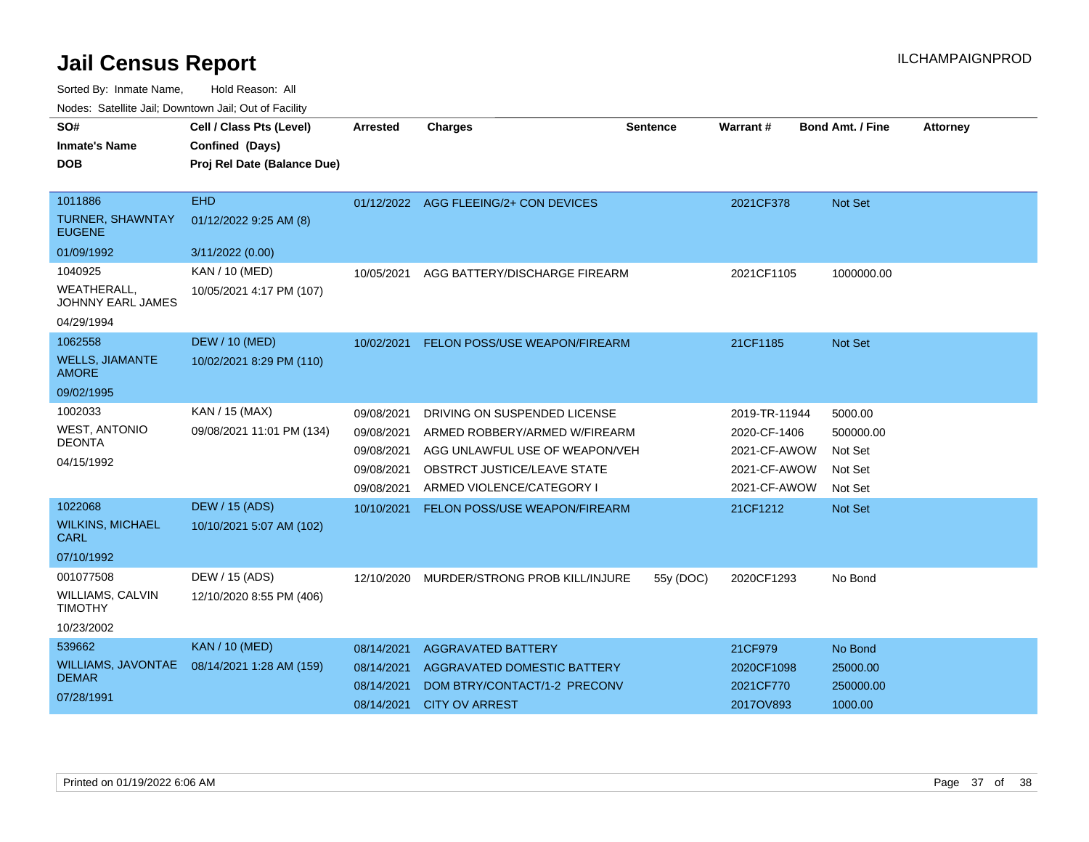Sorted By: Inmate Name, Hold Reason: All

|  |  |  | Nodes: Satellite Jail; Downtown Jail; Out of Facility |  |
|--|--|--|-------------------------------------------------------|--|
|--|--|--|-------------------------------------------------------|--|

| SO#<br><b>Inmate's Name</b><br><b>DOB</b> | Cell / Class Pts (Level)<br>Confined (Days)<br>Proj Rel Date (Balance Due) | Arrested   | <b>Charges</b>                        | <b>Sentence</b> | Warrant#      | <b>Bond Amt. / Fine</b> | <b>Attorney</b> |
|-------------------------------------------|----------------------------------------------------------------------------|------------|---------------------------------------|-----------------|---------------|-------------------------|-----------------|
| 1011886                                   | <b>EHD</b>                                                                 |            | 01/12/2022 AGG FLEEING/2+ CON DEVICES |                 | 2021CF378     | Not Set                 |                 |
| <b>TURNER, SHAWNTAY</b><br><b>EUGENE</b>  | 01/12/2022 9:25 AM (8)                                                     |            |                                       |                 |               |                         |                 |
| 01/09/1992                                | 3/11/2022 (0.00)                                                           |            |                                       |                 |               |                         |                 |
| 1040925                                   | KAN / 10 (MED)                                                             | 10/05/2021 | AGG BATTERY/DISCHARGE FIREARM         |                 | 2021CF1105    | 1000000.00              |                 |
| <b>WEATHERALL,</b><br>JOHNNY EARL JAMES   | 10/05/2021 4:17 PM (107)                                                   |            |                                       |                 |               |                         |                 |
| 04/29/1994                                |                                                                            |            |                                       |                 |               |                         |                 |
| 1062558                                   | <b>DEW / 10 (MED)</b>                                                      | 10/02/2021 | FELON POSS/USE WEAPON/FIREARM         |                 | 21CF1185      | Not Set                 |                 |
| <b>WELLS, JIAMANTE</b><br><b>AMORE</b>    | 10/02/2021 8:29 PM (110)                                                   |            |                                       |                 |               |                         |                 |
| 09/02/1995                                |                                                                            |            |                                       |                 |               |                         |                 |
| 1002033                                   | KAN / 15 (MAX)                                                             | 09/08/2021 | DRIVING ON SUSPENDED LICENSE          |                 | 2019-TR-11944 | 5000.00                 |                 |
| <b>WEST, ANTONIO</b>                      | 09/08/2021 11:01 PM (134)                                                  | 09/08/2021 | ARMED ROBBERY/ARMED W/FIREARM         |                 | 2020-CF-1406  | 500000.00               |                 |
| <b>DEONTA</b>                             |                                                                            | 09/08/2021 | AGG UNLAWFUL USE OF WEAPON/VEH        |                 | 2021-CF-AWOW  | Not Set                 |                 |
| 04/15/1992                                |                                                                            | 09/08/2021 | OBSTRCT JUSTICE/LEAVE STATE           |                 | 2021-CF-AWOW  | Not Set                 |                 |
|                                           |                                                                            | 09/08/2021 | ARMED VIOLENCE/CATEGORY I             |                 | 2021-CF-AWOW  | Not Set                 |                 |
| 1022068                                   | <b>DEW / 15 (ADS)</b>                                                      | 10/10/2021 | FELON POSS/USE WEAPON/FIREARM         |                 | 21CF1212      | Not Set                 |                 |
| <b>WILKINS, MICHAEL</b><br><b>CARL</b>    | 10/10/2021 5:07 AM (102)                                                   |            |                                       |                 |               |                         |                 |
| 07/10/1992                                |                                                                            |            |                                       |                 |               |                         |                 |
| 001077508                                 | DEW / 15 (ADS)                                                             | 12/10/2020 | MURDER/STRONG PROB KILL/INJURE        | 55y (DOC)       | 2020CF1293    | No Bond                 |                 |
| WILLIAMS, CALVIN<br><b>TIMOTHY</b>        | 12/10/2020 8:55 PM (406)                                                   |            |                                       |                 |               |                         |                 |
| 10/23/2002                                |                                                                            |            |                                       |                 |               |                         |                 |
| 539662                                    | <b>KAN / 10 (MED)</b>                                                      | 08/14/2021 | <b>AGGRAVATED BATTERY</b>             |                 | 21CF979       | No Bond                 |                 |
| <b>WILLIAMS, JAVONTAE</b>                 | 08/14/2021 1:28 AM (159)                                                   | 08/14/2021 | <b>AGGRAVATED DOMESTIC BATTERY</b>    |                 | 2020CF1098    | 25000.00                |                 |
| <b>DEMAR</b>                              |                                                                            | 08/14/2021 | DOM BTRY/CONTACT/1-2 PRECONV          |                 | 2021CF770     | 250000.00               |                 |
| 07/28/1991                                |                                                                            | 08/14/2021 | <b>CITY OV ARREST</b>                 |                 | 2017OV893     | 1000.00                 |                 |